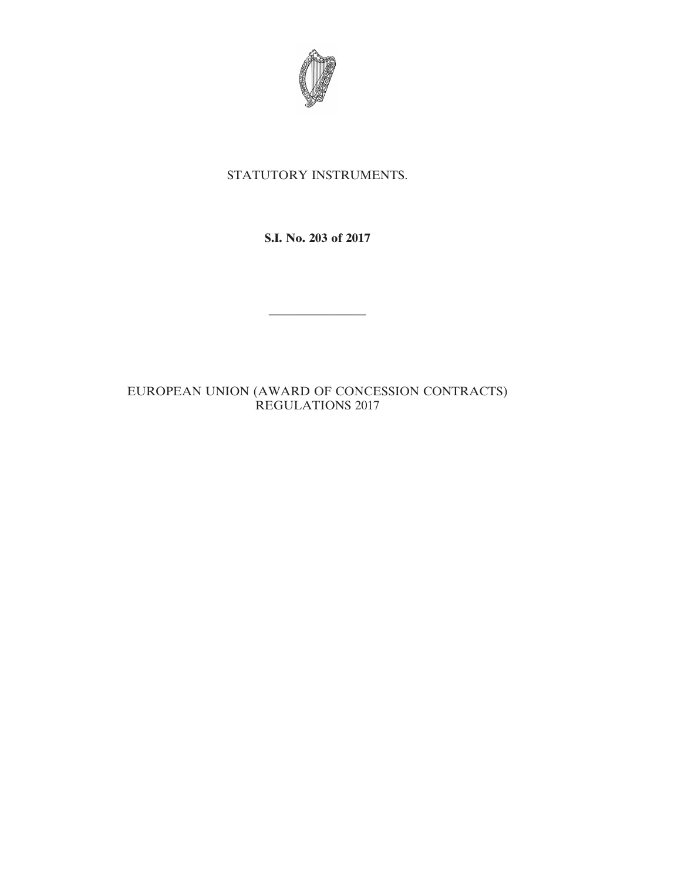

# STATUTORY INSTRUMENTS.

**S.I. No. 203 of 2017**

————————

EUROPEAN UNION (AWARD OF CONCESSION CONTRACTS) REGULATIONS 2017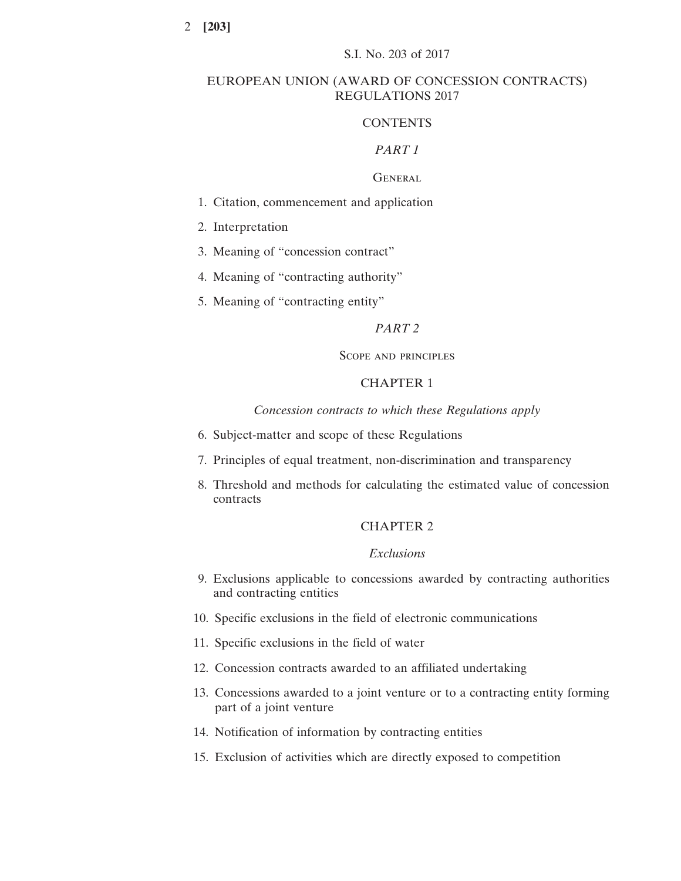### EUROPEAN UNION (AWARD OF CONCESSION CONTRACTS) REGULATIONS 2017

# **CONTENTS**

### *PART 1*

# **GENERAL**

- 1. Citation, commencement and application
- 2. Interpretation
- 3. Meaning of "concession contract"
- 4. Meaning of "contracting authority"
- 5. Meaning of "contracting entity"

### *PART 2*

### Scope and principles

# CHAPTER 1

*Concession contracts to which these Regulations apply*

- 6. Subject-matter and scope of these Regulations
- 7. Principles of equal treatment, non-discrimination and transparency
- 8. Threshold and methods for calculating the estimated value of concession contracts

# CHAPTER 2

# *Exclusions*

- 9. Exclusions applicable to concessions awarded by contracting authorities and contracting entities
- 10. Specific exclusions in the field of electronic communications
- 11. Specific exclusions in the field of water
- 12. Concession contracts awarded to an affiliated undertaking
- 13. Concessions awarded to a joint venture or to a contracting entity forming part of a joint venture
- 14. Notification of information by contracting entities
- 15. Exclusion of activities which are directly exposed to competition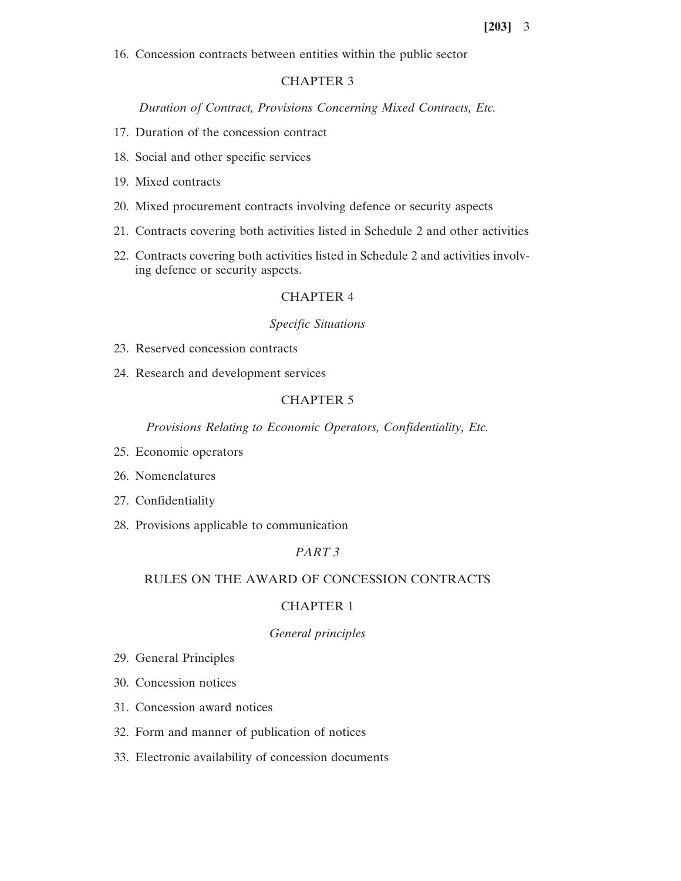16. Concession contracts between entities within the public sector

# CHAPTER 3

*Duration of Contract, Provisions Concerning Mixed Contracts, Etc.*

- 17. Duration of the concession contract
- 18. Social and other specific services
- 19. Mixed contracts
- 20. Mixed procurement contracts involving defence or security aspects
- 21. Contracts covering both activities listed in Schedule 2 and other activities
- 22. Contracts covering both activities listed in Schedule 2 and activities involving defence or security aspects.

## CHAPTER 4

# *Specific Situations*

- 23. Reserved concession contracts
- 24. Research and development services

# CHAPTER 5

*Provisions Relating to Economic Operators, Confidentiality, Etc.*

- 25. Economic operators
- 26. Nomenclatures
- 27. Confidentiality
- 28. Provisions applicable to communication

# *PART 3*

### RULES ON THE AWARD OF CONCESSION CONTRACTS

# CHAPTER 1

### *General principles*

- 29. General Principles
- 30. Concession notices
- 31. Concession award notices
- 32. Form and manner of publication of notices
- 33. Electronic availability of concession documents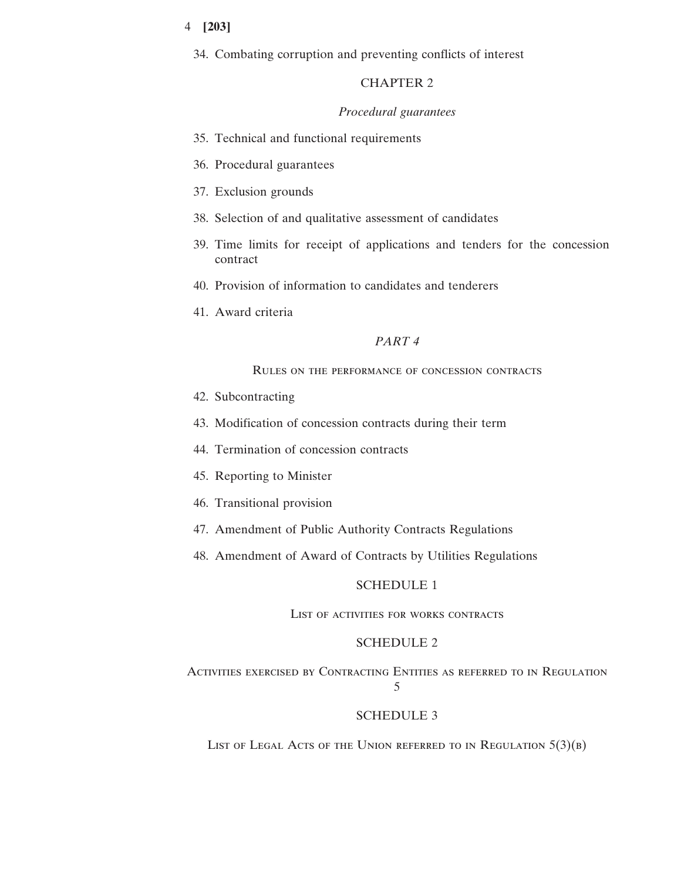34. Combating corruption and preventing conflicts of interest

# CHAPTER 2

### *Procedural guarantees*

- 35. Technical and functional requirements
- 36. Procedural guarantees
- 37. Exclusion grounds
- 38. Selection of and qualitative assessment of candidates
- 39. Time limits for receipt of applications and tenders for the concession contract
- 40. Provision of information to candidates and tenderers
- 41. Award criteria

### *PART 4*

# Rules on the performance of concession contracts

- 42. Subcontracting
- 43. Modification of concession contracts during their term
- 44. Termination of concession contracts
- 45. Reporting to Minister
- 46. Transitional provision
- 47. Amendment of Public Authority Contracts Regulations
- 48. Amendment of Award of Contracts by Utilities Regulations

### SCHEDULE 1

### List of activities for works contracts

### SCHEDULE 2

Activities exercised by Contracting Entities as referred to in Regulation 5

### SCHEDULE 3

LIST OF LEGAL ACTS OF THE UNION REFERRED TO IN REGULATION  $5(3)(B)$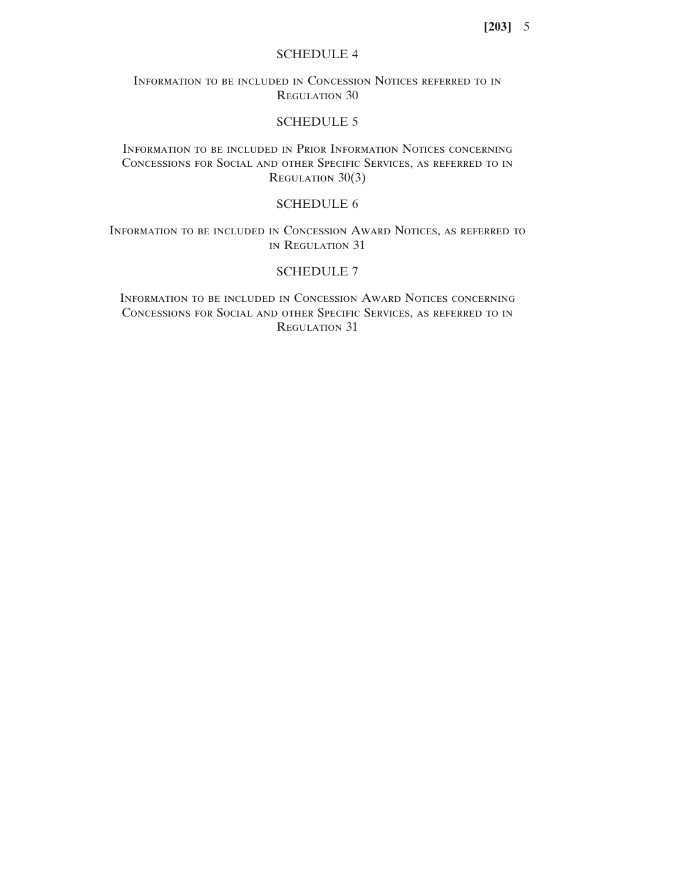# SCHEDULE 4

Information to be included in Concession Notices referred to in Regulation 30

# SCHEDULE 5

Information to be included in Prior Information Notices concerning Concessions for Social and other Specific Services, as referred to in REGULATION 30(3)

# SCHEDULE 6

Information to be included in Concession Award Notices, as referred to in Regulation 31

# SCHEDULE 7

Information to be included in Concession Award Notices concerning Concessions for Social and other Specific Services, as referred to in Regulation 31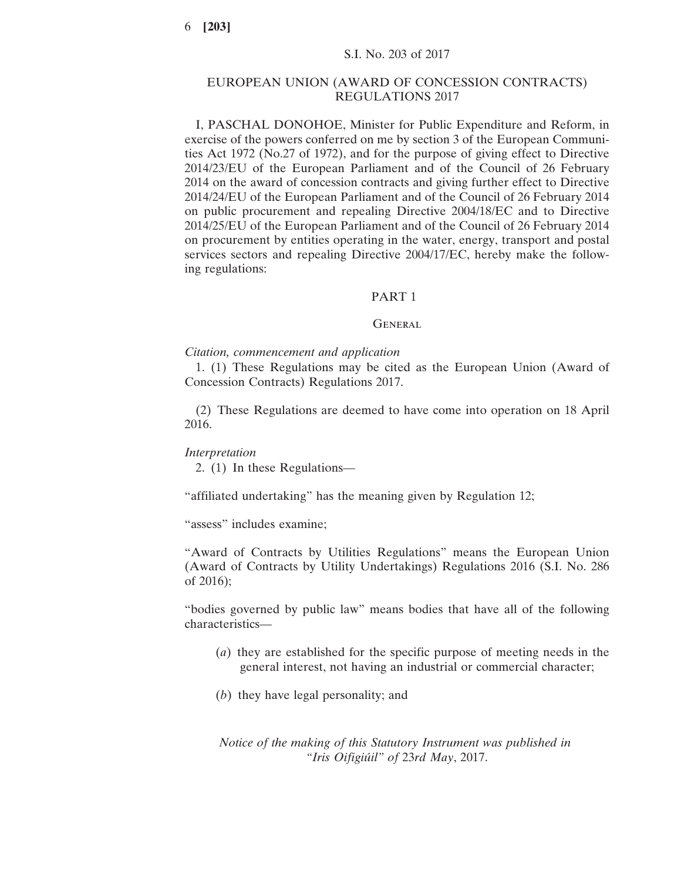### EUROPEAN UNION (AWARD OF CONCESSION CONTRACTS) REGULATIONS 2017

I, PASCHAL DONOHOE, Minister for Public Expenditure and Reform, in exercise of the powers conferred on me by section 3 of the European Communities Act 1972 (No.27 of 1972), and for the purpose of giving effect to Directive 2014/23/EU of the European Parliament and of the Council of 26 February 2014 on the award of concession contracts and giving further effect to Directive 2014/24/EU of the European Parliament and of the Council of 26 February 2014 on public procurement and repealing Directive 2004/18/EC and to Directive 2014/25/EU of the European Parliament and of the Council of 26 February 2014 on procurement by entities operating in the water, energy, transport and postal services sectors and repealing Directive 2004/17/EC, hereby make the following regulations:

### PART 1

### **GENERAL**

#### *Citation, commencement and application*

1. (1) These Regulations may be cited as the European Union (Award of Concession Contracts) Regulations 2017.

(2) These Regulations are deemed to have come into operation on 18 April 2016.

#### *Interpretation*

2. (1) In these Regulations—

"affiliated undertaking" has the meaning given by Regulation 12;

"assess" includes examine;

"Award of Contracts by Utilities Regulations" means the European Union (Award of Contracts by Utility Undertakings) Regulations 2016 (S.I. No. 286 of 2016);

"bodies governed by public law" means bodies that have all of the following characteristics—

- (*a*) they are established for the specific purpose of meeting needs in the general interest, not having an industrial or commercial character;
- (*b*) they have legal personality; and

*Notice of the making of this Statutory Instrument was published in "Iris Oifigiúil" of* 23*rd May*, 2017.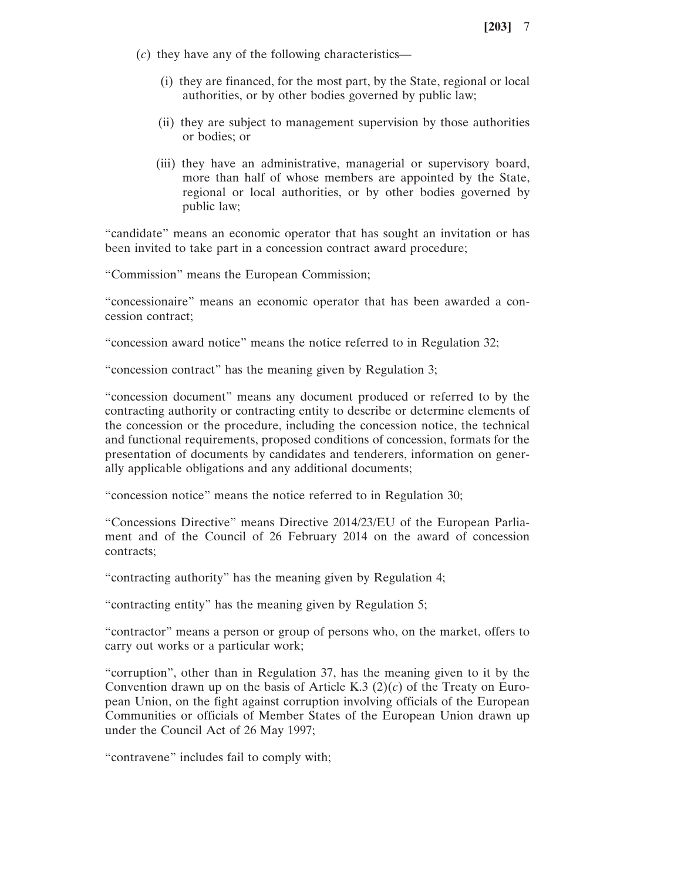- (*c*) they have any of the following characteristics—
	- (i) they are financed, for the most part, by the State, regional or local authorities, or by other bodies governed by public law;
	- (ii) they are subject to management supervision by those authorities or bodies; or
	- (iii) they have an administrative, managerial or supervisory board, more than half of whose members are appointed by the State, regional or local authorities, or by other bodies governed by public law;

"candidate" means an economic operator that has sought an invitation or has been invited to take part in a concession contract award procedure;

"Commission" means the European Commission;

"concessionaire" means an economic operator that has been awarded a concession contract;

"concession award notice" means the notice referred to in Regulation 32;

"concession contract" has the meaning given by Regulation 3;

"concession document" means any document produced or referred to by the contracting authority or contracting entity to describe or determine elements of the concession or the procedure, including the concession notice, the technical and functional requirements, proposed conditions of concession, formats for the presentation of documents by candidates and tenderers, information on generally applicable obligations and any additional documents;

"concession notice" means the notice referred to in Regulation 30;

"Concessions Directive" means Directive 2014/23/EU of the European Parliament and of the Council of 26 February 2014 on the award of concession contracts;

"contracting authority" has the meaning given by Regulation 4;

"contracting entity" has the meaning given by Regulation 5;

"contractor" means a person or group of persons who, on the market, offers to carry out works or a particular work;

"corruption", other than in Regulation 37, has the meaning given to it by the Convention drawn up on the basis of Article K.3  $(2)(c)$  of the Treaty on European Union, on the fight against corruption involving officials of the European Communities or officials of Member States of the European Union drawn up under the Council Act of 26 May 1997;

"contravene" includes fail to comply with;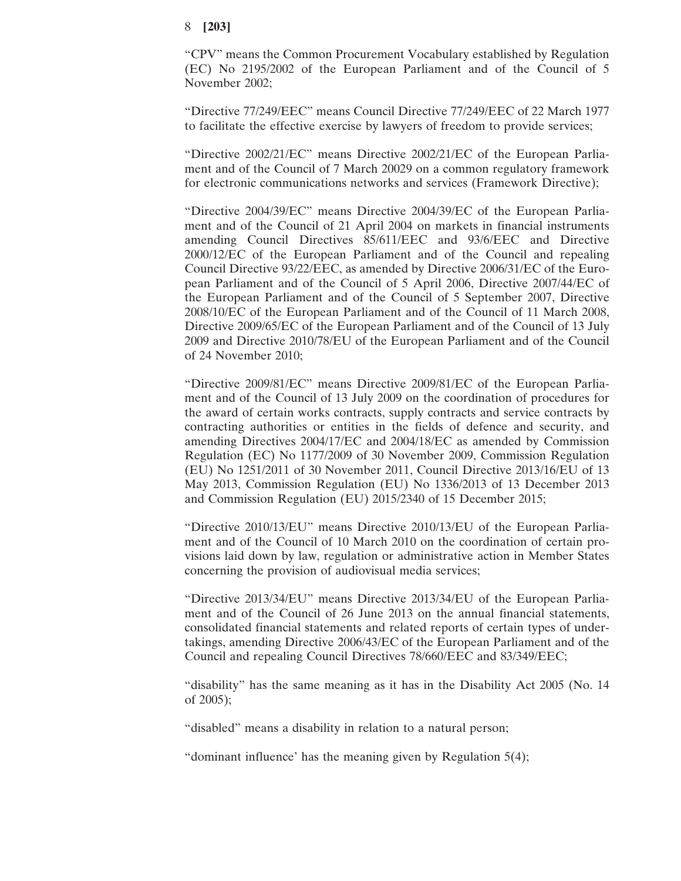"CPV" means the Common Procurement Vocabulary established by Regulation (EC) No 2195/2002 of the European Parliament and of the Council of 5 November 2002;

"Directive 77/249/EEC" means Council Directive 77/249/EEC of 22 March 1977 to facilitate the effective exercise by lawyers of freedom to provide services;

"Directive 2002/21/EC" means Directive 2002/21/EC of the European Parliament and of the Council of 7 March 20029 on a common regulatory framework for electronic communications networks and services (Framework Directive);

"Directive 2004/39/EC" means Directive 2004/39/EC of the European Parliament and of the Council of 21 April 2004 on markets in financial instruments amending Council Directives 85/611/EEC and 93/6/EEC and Directive 2000/12/EC of the European Parliament and of the Council and repealing Council Directive 93/22/EEC, as amended by Directive 2006/31/EC of the European Parliament and of the Council of 5 April 2006, Directive 2007/44/EC of the European Parliament and of the Council of 5 September 2007, Directive 2008/10/EC of the European Parliament and of the Council of 11 March 2008, Directive 2009/65/EC of the European Parliament and of the Council of 13 July 2009 and Directive 2010/78/EU of the European Parliament and of the Council of 24 November 2010;

"Directive 2009/81/EC" means Directive 2009/81/EC of the European Parliament and of the Council of 13 July 2009 on the coordination of procedures for the award of certain works contracts, supply contracts and service contracts by contracting authorities or entities in the fields of defence and security, and amending Directives 2004/17/EC and 2004/18/EC as amended by Commission Regulation (EC) No 1177/2009 of 30 November 2009, Commission Regulation (EU) No 1251/2011 of 30 November 2011, Council Directive 2013/16/EU of 13 May 2013, Commission Regulation (EU) No 1336/2013 of 13 December 2013 and Commission Regulation (EU) 2015/2340 of 15 December 2015;

"Directive 2010/13/EU" means Directive 2010/13/EU of the European Parliament and of the Council of 10 March 2010 on the coordination of certain provisions laid down by law, regulation or administrative action in Member States concerning the provision of audiovisual media services;

"Directive 2013/34/EU" means Directive 2013/34/EU of the European Parliament and of the Council of 26 June 2013 on the annual financial statements, consolidated financial statements and related reports of certain types of undertakings, amending Directive 2006/43/EC of the European Parliament and of the Council and repealing Council Directives 78/660/EEC and 83/349/EEC;

"disability" has the same meaning as it has in the Disability Act 2005 (No. 14 of 2005);

"disabled" means a disability in relation to a natural person;

"dominant influence' has the meaning given by Regulation 5(4);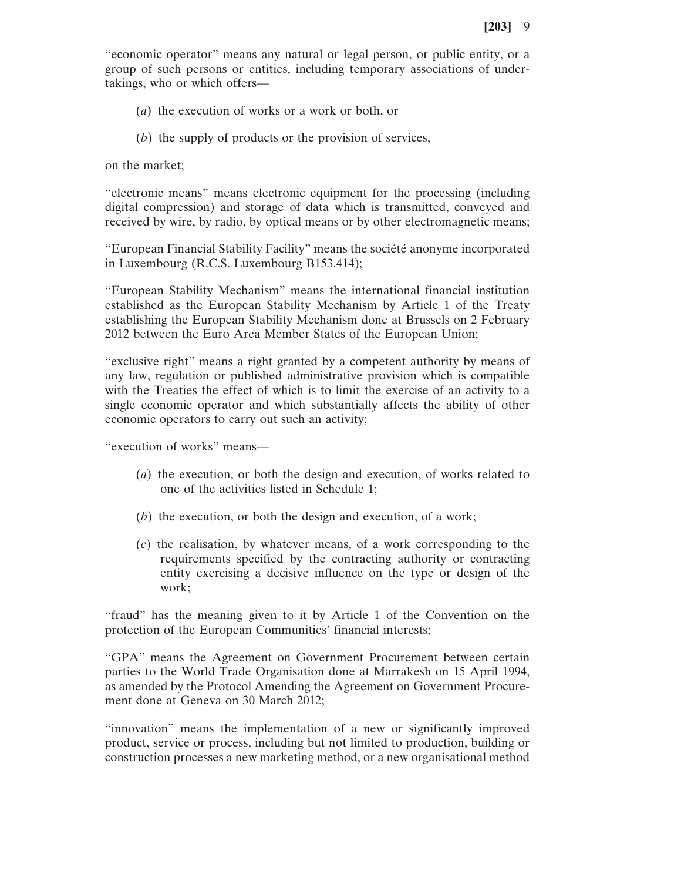"economic operator" means any natural or legal person, or public entity, or a group of such persons or entities, including temporary associations of undertakings, who or which offers—

- (*a*) the execution of works or a work or both, or
- (*b*) the supply of products or the provision of services,

on the market;

"electronic means" means electronic equipment for the processing (including digital compression) and storage of data which is transmitted, conveyed and received by wire, by radio, by optical means or by other electromagnetic means;

"European Financial Stability Facility" means the société anonyme incorporated in Luxembourg (R.C.S. Luxembourg B153.414);

"European Stability Mechanism" means the international financial institution established as the European Stability Mechanism by Article 1 of the Treaty establishing the European Stability Mechanism done at Brussels on 2 February 2012 between the Euro Area Member States of the European Union;

"exclusive right" means a right granted by a competent authority by means of any law, regulation or published administrative provision which is compatible with the Treaties the effect of which is to limit the exercise of an activity to a single economic operator and which substantially affects the ability of other economic operators to carry out such an activity;

"execution of works" means—

- (*a*) the execution, or both the design and execution, of works related to one of the activities listed in Schedule 1;
- (*b*) the execution, or both the design and execution, of a work;
- (*c*) the realisation, by whatever means, of a work corresponding to the requirements specified by the contracting authority or contracting entity exercising a decisive influence on the type or design of the work;

"fraud" has the meaning given to it by Article 1 of the Convention on the protection of the European Communities' financial interests;

"GPA" means the Agreement on Government Procurement between certain parties to the World Trade Organisation done at Marrakesh on 15 April 1994, as amended by the Protocol Amending the Agreement on Government Procurement done at Geneva on 30 March 2012;

"innovation" means the implementation of a new or significantly improved product, service or process, including but not limited to production, building or construction processes a new marketing method, or a new organisational method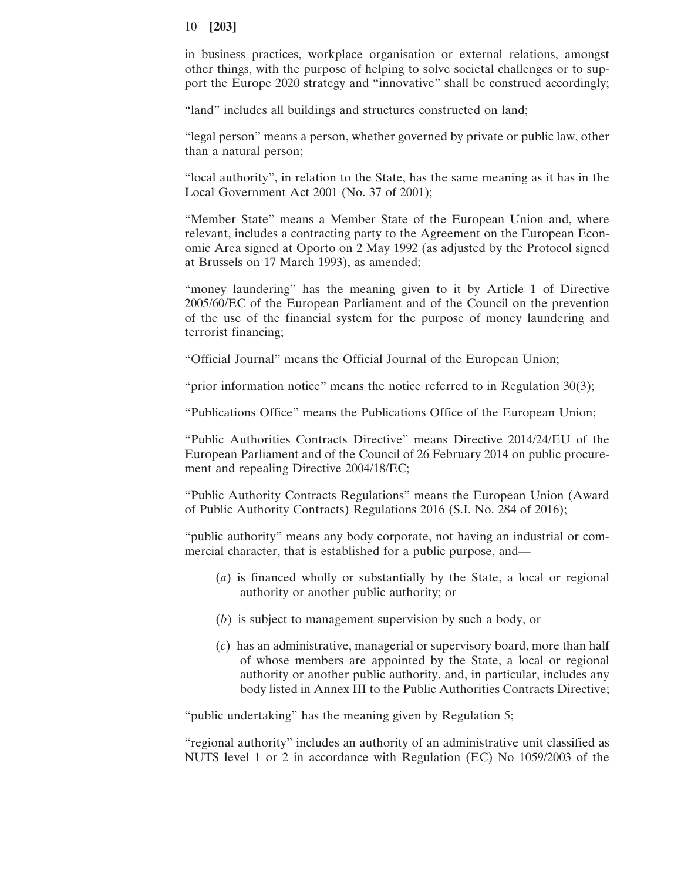in business practices, workplace organisation or external relations, amongst other things, with the purpose of helping to solve societal challenges or to support the Europe 2020 strategy and "innovative" shall be construed accordingly;

"land" includes all buildings and structures constructed on land;

"legal person" means a person, whether governed by private or public law, other than a natural person;

"local authority", in relation to the State, has the same meaning as it has in the Local Government Act 2001 (No. 37 of 2001);

"Member State" means a Member State of the European Union and, where relevant, includes a contracting party to the Agreement on the European Economic Area signed at Oporto on 2 May 1992 (as adjusted by the Protocol signed at Brussels on 17 March 1993), as amended;

"money laundering" has the meaning given to it by Article 1 of Directive 2005/60/EC of the European Parliament and of the Council on the prevention of the use of the financial system for the purpose of money laundering and terrorist financing;

"Official Journal" means the Official Journal of the European Union;

"prior information notice" means the notice referred to in Regulation 30(3);

"Publications Office" means the Publications Office of the European Union;

"Public Authorities Contracts Directive" means Directive 2014/24/EU of the European Parliament and of the Council of 26 February 2014 on public procurement and repealing Directive 2004/18/EC;

"Public Authority Contracts Regulations" means the European Union (Award of Public Authority Contracts) Regulations 2016 (S.I. No. 284 of 2016);

"public authority" means any body corporate, not having an industrial or commercial character, that is established for a public purpose, and—

- (*a*) is financed wholly or substantially by the State, a local or regional authority or another public authority; or
- (*b*) is subject to management supervision by such a body, or
- (*c*) has an administrative, managerial or supervisory board, more than half of whose members are appointed by the State, a local or regional authority or another public authority, and, in particular, includes any body listed in Annex III to the Public Authorities Contracts Directive;

"public undertaking" has the meaning given by Regulation 5;

"regional authority" includes an authority of an administrative unit classified as NUTS level 1 or 2 in accordance with Regulation (EC) No 1059/2003 of the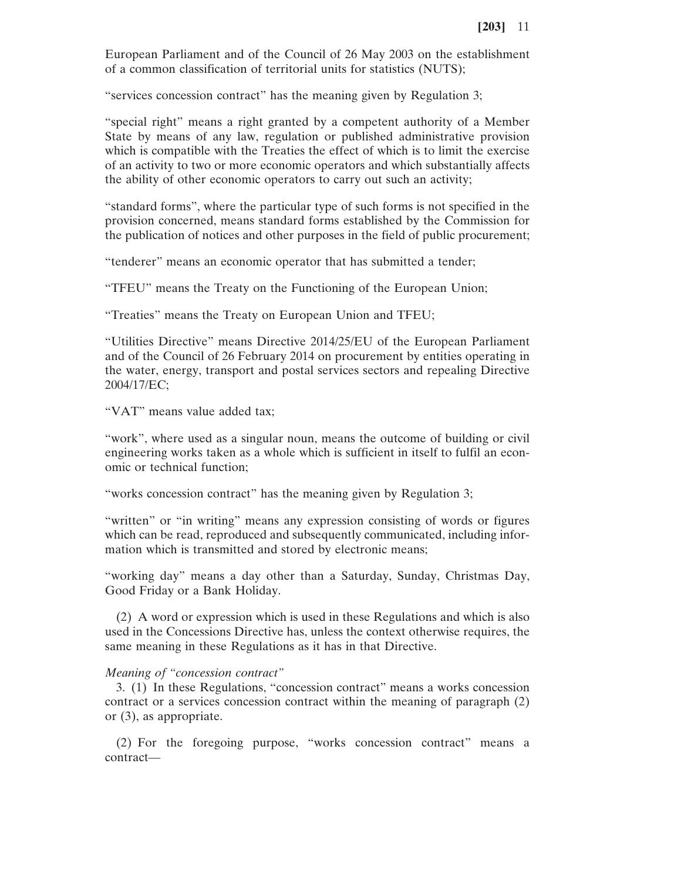European Parliament and of the Council of 26 May 2003 on the establishment of a common classification of territorial units for statistics (NUTS);

"services concession contract" has the meaning given by Regulation 3;

"special right" means a right granted by a competent authority of a Member State by means of any law, regulation or published administrative provision which is compatible with the Treaties the effect of which is to limit the exercise of an activity to two or more economic operators and which substantially affects the ability of other economic operators to carry out such an activity;

"standard forms", where the particular type of such forms is not specified in the provision concerned, means standard forms established by the Commission for the publication of notices and other purposes in the field of public procurement;

"tenderer" means an economic operator that has submitted a tender;

"TFEU" means the Treaty on the Functioning of the European Union;

"Treaties" means the Treaty on European Union and TFEU;

"Utilities Directive" means Directive 2014/25/EU of the European Parliament and of the Council of 26 February 2014 on procurement by entities operating in the water, energy, transport and postal services sectors and repealing Directive 2004/17/EC;

"VAT" means value added tax;

"work", where used as a singular noun, means the outcome of building or civil engineering works taken as a whole which is sufficient in itself to fulfil an economic or technical function;

"works concession contract" has the meaning given by Regulation 3;

"written" or "in writing" means any expression consisting of words or figures which can be read, reproduced and subsequently communicated, including information which is transmitted and stored by electronic means;

"working day" means a day other than a Saturday, Sunday, Christmas Day, Good Friday or a Bank Holiday.

(2) A word or expression which is used in these Regulations and which is also used in the Concessions Directive has, unless the context otherwise requires, the same meaning in these Regulations as it has in that Directive.

#### *Meaning of "concession contract"*

3. (1) In these Regulations, "concession contract" means a works concession contract or a services concession contract within the meaning of paragraph (2) or (3), as appropriate.

(2) For the foregoing purpose, "works concession contract" means a contract—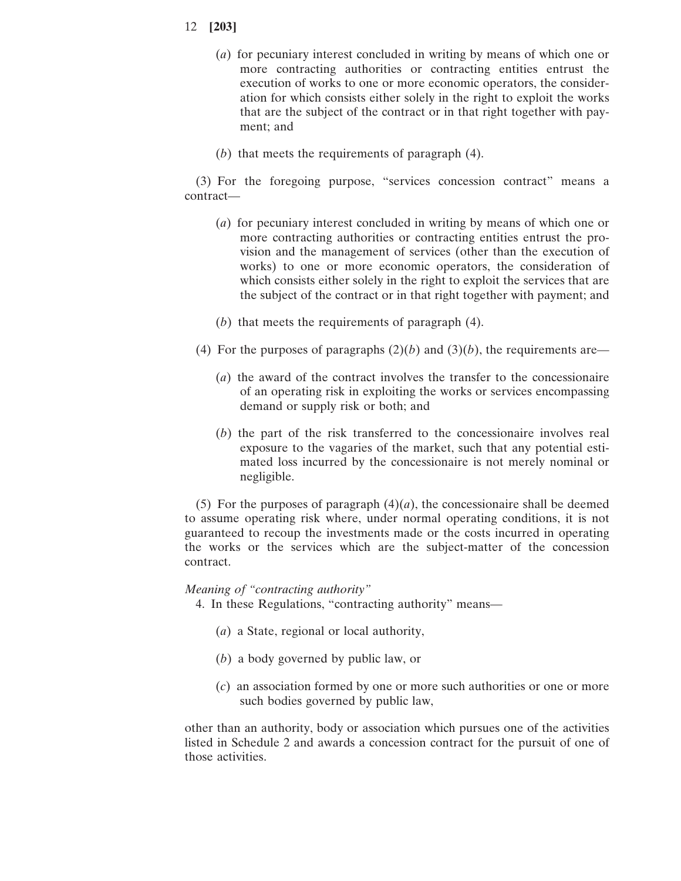- (*a*) for pecuniary interest concluded in writing by means of which one or more contracting authorities or contracting entities entrust the execution of works to one or more economic operators, the consideration for which consists either solely in the right to exploit the works that are the subject of the contract or in that right together with payment; and
- (*b*) that meets the requirements of paragraph (4).

(3) For the foregoing purpose, "services concession contract" means a contract—

- (*a*) for pecuniary interest concluded in writing by means of which one or more contracting authorities or contracting entities entrust the provision and the management of services (other than the execution of works) to one or more economic operators, the consideration of which consists either solely in the right to exploit the services that are the subject of the contract or in that right together with payment; and
- (*b*) that meets the requirements of paragraph (4).
- (4) For the purposes of paragraphs  $(2)(b)$  and  $(3)(b)$ , the requirements are—
	- (*a*) the award of the contract involves the transfer to the concessionaire of an operating risk in exploiting the works or services encompassing demand or supply risk or both; and
	- (*b*) the part of the risk transferred to the concessionaire involves real exposure to the vagaries of the market, such that any potential estimated loss incurred by the concessionaire is not merely nominal or negligible.

(5) For the purposes of paragraph  $(4)(a)$ , the concessionaire shall be deemed to assume operating risk where, under normal operating conditions, it is not guaranteed to recoup the investments made or the costs incurred in operating the works or the services which are the subject-matter of the concession contract.

### *Meaning of "contracting authority"*

- 4. In these Regulations, "contracting authority" means—
	- (*a*) a State, regional or local authority,
	- (*b*) a body governed by public law, or
	- (*c*) an association formed by one or more such authorities or one or more such bodies governed by public law,

other than an authority, body or association which pursues one of the activities listed in Schedule 2 and awards a concession contract for the pursuit of one of those activities.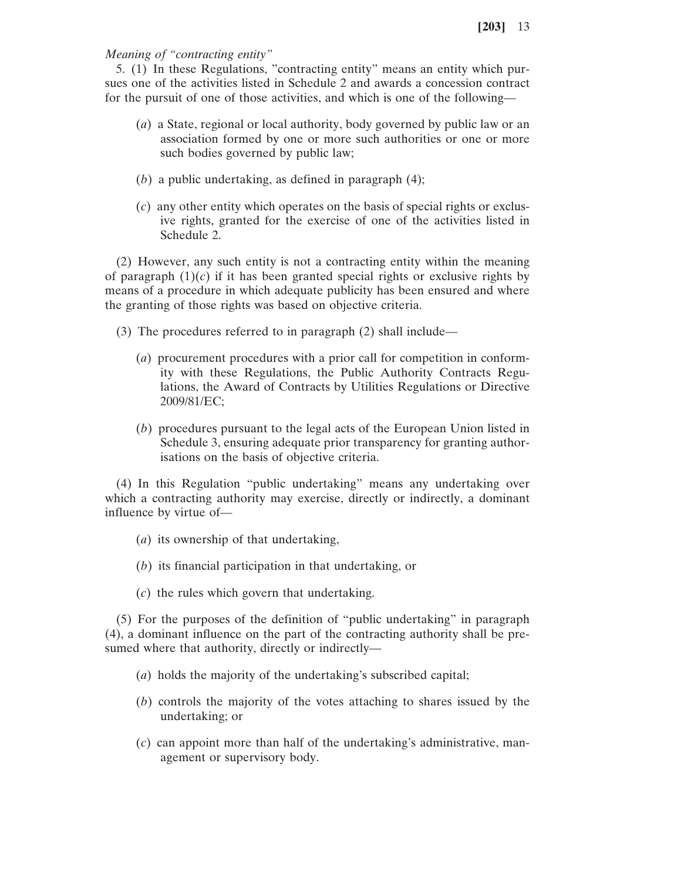*Meaning of "contracting entity"*

5. (1) In these Regulations, "contracting entity" means an entity which pursues one of the activities listed in Schedule 2 and awards a concession contract for the pursuit of one of those activities, and which is one of the following—

- (*a*) a State, regional or local authority, body governed by public law or an association formed by one or more such authorities or one or more such bodies governed by public law;
- (*b*) a public undertaking, as defined in paragraph (4);
- (*c*) any other entity which operates on the basis of special rights or exclusive rights, granted for the exercise of one of the activities listed in Schedule 2.

(2) However, any such entity is not a contracting entity within the meaning of paragraph  $(1)(c)$  if it has been granted special rights or exclusive rights by means of a procedure in which adequate publicity has been ensured and where the granting of those rights was based on objective criteria.

- (3) The procedures referred to in paragraph (2) shall include—
	- (*a*) procurement procedures with a prior call for competition in conformity with these Regulations, the Public Authority Contracts Regulations, the Award of Contracts by Utilities Regulations or Directive 2009/81/EC;
	- (*b*) procedures pursuant to the legal acts of the European Union listed in Schedule 3, ensuring adequate prior transparency for granting authorisations on the basis of objective criteria.

(4) In this Regulation "public undertaking" means any undertaking over which a contracting authority may exercise, directly or indirectly, a dominant influence by virtue of—

- (*a*) its ownership of that undertaking,
- (*b*) its financial participation in that undertaking, or
- (*c*) the rules which govern that undertaking.

(5) For the purposes of the definition of "public undertaking" in paragraph (4), a dominant influence on the part of the contracting authority shall be presumed where that authority, directly or indirectly—

- (*a*) holds the majority of the undertaking's subscribed capital;
- (*b*) controls the majority of the votes attaching to shares issued by the undertaking; or
- (*c*) can appoint more than half of the undertaking's administrative, management or supervisory body.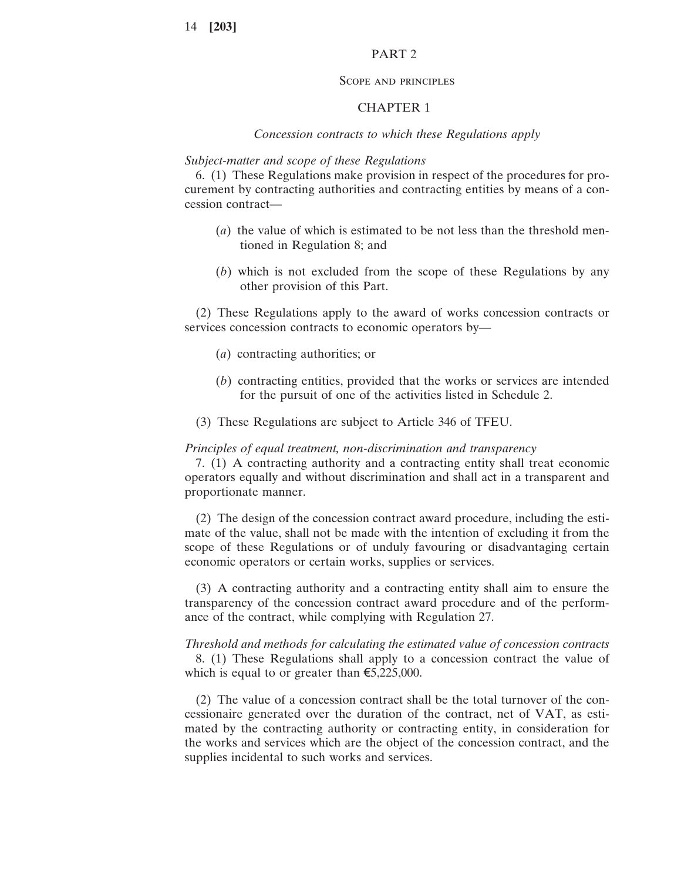### PART 2

#### Scope and principles

### CHAPTER 1

### *Concession contracts to which these Regulations apply*

# *Subject-matter and scope of these Regulations*

6. (1) These Regulations make provision in respect of the procedures for procurement by contracting authorities and contracting entities by means of a concession contract—

- (*a*) the value of which is estimated to be not less than the threshold mentioned in Regulation 8; and
- (*b*) which is not excluded from the scope of these Regulations by any other provision of this Part.

(2) These Regulations apply to the award of works concession contracts or services concession contracts to economic operators by—

- (*a*) contracting authorities; or
- (*b*) contracting entities, provided that the works or services are intended for the pursuit of one of the activities listed in Schedule 2.
- (3) These Regulations are subject to Article 346 of TFEU.

#### *Principles of equal treatment, non-discrimination and transparency*

7. (1) A contracting authority and a contracting entity shall treat economic operators equally and without discrimination and shall act in a transparent and proportionate manner.

(2) The design of the concession contract award procedure, including the estimate of the value, shall not be made with the intention of excluding it from the scope of these Regulations or of unduly favouring or disadvantaging certain economic operators or certain works, supplies or services.

(3) A contracting authority and a contracting entity shall aim to ensure the transparency of the concession contract award procedure and of the performance of the contract, while complying with Regulation 27.

*Threshold and methods for calculating the estimated value of concession contracts* 8. (1) These Regulations shall apply to a concession contract the value of which is equal to or greater than  $\epsilon$ 5,225,000.

(2) The value of a concession contract shall be the total turnover of the concessionaire generated over the duration of the contract, net of VAT, as estimated by the contracting authority or contracting entity, in consideration for the works and services which are the object of the concession contract, and the supplies incidental to such works and services.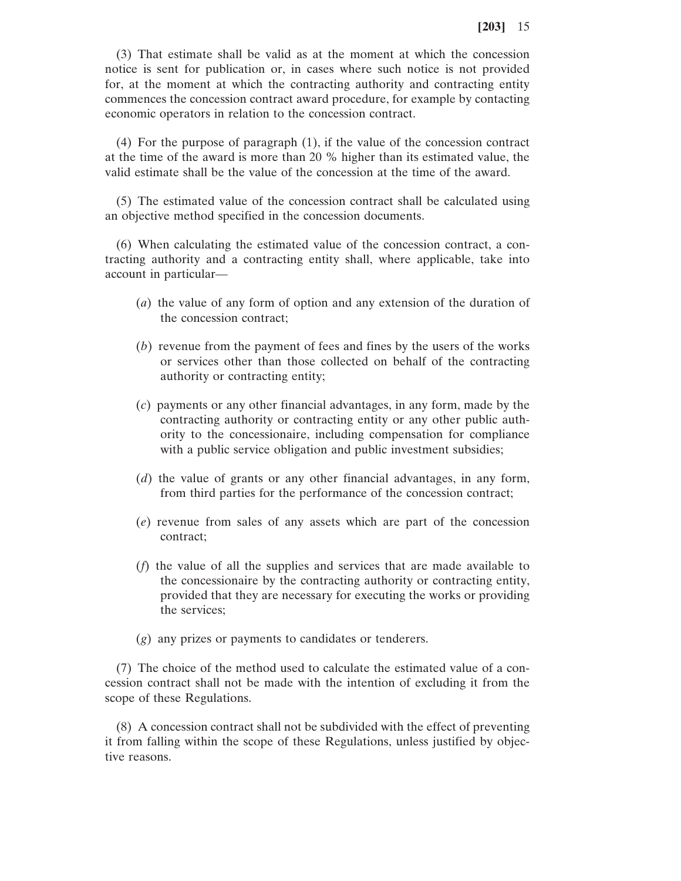(3) That estimate shall be valid as at the moment at which the concession notice is sent for publication or, in cases where such notice is not provided for, at the moment at which the contracting authority and contracting entity commences the concession contract award procedure, for example by contacting economic operators in relation to the concession contract.

(4) For the purpose of paragraph (1), if the value of the concession contract at the time of the award is more than 20 % higher than its estimated value, the valid estimate shall be the value of the concession at the time of the award.

(5) The estimated value of the concession contract shall be calculated using an objective method specified in the concession documents.

(6) When calculating the estimated value of the concession contract, a contracting authority and a contracting entity shall, where applicable, take into account in particular—

- (*a*) the value of any form of option and any extension of the duration of the concession contract;
- (*b*) revenue from the payment of fees and fines by the users of the works or services other than those collected on behalf of the contracting authority or contracting entity;
- (*c*) payments or any other financial advantages, in any form, made by the contracting authority or contracting entity or any other public authority to the concessionaire, including compensation for compliance with a public service obligation and public investment subsidies;
- (*d*) the value of grants or any other financial advantages, in any form, from third parties for the performance of the concession contract;
- (*e*) revenue from sales of any assets which are part of the concession contract;
- (*f*) the value of all the supplies and services that are made available to the concessionaire by the contracting authority or contracting entity, provided that they are necessary for executing the works or providing the services;
- (*g*) any prizes or payments to candidates or tenderers.

(7) The choice of the method used to calculate the estimated value of a concession contract shall not be made with the intention of excluding it from the scope of these Regulations.

(8) A concession contract shall not be subdivided with the effect of preventing it from falling within the scope of these Regulations, unless justified by objective reasons.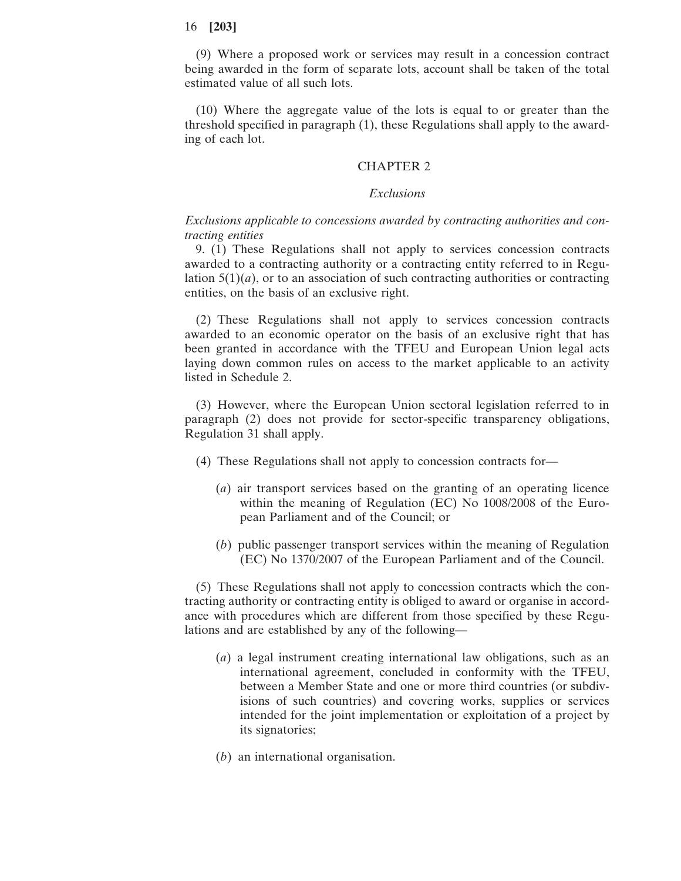(9) Where a proposed work or services may result in a concession contract being awarded in the form of separate lots, account shall be taken of the total estimated value of all such lots.

(10) Where the aggregate value of the lots is equal to or greater than the threshold specified in paragraph (1), these Regulations shall apply to the awarding of each lot.

# CHAPTER 2

#### *Exclusions*

# *Exclusions applicable to concessions awarded by contracting authorities and contracting entities*

9. (1) These Regulations shall not apply to services concession contracts awarded to a contracting authority or a contracting entity referred to in Regulation  $5(1)(a)$ , or to an association of such contracting authorities or contracting entities, on the basis of an exclusive right.

(2) These Regulations shall not apply to services concession contracts awarded to an economic operator on the basis of an exclusive right that has been granted in accordance with the TFEU and European Union legal acts laying down common rules on access to the market applicable to an activity listed in Schedule 2.

(3) However, where the European Union sectoral legislation referred to in paragraph (2) does not provide for sector-specific transparency obligations, Regulation 31 shall apply.

- (4) These Regulations shall not apply to concession contracts for—
	- (*a*) air transport services based on the granting of an operating licence within the meaning of Regulation (EC) No 1008/2008 of the European Parliament and of the Council; or
	- (*b*) public passenger transport services within the meaning of Regulation (EC) No 1370/2007 of the European Parliament and of the Council.

(5) These Regulations shall not apply to concession contracts which the contracting authority or contracting entity is obliged to award or organise in accordance with procedures which are different from those specified by these Regulations and are established by any of the following—

- (*a*) a legal instrument creating international law obligations, such as an international agreement, concluded in conformity with the TFEU, between a Member State and one or more third countries (or subdivisions of such countries) and covering works, supplies or services intended for the joint implementation or exploitation of a project by its signatories;
- (*b*) an international organisation.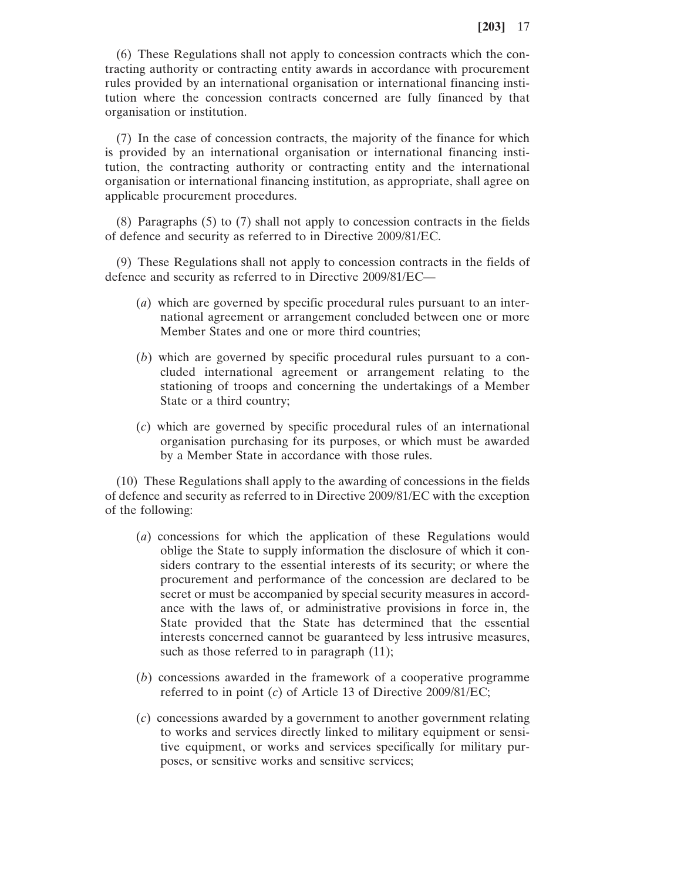(6) These Regulations shall not apply to concession contracts which the contracting authority or contracting entity awards in accordance with procurement rules provided by an international organisation or international financing institution where the concession contracts concerned are fully financed by that organisation or institution.

(7) In the case of concession contracts, the majority of the finance for which is provided by an international organisation or international financing institution, the contracting authority or contracting entity and the international organisation or international financing institution, as appropriate, shall agree on applicable procurement procedures.

(8) Paragraphs (5) to (7) shall not apply to concession contracts in the fields of defence and security as referred to in Directive 2009/81/EC.

(9) These Regulations shall not apply to concession contracts in the fields of defence and security as referred to in Directive 2009/81/EC—

- (*a*) which are governed by specific procedural rules pursuant to an international agreement or arrangement concluded between one or more Member States and one or more third countries;
- (*b*) which are governed by specific procedural rules pursuant to a concluded international agreement or arrangement relating to the stationing of troops and concerning the undertakings of a Member State or a third country;
- (*c*) which are governed by specific procedural rules of an international organisation purchasing for its purposes, or which must be awarded by a Member State in accordance with those rules.

(10) These Regulations shall apply to the awarding of concessions in the fields of defence and security as referred to in Directive 2009/81/EC with the exception of the following:

- (*a*) concessions for which the application of these Regulations would oblige the State to supply information the disclosure of which it considers contrary to the essential interests of its security; or where the procurement and performance of the concession are declared to be secret or must be accompanied by special security measures in accordance with the laws of, or administrative provisions in force in, the State provided that the State has determined that the essential interests concerned cannot be guaranteed by less intrusive measures, such as those referred to in paragraph  $(11)$ ;
- (*b*) concessions awarded in the framework of a cooperative programme referred to in point (*c*) of Article 13 of Directive 2009/81/EC;
- (*c*) concessions awarded by a government to another government relating to works and services directly linked to military equipment or sensitive equipment, or works and services specifically for military purposes, or sensitive works and sensitive services;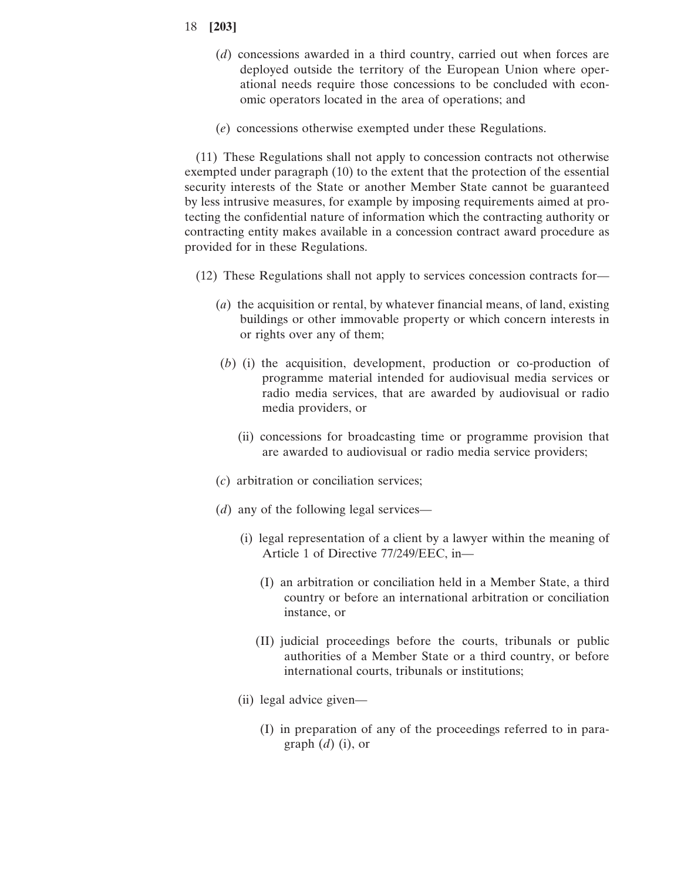- 18 **[203]**
	- (*d*) concessions awarded in a third country, carried out when forces are deployed outside the territory of the European Union where operational needs require those concessions to be concluded with economic operators located in the area of operations; and
	- (*e*) concessions otherwise exempted under these Regulations.

(11) These Regulations shall not apply to concession contracts not otherwise exempted under paragraph (10) to the extent that the protection of the essential security interests of the State or another Member State cannot be guaranteed by less intrusive measures, for example by imposing requirements aimed at protecting the confidential nature of information which the contracting authority or contracting entity makes available in a concession contract award procedure as provided for in these Regulations.

- (12) These Regulations shall not apply to services concession contracts for—
	- (*a*) the acquisition or rental, by whatever financial means, of land, existing buildings or other immovable property or which concern interests in or rights over any of them;
	- (*b*) (i) the acquisition, development, production or co-production of programme material intended for audiovisual media services or radio media services, that are awarded by audiovisual or radio media providers, or
		- (ii) concessions for broadcasting time or programme provision that are awarded to audiovisual or radio media service providers;
	- (*c*) arbitration or conciliation services;
	- (*d*) any of the following legal services—
		- (i) legal representation of a client by a lawyer within the meaning of Article 1 of Directive 77/249/EEC, in—
			- (I) an arbitration or conciliation held in a Member State, a third country or before an international arbitration or conciliation instance, or
			- (II) judicial proceedings before the courts, tribunals or public authorities of a Member State or a third country, or before international courts, tribunals or institutions;
		- (ii) legal advice given—
			- (I) in preparation of any of the proceedings referred to in paragraph (*d*) (i), or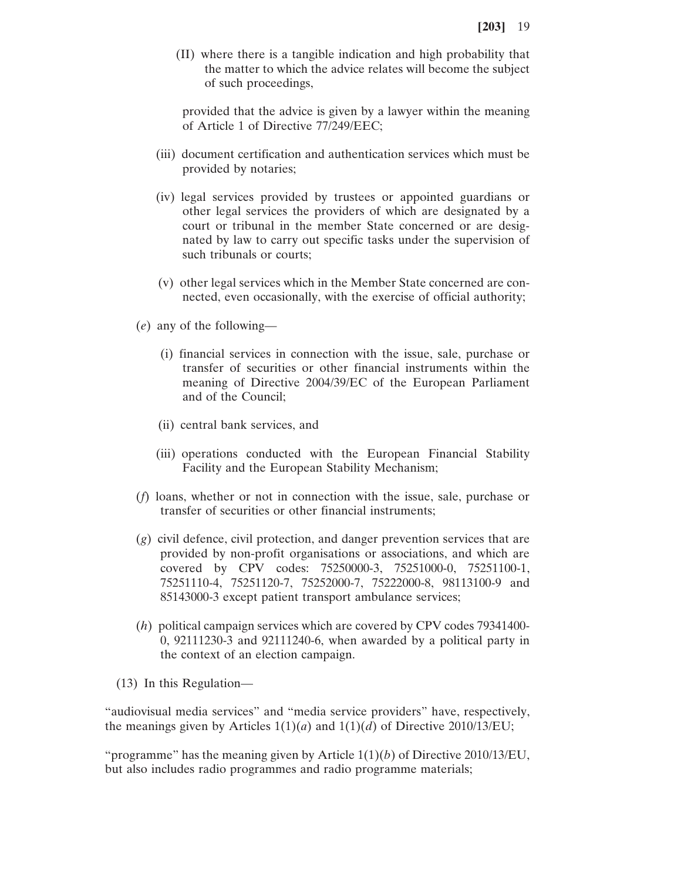(II) where there is a tangible indication and high probability that the matter to which the advice relates will become the subject of such proceedings,

provided that the advice is given by a lawyer within the meaning of Article 1 of Directive 77/249/EEC;

- (iii) document certification and authentication services which must be provided by notaries;
- (iv) legal services provided by trustees or appointed guardians or other legal services the providers of which are designated by a court or tribunal in the member State concerned or are designated by law to carry out specific tasks under the supervision of such tribunals or courts;
- (v) other legal services which in the Member State concerned are connected, even occasionally, with the exercise of official authority;
- (*e*) any of the following—
	- (i) financial services in connection with the issue, sale, purchase or transfer of securities or other financial instruments within the meaning of Directive 2004/39/EC of the European Parliament and of the Council;
	- (ii) central bank services, and
	- (iii) operations conducted with the European Financial Stability Facility and the European Stability Mechanism;
- (*f*) loans, whether or not in connection with the issue, sale, purchase or transfer of securities or other financial instruments;
- (*g*) civil defence, civil protection, and danger prevention services that are provided by non-profit organisations or associations, and which are covered by CPV codes: 75250000-3, 75251000-0, 75251100-1, 75251110-4, 75251120-7, 75252000-7, 75222000-8, 98113100-9 and 85143000-3 except patient transport ambulance services;
- (*h*) political campaign services which are covered by CPV codes 79341400- 0, 92111230-3 and 92111240-6, when awarded by a political party in the context of an election campaign.
- (13) In this Regulation—

"audiovisual media services" and "media service providers" have, respectively, the meanings given by Articles  $1(1)(a)$  and  $1(1)(d)$  of Directive 2010/13/EU;

"programme" has the meaning given by Article  $1(1)(b)$  of Directive 2010/13/EU, but also includes radio programmes and radio programme materials;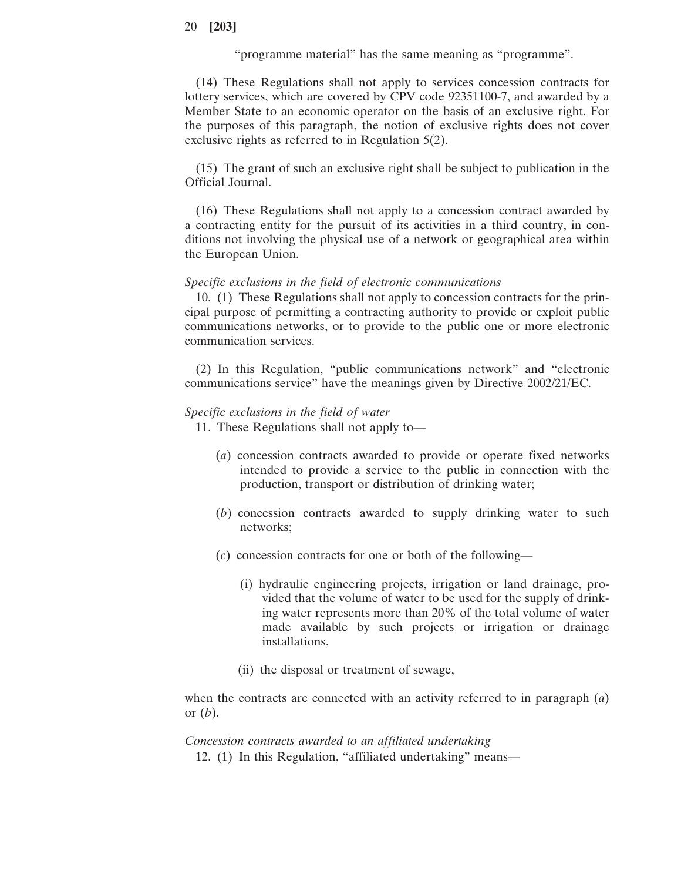"programme material" has the same meaning as "programme".

(14) These Regulations shall not apply to services concession contracts for lottery services, which are covered by CPV code 92351100-7, and awarded by a Member State to an economic operator on the basis of an exclusive right. For the purposes of this paragraph, the notion of exclusive rights does not cover exclusive rights as referred to in Regulation 5(2).

(15) The grant of such an exclusive right shall be subject to publication in the Official Journal.

(16) These Regulations shall not apply to a concession contract awarded by a contracting entity for the pursuit of its activities in a third country, in conditions not involving the physical use of a network or geographical area within the European Union.

### *Specific exclusions in the field of electronic communications*

10. (1) These Regulations shall not apply to concession contracts for the principal purpose of permitting a contracting authority to provide or exploit public communications networks, or to provide to the public one or more electronic communication services.

(2) In this Regulation, "public communications network" and "electronic communications service" have the meanings given by Directive 2002/21/EC.

#### *Specific exclusions in the field of water*

11. These Regulations shall not apply to—

- (*a*) concession contracts awarded to provide or operate fixed networks intended to provide a service to the public in connection with the production, transport or distribution of drinking water;
- (*b*) concession contracts awarded to supply drinking water to such networks;
- (*c*) concession contracts for one or both of the following—
	- (i) hydraulic engineering projects, irrigation or land drainage, provided that the volume of water to be used for the supply of drinking water represents more than 20% of the total volume of water made available by such projects or irrigation or drainage installations,
	- (ii) the disposal or treatment of sewage,

when the contracts are connected with an activity referred to in paragraph (*a*) or (*b*).

#### *Concession contracts awarded to an affiliated undertaking*

12. (1) In this Regulation, "affiliated undertaking" means—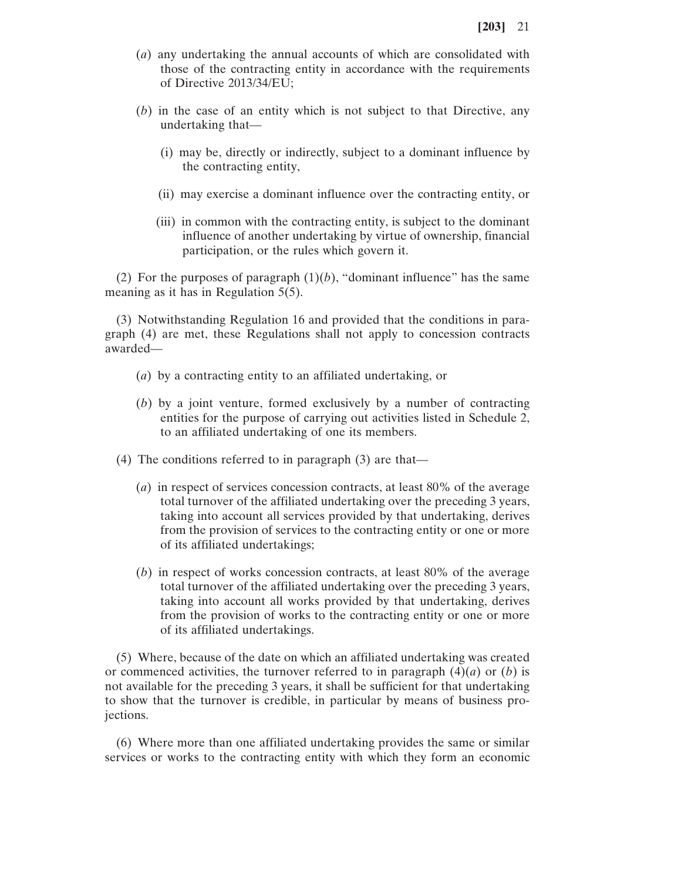- (*a*) any undertaking the annual accounts of which are consolidated with those of the contracting entity in accordance with the requirements of Directive 2013/34/EU;
- (*b*) in the case of an entity which is not subject to that Directive, any undertaking that—
	- (i) may be, directly or indirectly, subject to a dominant influence by the contracting entity,
	- (ii) may exercise a dominant influence over the contracting entity, or
	- (iii) in common with the contracting entity, is subject to the dominant influence of another undertaking by virtue of ownership, financial participation, or the rules which govern it.

(2) For the purposes of paragraph  $(1)(b)$ , "dominant influence" has the same meaning as it has in Regulation 5(5).

(3) Notwithstanding Regulation 16 and provided that the conditions in paragraph (4) are met, these Regulations shall not apply to concession contracts awarded—

- (*a*) by a contracting entity to an affiliated undertaking, or
- (*b*) by a joint venture, formed exclusively by a number of contracting entities for the purpose of carrying out activities listed in Schedule 2, to an affiliated undertaking of one its members.
- (4) The conditions referred to in paragraph (3) are that—
	- (*a*) in respect of services concession contracts, at least 80% of the average total turnover of the affiliated undertaking over the preceding 3 years, taking into account all services provided by that undertaking, derives from the provision of services to the contracting entity or one or more of its affiliated undertakings;
	- (*b*) in respect of works concession contracts, at least 80% of the average total turnover of the affiliated undertaking over the preceding 3 years, taking into account all works provided by that undertaking, derives from the provision of works to the contracting entity or one or more of its affiliated undertakings.

(5) Where, because of the date on which an affiliated undertaking was created or commenced activities, the turnover referred to in paragraph  $(4)(a)$  or  $(b)$  is not available for the preceding 3 years, it shall be sufficient for that undertaking to show that the turnover is credible, in particular by means of business projections.

(6) Where more than one affiliated undertaking provides the same or similar services or works to the contracting entity with which they form an economic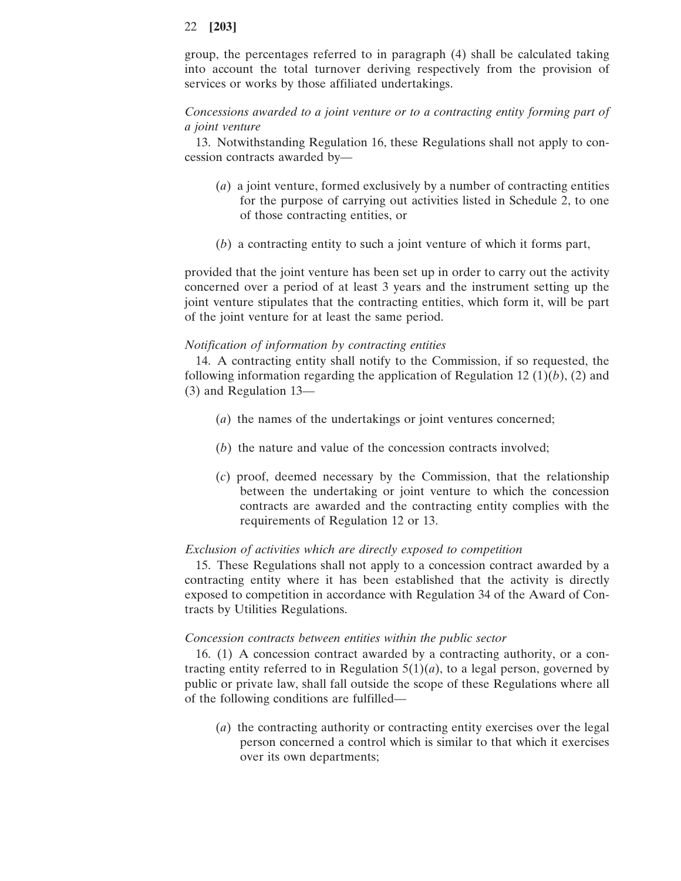group, the percentages referred to in paragraph (4) shall be calculated taking into account the total turnover deriving respectively from the provision of services or works by those affiliated undertakings.

# *Concessions awarded to a joint venture or to a contracting entity forming part of a joint venture*

13. Notwithstanding Regulation 16, these Regulations shall not apply to concession contracts awarded by—

- (*a*) a joint venture, formed exclusively by a number of contracting entities for the purpose of carrying out activities listed in Schedule 2, to one of those contracting entities, or
- (*b*) a contracting entity to such a joint venture of which it forms part,

provided that the joint venture has been set up in order to carry out the activity concerned over a period of at least 3 years and the instrument setting up the joint venture stipulates that the contracting entities, which form it, will be part of the joint venture for at least the same period.

# *Notification of information by contracting entities*

14. A contracting entity shall notify to the Commission, if so requested, the following information regarding the application of Regulation 12  $(1)(b)$ ,  $(2)$  and (3) and Regulation 13—

- (*a*) the names of the undertakings or joint ventures concerned;
- (*b*) the nature and value of the concession contracts involved;
- (*c*) proof, deemed necessary by the Commission, that the relationship between the undertaking or joint venture to which the concession contracts are awarded and the contracting entity complies with the requirements of Regulation 12 or 13.

### *Exclusion of activities which are directly exposed to competition*

15. These Regulations shall not apply to a concession contract awarded by a contracting entity where it has been established that the activity is directly exposed to competition in accordance with Regulation 34 of the Award of Contracts by Utilities Regulations.

### *Concession contracts between entities within the public sector*

16. (1) A concession contract awarded by a contracting authority, or a contracting entity referred to in Regulation  $5(1)(a)$ , to a legal person, governed by public or private law, shall fall outside the scope of these Regulations where all of the following conditions are fulfilled—

(*a*) the contracting authority or contracting entity exercises over the legal person concerned a control which is similar to that which it exercises over its own departments;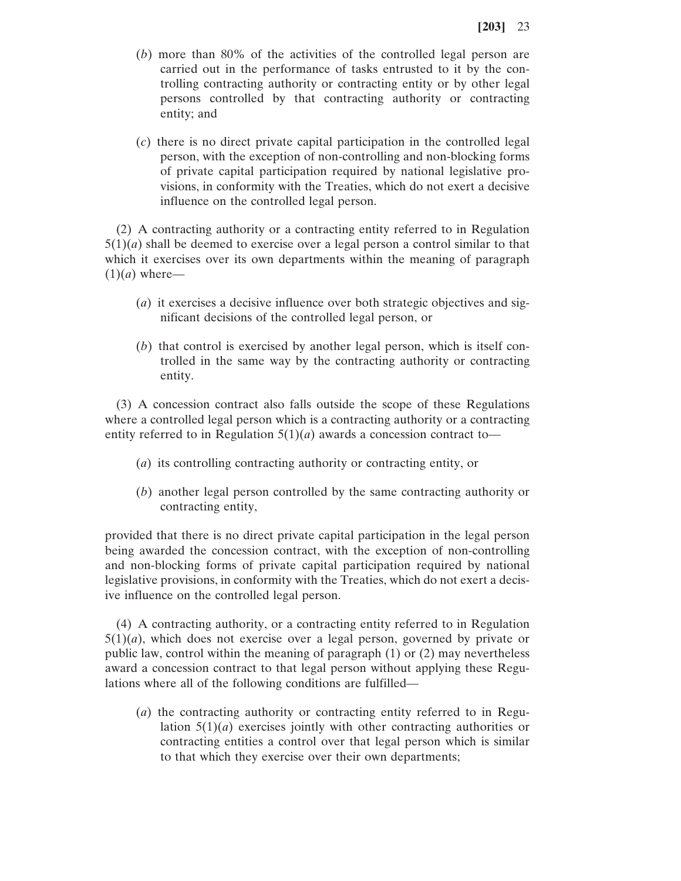- (*b*) more than 80% of the activities of the controlled legal person are carried out in the performance of tasks entrusted to it by the controlling contracting authority or contracting entity or by other legal persons controlled by that contracting authority or contracting entity; and
- (*c*) there is no direct private capital participation in the controlled legal person, with the exception of non-controlling and non-blocking forms of private capital participation required by national legislative provisions, in conformity with the Treaties, which do not exert a decisive influence on the controlled legal person.

(2) A contracting authority or a contracting entity referred to in Regulation  $5(1)(a)$  shall be deemed to exercise over a legal person a control similar to that which it exercises over its own departments within the meaning of paragraph  $(1)(a)$  where—

- (*a*) it exercises a decisive influence over both strategic objectives and significant decisions of the controlled legal person, or
- (*b*) that control is exercised by another legal person, which is itself controlled in the same way by the contracting authority or contracting entity.

(3) A concession contract also falls outside the scope of these Regulations where a controlled legal person which is a contracting authority or a contracting entity referred to in Regulation  $5(1)(a)$  awards a concession contract to-

- (*a*) its controlling contracting authority or contracting entity, or
- (*b*) another legal person controlled by the same contracting authority or contracting entity,

provided that there is no direct private capital participation in the legal person being awarded the concession contract, with the exception of non-controlling and non-blocking forms of private capital participation required by national legislative provisions, in conformity with the Treaties, which do not exert a decisive influence on the controlled legal person.

(4) A contracting authority, or a contracting entity referred to in Regulation  $5(1)(a)$ , which does not exercise over a legal person, governed by private or public law, control within the meaning of paragraph (1) or (2) may nevertheless award a concession contract to that legal person without applying these Regulations where all of the following conditions are fulfilled—

(*a*) the contracting authority or contracting entity referred to in Regulation  $5(1)(a)$  exercises jointly with other contracting authorities or contracting entities a control over that legal person which is similar to that which they exercise over their own departments;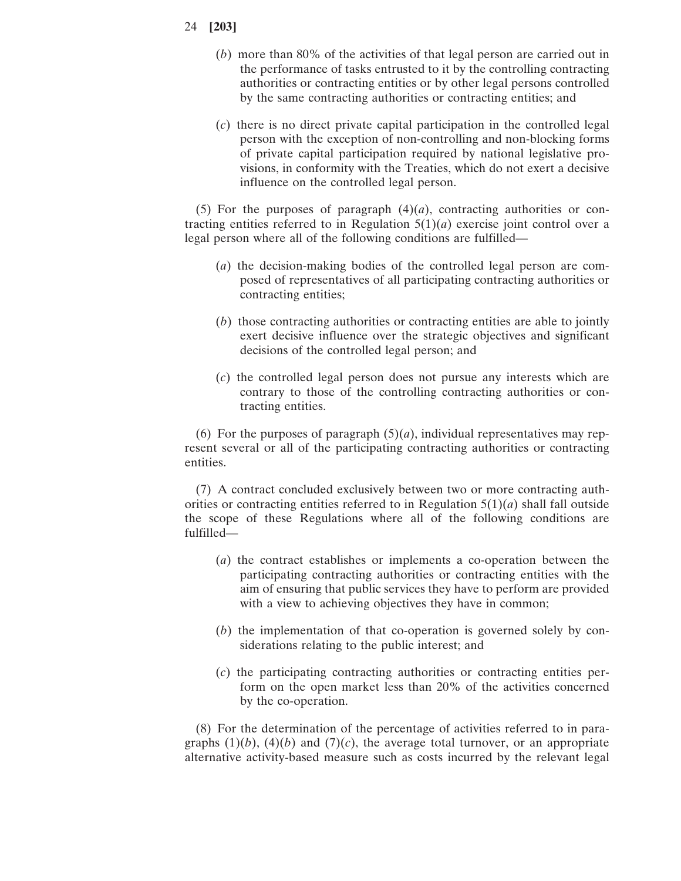- 24 **[203]**
	- (*b*) more than 80% of the activities of that legal person are carried out in the performance of tasks entrusted to it by the controlling contracting authorities or contracting entities or by other legal persons controlled by the same contracting authorities or contracting entities; and
	- (*c*) there is no direct private capital participation in the controlled legal person with the exception of non-controlling and non-blocking forms of private capital participation required by national legislative provisions, in conformity with the Treaties, which do not exert a decisive influence on the controlled legal person.

(5) For the purposes of paragraph  $(4)(a)$ , contracting authorities or contracting entities referred to in Regulation  $5(1)(a)$  exercise joint control over a legal person where all of the following conditions are fulfilled—

- (*a*) the decision-making bodies of the controlled legal person are composed of representatives of all participating contracting authorities or contracting entities;
- (*b*) those contracting authorities or contracting entities are able to jointly exert decisive influence over the strategic objectives and significant decisions of the controlled legal person; and
- (*c*) the controlled legal person does not pursue any interests which are contrary to those of the controlling contracting authorities or contracting entities.

(6) For the purposes of paragraph  $(5)(a)$ , individual representatives may represent several or all of the participating contracting authorities or contracting entities.

(7) A contract concluded exclusively between two or more contracting authorities or contracting entities referred to in Regulation  $5(1)(a)$  shall fall outside the scope of these Regulations where all of the following conditions are fulfilled—

- (*a*) the contract establishes or implements a co-operation between the participating contracting authorities or contracting entities with the aim of ensuring that public services they have to perform are provided with a view to achieving objectives they have in common;
- (*b*) the implementation of that co-operation is governed solely by considerations relating to the public interest; and
- (*c*) the participating contracting authorities or contracting entities perform on the open market less than 20% of the activities concerned by the co-operation.

(8) For the determination of the percentage of activities referred to in paragraphs  $(1)(b)$ ,  $(4)(b)$  and  $(7)(c)$ , the average total turnover, or an appropriate alternative activity-based measure such as costs incurred by the relevant legal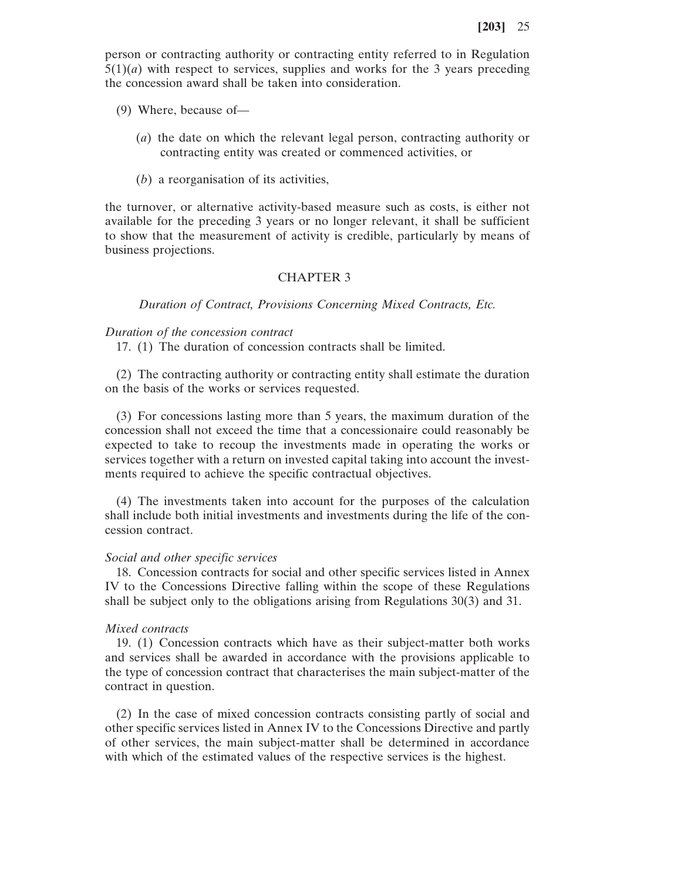person or contracting authority or contracting entity referred to in Regulation  $5(1)(a)$  with respect to services, supplies and works for the 3 years preceding the concession award shall be taken into consideration.

- (9) Where, because of—
	- (*a*) the date on which the relevant legal person, contracting authority or contracting entity was created or commenced activities, or
	- (*b*) a reorganisation of its activities,

the turnover, or alternative activity-based measure such as costs, is either not available for the preceding 3 years or no longer relevant, it shall be sufficient to show that the measurement of activity is credible, particularly by means of business projections.

### CHAPTER 3

*Duration of Contract, Provisions Concerning Mixed Contracts, Etc.*

#### *Duration of the concession contract*

17. (1) The duration of concession contracts shall be limited.

(2) The contracting authority or contracting entity shall estimate the duration on the basis of the works or services requested.

(3) For concessions lasting more than 5 years, the maximum duration of the concession shall not exceed the time that a concessionaire could reasonably be expected to take to recoup the investments made in operating the works or services together with a return on invested capital taking into account the investments required to achieve the specific contractual objectives.

(4) The investments taken into account for the purposes of the calculation shall include both initial investments and investments during the life of the concession contract.

#### *Social and other specific services*

18. Concession contracts for social and other specific services listed in Annex IV to the Concessions Directive falling within the scope of these Regulations shall be subject only to the obligations arising from Regulations 30(3) and 31.

#### *Mixed contracts*

19. (1) Concession contracts which have as their subject-matter both works and services shall be awarded in accordance with the provisions applicable to the type of concession contract that characterises the main subject-matter of the contract in question.

(2) In the case of mixed concession contracts consisting partly of social and other specific services listed in Annex IV to the Concessions Directive and partly of other services, the main subject-matter shall be determined in accordance with which of the estimated values of the respective services is the highest.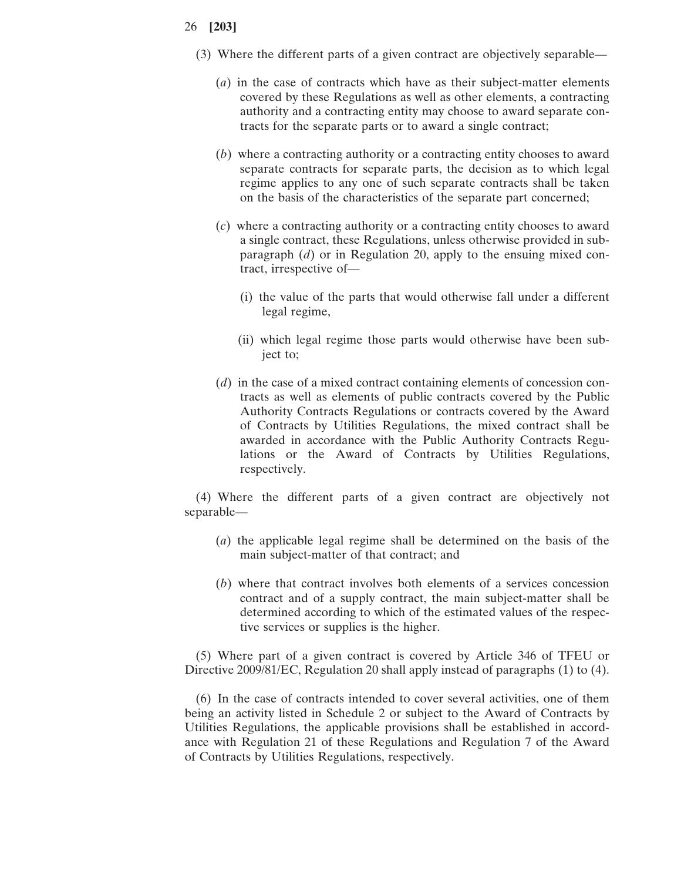- (3) Where the different parts of a given contract are objectively separable—
	- (*a*) in the case of contracts which have as their subject-matter elements covered by these Regulations as well as other elements, a contracting authority and a contracting entity may choose to award separate contracts for the separate parts or to award a single contract;
	- (*b*) where a contracting authority or a contracting entity chooses to award separate contracts for separate parts, the decision as to which legal regime applies to any one of such separate contracts shall be taken on the basis of the characteristics of the separate part concerned;
	- (*c*) where a contracting authority or a contracting entity chooses to award a single contract, these Regulations, unless otherwise provided in subparagraph (*d*) or in Regulation 20, apply to the ensuing mixed contract, irrespective of—
		- (i) the value of the parts that would otherwise fall under a different legal regime,
		- (ii) which legal regime those parts would otherwise have been subject to;
	- (*d*) in the case of a mixed contract containing elements of concession contracts as well as elements of public contracts covered by the Public Authority Contracts Regulations or contracts covered by the Award of Contracts by Utilities Regulations, the mixed contract shall be awarded in accordance with the Public Authority Contracts Regulations or the Award of Contracts by Utilities Regulations, respectively.

(4) Where the different parts of a given contract are objectively not separable—

- (*a*) the applicable legal regime shall be determined on the basis of the main subject-matter of that contract; and
- (*b*) where that contract involves both elements of a services concession contract and of a supply contract, the main subject-matter shall be determined according to which of the estimated values of the respective services or supplies is the higher.

(5) Where part of a given contract is covered by Article 346 of TFEU or Directive 2009/81/EC, Regulation 20 shall apply instead of paragraphs (1) to (4).

(6) In the case of contracts intended to cover several activities, one of them being an activity listed in Schedule 2 or subject to the Award of Contracts by Utilities Regulations, the applicable provisions shall be established in accordance with Regulation 21 of these Regulations and Regulation 7 of the Award of Contracts by Utilities Regulations, respectively.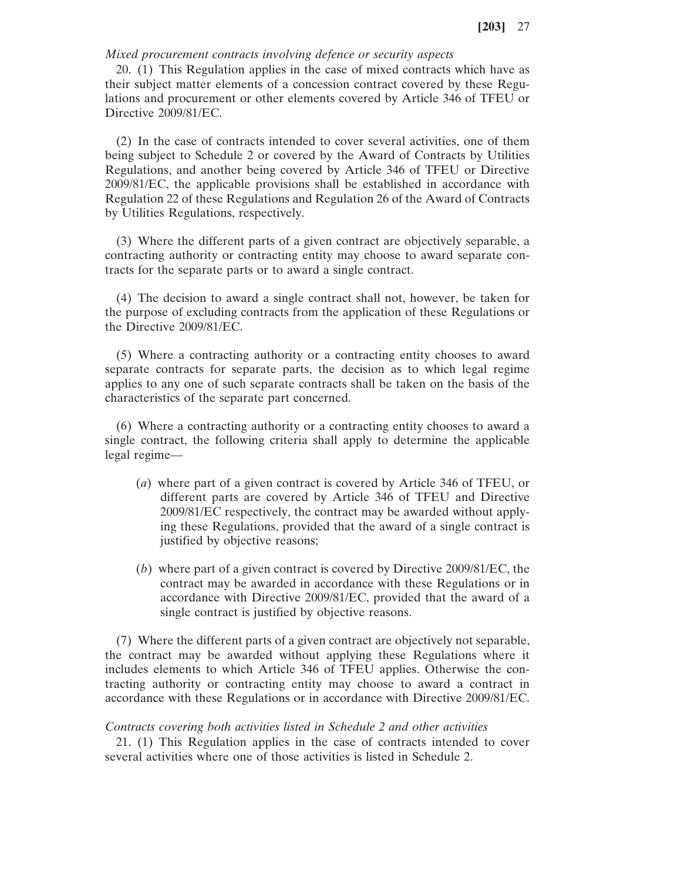*Mixed procurement contracts involving defence or security aspects*

20. (1) This Regulation applies in the case of mixed contracts which have as their subject matter elements of a concession contract covered by these Regulations and procurement or other elements covered by Article 346 of TFEU or Directive 2009/81/EC.

(2) In the case of contracts intended to cover several activities, one of them being subject to Schedule 2 or covered by the Award of Contracts by Utilities Regulations, and another being covered by Article 346 of TFEU or Directive 2009/81/EC, the applicable provisions shall be established in accordance with Regulation 22 of these Regulations and Regulation 26 of the Award of Contracts by Utilities Regulations, respectively.

(3) Where the different parts of a given contract are objectively separable, a contracting authority or contracting entity may choose to award separate contracts for the separate parts or to award a single contract.

(4) The decision to award a single contract shall not, however, be taken for the purpose of excluding contracts from the application of these Regulations or the Directive 2009/81/EC.

(5) Where a contracting authority or a contracting entity chooses to award separate contracts for separate parts, the decision as to which legal regime applies to any one of such separate contracts shall be taken on the basis of the characteristics of the separate part concerned.

(6) Where a contracting authority or a contracting entity chooses to award a single contract, the following criteria shall apply to determine the applicable legal regime—

- (*a*) where part of a given contract is covered by Article 346 of TFEU, or different parts are covered by Article 346 of TFEU and Directive 2009/81/EC respectively, the contract may be awarded without applying these Regulations, provided that the award of a single contract is justified by objective reasons;
- (*b*) where part of a given contract is covered by Directive 2009/81/EC, the contract may be awarded in accordance with these Regulations or in accordance with Directive 2009/81/EC, provided that the award of a single contract is justified by objective reasons.

(7) Where the different parts of a given contract are objectively not separable, the contract may be awarded without applying these Regulations where it includes elements to which Article 346 of TFEU applies. Otherwise the contracting authority or contracting entity may choose to award a contract in accordance with these Regulations or in accordance with Directive 2009/81/EC.

#### *Contracts covering both activities listed in Schedule 2 and other activities*

21. (1) This Regulation applies in the case of contracts intended to cover several activities where one of those activities is listed in Schedule 2.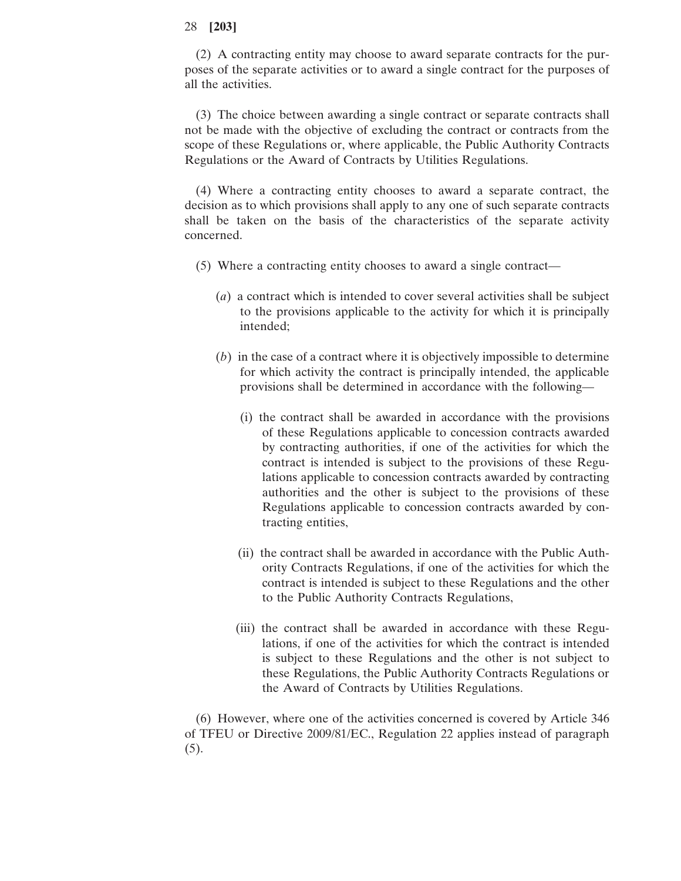(2) A contracting entity may choose to award separate contracts for the purposes of the separate activities or to award a single contract for the purposes of all the activities.

(3) The choice between awarding a single contract or separate contracts shall not be made with the objective of excluding the contract or contracts from the scope of these Regulations or, where applicable, the Public Authority Contracts Regulations or the Award of Contracts by Utilities Regulations.

(4) Where a contracting entity chooses to award a separate contract, the decision as to which provisions shall apply to any one of such separate contracts shall be taken on the basis of the characteristics of the separate activity concerned.

- (5) Where a contracting entity chooses to award a single contract—
	- (*a*) a contract which is intended to cover several activities shall be subject to the provisions applicable to the activity for which it is principally intended;
	- (*b*) in the case of a contract where it is objectively impossible to determine for which activity the contract is principally intended, the applicable provisions shall be determined in accordance with the following—
		- (i) the contract shall be awarded in accordance with the provisions of these Regulations applicable to concession contracts awarded by contracting authorities, if one of the activities for which the contract is intended is subject to the provisions of these Regulations applicable to concession contracts awarded by contracting authorities and the other is subject to the provisions of these Regulations applicable to concession contracts awarded by contracting entities,
		- (ii) the contract shall be awarded in accordance with the Public Authority Contracts Regulations, if one of the activities for which the contract is intended is subject to these Regulations and the other to the Public Authority Contracts Regulations,
		- (iii) the contract shall be awarded in accordance with these Regulations, if one of the activities for which the contract is intended is subject to these Regulations and the other is not subject to these Regulations, the Public Authority Contracts Regulations or the Award of Contracts by Utilities Regulations.

(6) However, where one of the activities concerned is covered by Article 346 of TFEU or Directive 2009/81/EC., Regulation 22 applies instead of paragraph  $(5).$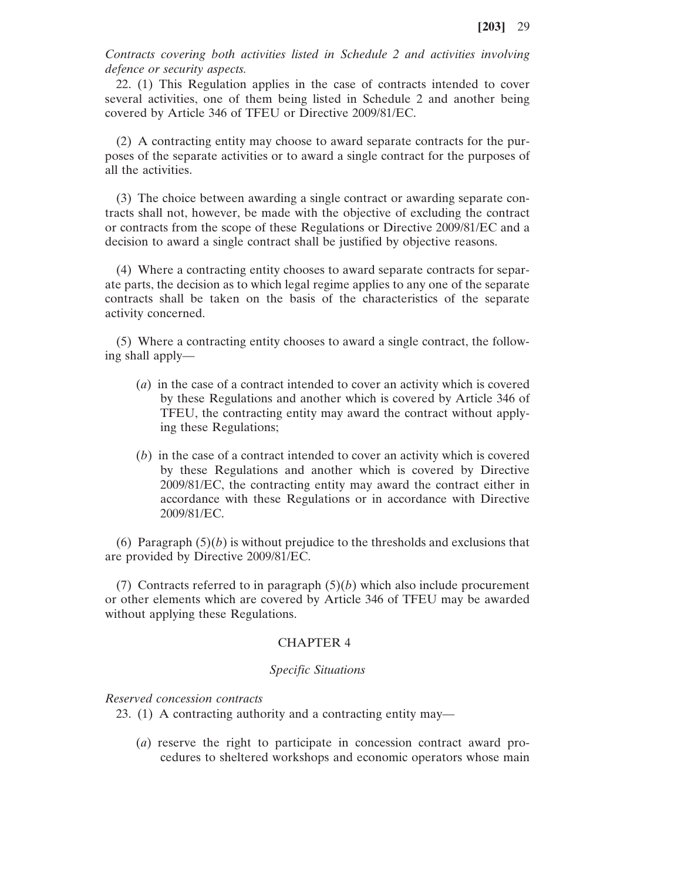*Contracts covering both activities listed in Schedule 2 and activities involving defence or security aspects.*

22. (1) This Regulation applies in the case of contracts intended to cover several activities, one of them being listed in Schedule 2 and another being covered by Article 346 of TFEU or Directive 2009/81/EC.

(2) A contracting entity may choose to award separate contracts for the purposes of the separate activities or to award a single contract for the purposes of all the activities.

(3) The choice between awarding a single contract or awarding separate contracts shall not, however, be made with the objective of excluding the contract or contracts from the scope of these Regulations or Directive 2009/81/EC and a decision to award a single contract shall be justified by objective reasons.

(4) Where a contracting entity chooses to award separate contracts for separate parts, the decision as to which legal regime applies to any one of the separate contracts shall be taken on the basis of the characteristics of the separate activity concerned.

(5) Where a contracting entity chooses to award a single contract, the following shall apply—

- (*a*) in the case of a contract intended to cover an activity which is covered by these Regulations and another which is covered by Article 346 of TFEU, the contracting entity may award the contract without applying these Regulations;
- (*b*) in the case of a contract intended to cover an activity which is covered by these Regulations and another which is covered by Directive 2009/81/EC, the contracting entity may award the contract either in accordance with these Regulations or in accordance with Directive 2009/81/EC.

(6) Paragraph  $(5)(b)$  is without prejudice to the thresholds and exclusions that are provided by Directive 2009/81/EC.

(7) Contracts referred to in paragraph  $(5)(b)$  which also include procurement or other elements which are covered by Article 346 of TFEU may be awarded without applying these Regulations.

# CHAPTER 4

### *Specific Situations*

*Reserved concession contracts*

23. (1) A contracting authority and a contracting entity may—

(*a*) reserve the right to participate in concession contract award procedures to sheltered workshops and economic operators whose main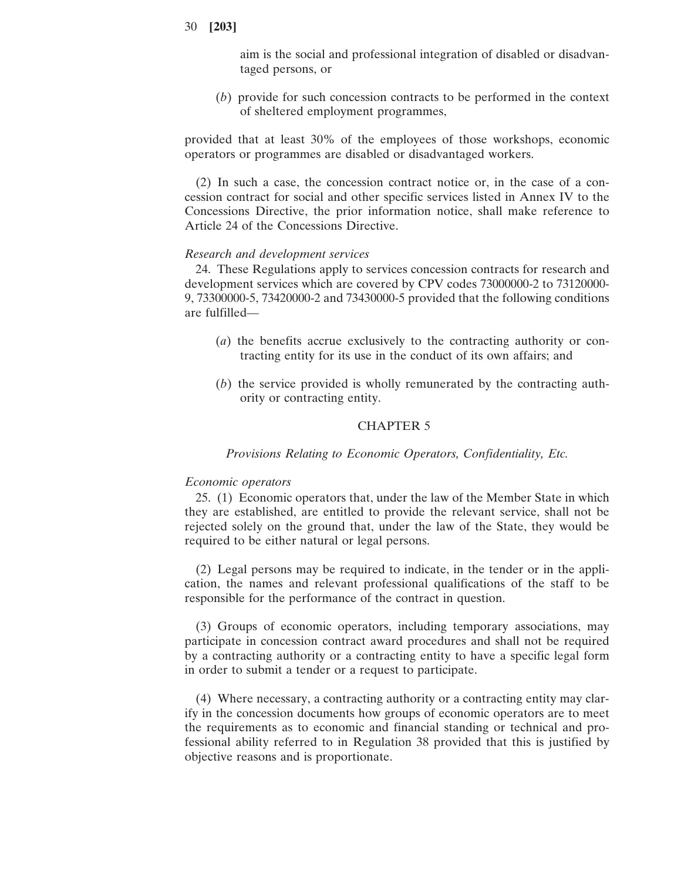aim is the social and professional integration of disabled or disadvantaged persons, or

(*b*) provide for such concession contracts to be performed in the context of sheltered employment programmes,

provided that at least 30% of the employees of those workshops, economic operators or programmes are disabled or disadvantaged workers.

(2) In such a case, the concession contract notice or, in the case of a concession contract for social and other specific services listed in Annex IV to the Concessions Directive, the prior information notice, shall make reference to Article 24 of the Concessions Directive.

### *Research and development services*

24. These Regulations apply to services concession contracts for research and development services which are covered by CPV codes 73000000-2 to 73120000- 9, 73300000-5, 73420000-2 and 73430000-5 provided that the following conditions are fulfilled—

- (*a*) the benefits accrue exclusively to the contracting authority or contracting entity for its use in the conduct of its own affairs; and
- (*b*) the service provided is wholly remunerated by the contracting authority or contracting entity.

### CHAPTER 5

### *Provisions Relating to Economic Operators, Confidentiality, Etc.*

### *Economic operators*

25. (1) Economic operators that, under the law of the Member State in which they are established, are entitled to provide the relevant service, shall not be rejected solely on the ground that, under the law of the State, they would be required to be either natural or legal persons.

(2) Legal persons may be required to indicate, in the tender or in the application, the names and relevant professional qualifications of the staff to be responsible for the performance of the contract in question.

(3) Groups of economic operators, including temporary associations, may participate in concession contract award procedures and shall not be required by a contracting authority or a contracting entity to have a specific legal form in order to submit a tender or a request to participate.

(4) Where necessary, a contracting authority or a contracting entity may clarify in the concession documents how groups of economic operators are to meet the requirements as to economic and financial standing or technical and professional ability referred to in Regulation 38 provided that this is justified by objective reasons and is proportionate.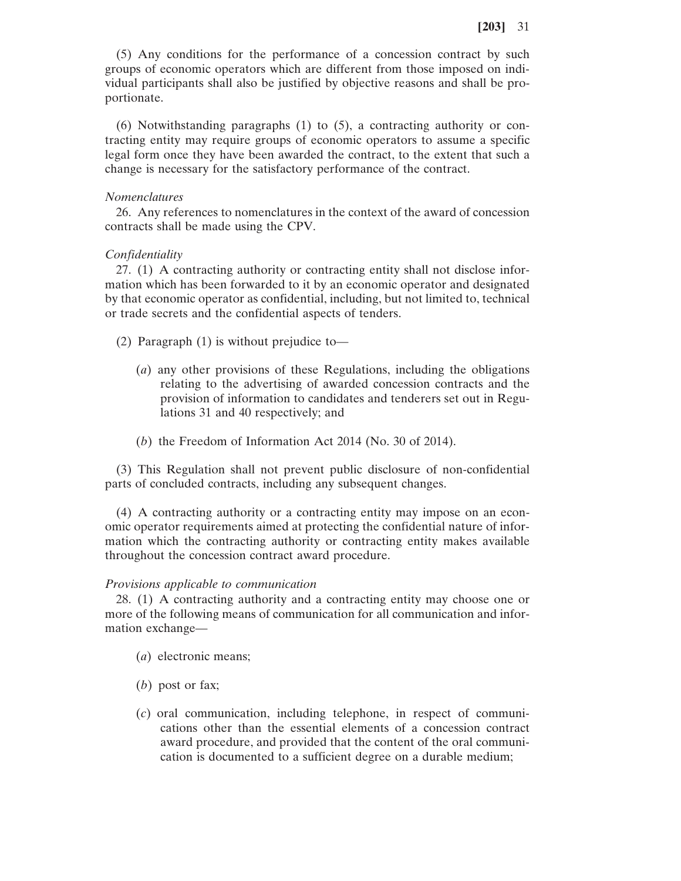(5) Any conditions for the performance of a concession contract by such groups of economic operators which are different from those imposed on individual participants shall also be justified by objective reasons and shall be proportionate.

(6) Notwithstanding paragraphs (1) to (5), a contracting authority or contracting entity may require groups of economic operators to assume a specific legal form once they have been awarded the contract, to the extent that such a change is necessary for the satisfactory performance of the contract.

#### *Nomenclatures*

26. Any references to nomenclatures in the context of the award of concession contracts shall be made using the CPV.

#### *Confidentiality*

27. (1) A contracting authority or contracting entity shall not disclose information which has been forwarded to it by an economic operator and designated by that economic operator as confidential, including, but not limited to, technical or trade secrets and the confidential aspects of tenders.

- (2) Paragraph (1) is without prejudice to—
	- (*a*) any other provisions of these Regulations, including the obligations relating to the advertising of awarded concession contracts and the provision of information to candidates and tenderers set out in Regulations 31 and 40 respectively; and
	- (*b*) the Freedom of Information Act 2014 (No. 30 of 2014).

(3) This Regulation shall not prevent public disclosure of non-confidential parts of concluded contracts, including any subsequent changes.

(4) A contracting authority or a contracting entity may impose on an economic operator requirements aimed at protecting the confidential nature of information which the contracting authority or contracting entity makes available throughout the concession contract award procedure.

#### *Provisions applicable to communication*

28. (1) A contracting authority and a contracting entity may choose one or more of the following means of communication for all communication and information exchange—

- (*a*) electronic means;
- (*b*) post or fax;
- (*c*) oral communication, including telephone, in respect of communications other than the essential elements of a concession contract award procedure, and provided that the content of the oral communication is documented to a sufficient degree on a durable medium;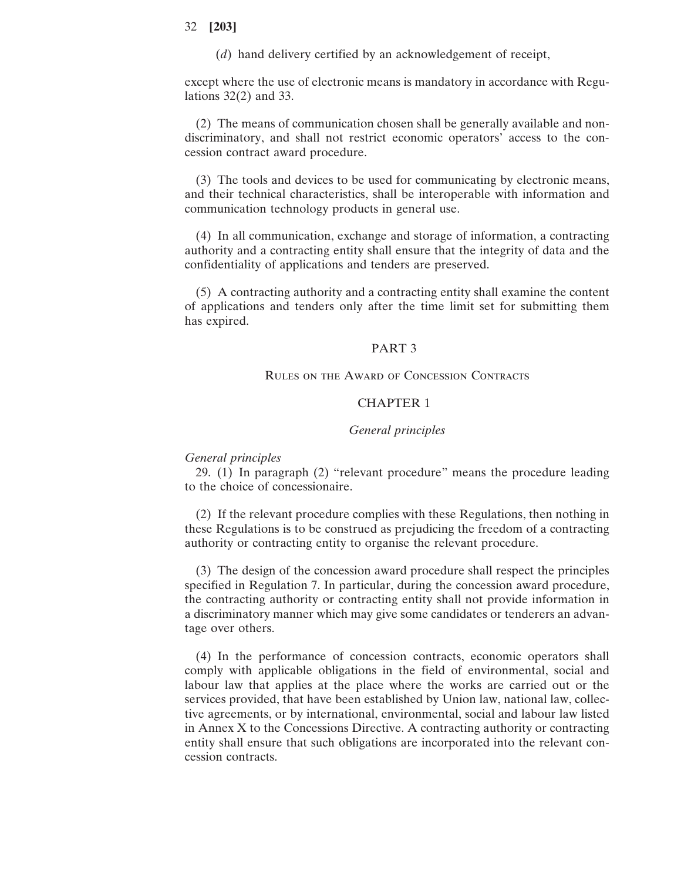(*d*) hand delivery certified by an acknowledgement of receipt,

except where the use of electronic means is mandatory in accordance with Regulations 32(2) and 33.

(2) The means of communication chosen shall be generally available and nondiscriminatory, and shall not restrict economic operators' access to the concession contract award procedure.

(3) The tools and devices to be used for communicating by electronic means, and their technical characteristics, shall be interoperable with information and communication technology products in general use.

(4) In all communication, exchange and storage of information, a contracting authority and a contracting entity shall ensure that the integrity of data and the confidentiality of applications and tenders are preserved.

(5) A contracting authority and a contracting entity shall examine the content of applications and tenders only after the time limit set for submitting them has expired.

### PART 3

#### Rules on the Award of Concession Contracts

# CHAPTER 1

### *General principles*

### *General principles*

29. (1) In paragraph (2) "relevant procedure" means the procedure leading to the choice of concessionaire.

(2) If the relevant procedure complies with these Regulations, then nothing in these Regulations is to be construed as prejudicing the freedom of a contracting authority or contracting entity to organise the relevant procedure.

(3) The design of the concession award procedure shall respect the principles specified in Regulation 7. In particular, during the concession award procedure, the contracting authority or contracting entity shall not provide information in a discriminatory manner which may give some candidates or tenderers an advantage over others.

(4) In the performance of concession contracts, economic operators shall comply with applicable obligations in the field of environmental, social and labour law that applies at the place where the works are carried out or the services provided, that have been established by Union law, national law, collective agreements, or by international, environmental, social and labour law listed in Annex X to the Concessions Directive. A contracting authority or contracting entity shall ensure that such obligations are incorporated into the relevant concession contracts.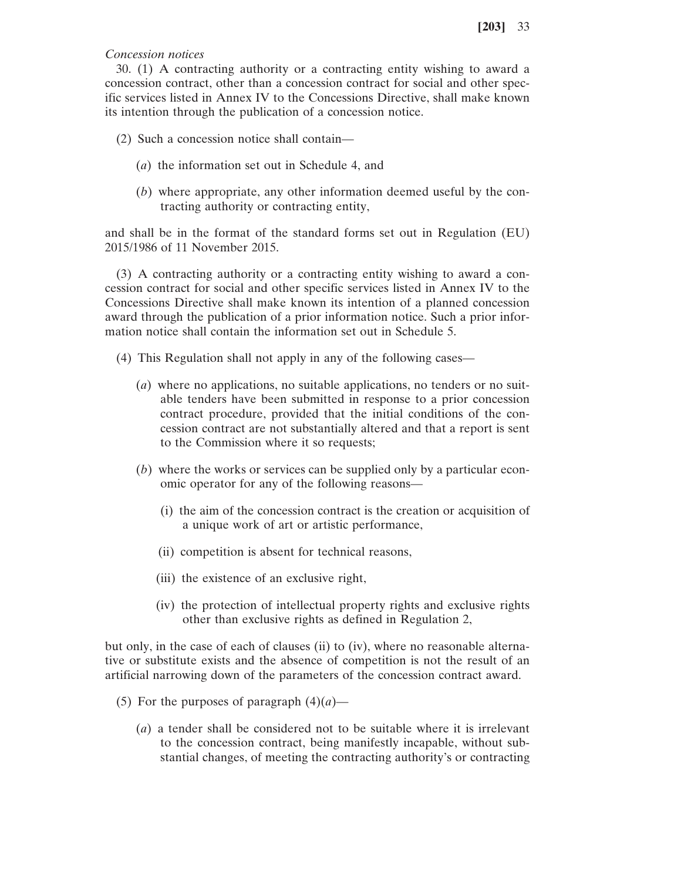# *Concession notices*

30. (1) A contracting authority or a contracting entity wishing to award a concession contract, other than a concession contract for social and other specific services listed in Annex IV to the Concessions Directive, shall make known its intention through the publication of a concession notice.

- (2) Such a concession notice shall contain—
	- (*a*) the information set out in Schedule 4, and
	- (*b*) where appropriate, any other information deemed useful by the contracting authority or contracting entity,

and shall be in the format of the standard forms set out in Regulation (EU) 2015/1986 of 11 November 2015.

(3) A contracting authority or a contracting entity wishing to award a concession contract for social and other specific services listed in Annex IV to the Concessions Directive shall make known its intention of a planned concession award through the publication of a prior information notice. Such a prior information notice shall contain the information set out in Schedule 5.

- (4) This Regulation shall not apply in any of the following cases—
	- (*a*) where no applications, no suitable applications, no tenders or no suitable tenders have been submitted in response to a prior concession contract procedure, provided that the initial conditions of the concession contract are not substantially altered and that a report is sent to the Commission where it so requests;
	- (*b*) where the works or services can be supplied only by a particular economic operator for any of the following reasons—
		- (i) the aim of the concession contract is the creation or acquisition of a unique work of art or artistic performance,
		- (ii) competition is absent for technical reasons,
		- (iii) the existence of an exclusive right,
		- (iv) the protection of intellectual property rights and exclusive rights other than exclusive rights as defined in Regulation 2,

but only, in the case of each of clauses (ii) to (iv), where no reasonable alternative or substitute exists and the absence of competition is not the result of an artificial narrowing down of the parameters of the concession contract award.

- (5) For the purposes of paragraph  $(4)(a)$ 
	- (*a*) a tender shall be considered not to be suitable where it is irrelevant to the concession contract, being manifestly incapable, without substantial changes, of meeting the contracting authority's or contracting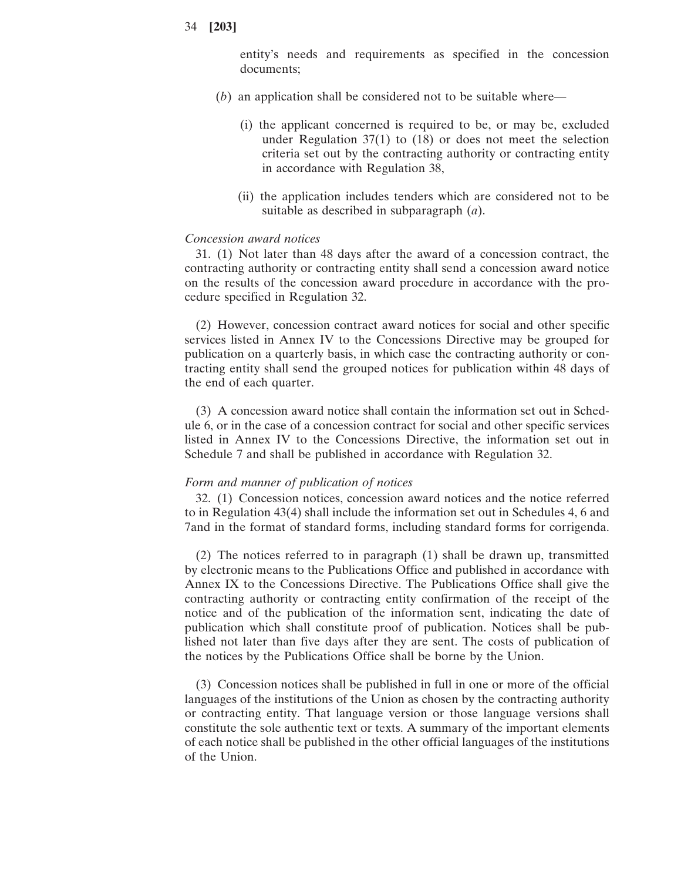entity's needs and requirements as specified in the concession documents;

- (*b*) an application shall be considered not to be suitable where—
	- (i) the applicant concerned is required to be, or may be, excluded under Regulation 37(1) to (18) or does not meet the selection criteria set out by the contracting authority or contracting entity in accordance with Regulation 38,
	- (ii) the application includes tenders which are considered not to be suitable as described in subparagraph (*a*).

### *Concession award notices*

31. (1) Not later than 48 days after the award of a concession contract, the contracting authority or contracting entity shall send a concession award notice on the results of the concession award procedure in accordance with the procedure specified in Regulation 32.

(2) However, concession contract award notices for social and other specific services listed in Annex IV to the Concessions Directive may be grouped for publication on a quarterly basis, in which case the contracting authority or contracting entity shall send the grouped notices for publication within 48 days of the end of each quarter.

(3) A concession award notice shall contain the information set out in Schedule 6, or in the case of a concession contract for social and other specific services listed in Annex IV to the Concessions Directive, the information set out in Schedule 7 and shall be published in accordance with Regulation 32.

### *Form and manner of publication of notices*

32. (1) Concession notices, concession award notices and the notice referred to in Regulation 43(4) shall include the information set out in Schedules 4, 6 and 7and in the format of standard forms, including standard forms for corrigenda.

(2) The notices referred to in paragraph (1) shall be drawn up, transmitted by electronic means to the Publications Office and published in accordance with Annex IX to the Concessions Directive. The Publications Office shall give the contracting authority or contracting entity confirmation of the receipt of the notice and of the publication of the information sent, indicating the date of publication which shall constitute proof of publication. Notices shall be published not later than five days after they are sent. The costs of publication of the notices by the Publications Office shall be borne by the Union.

(3) Concession notices shall be published in full in one or more of the official languages of the institutions of the Union as chosen by the contracting authority or contracting entity. That language version or those language versions shall constitute the sole authentic text or texts. A summary of the important elements of each notice shall be published in the other official languages of the institutions of the Union.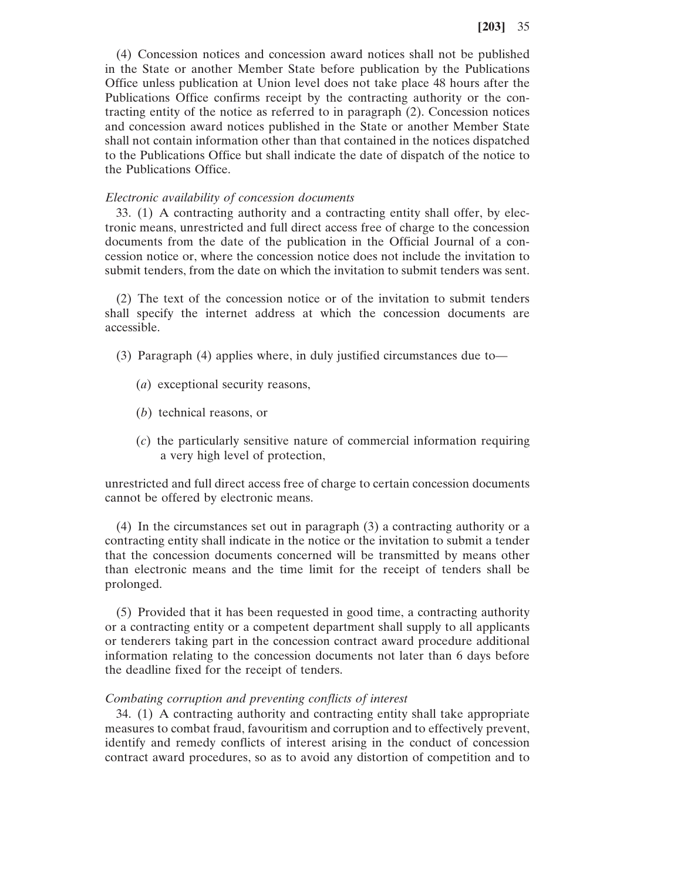(4) Concession notices and concession award notices shall not be published in the State or another Member State before publication by the Publications Office unless publication at Union level does not take place 48 hours after the Publications Office confirms receipt by the contracting authority or the contracting entity of the notice as referred to in paragraph (2). Concession notices and concession award notices published in the State or another Member State shall not contain information other than that contained in the notices dispatched to the Publications Office but shall indicate the date of dispatch of the notice to the Publications Office.

### *Electronic availability of concession documents*

33. (1) A contracting authority and a contracting entity shall offer, by electronic means, unrestricted and full direct access free of charge to the concession documents from the date of the publication in the Official Journal of a concession notice or, where the concession notice does not include the invitation to submit tenders, from the date on which the invitation to submit tenders was sent.

(2) The text of the concession notice or of the invitation to submit tenders shall specify the internet address at which the concession documents are accessible.

- (3) Paragraph (4) applies where, in duly justified circumstances due to—
	- (*a*) exceptional security reasons,
	- (*b*) technical reasons, or
	- (*c*) the particularly sensitive nature of commercial information requiring a very high level of protection,

unrestricted and full direct access free of charge to certain concession documents cannot be offered by electronic means.

(4) In the circumstances set out in paragraph (3) a contracting authority or a contracting entity shall indicate in the notice or the invitation to submit a tender that the concession documents concerned will be transmitted by means other than electronic means and the time limit for the receipt of tenders shall be prolonged.

(5) Provided that it has been requested in good time, a contracting authority or a contracting entity or a competent department shall supply to all applicants or tenderers taking part in the concession contract award procedure additional information relating to the concession documents not later than 6 days before the deadline fixed for the receipt of tenders.

#### *Combating corruption and preventing conflicts of interest*

34. (1) A contracting authority and contracting entity shall take appropriate measures to combat fraud, favouritism and corruption and to effectively prevent, identify and remedy conflicts of interest arising in the conduct of concession contract award procedures, so as to avoid any distortion of competition and to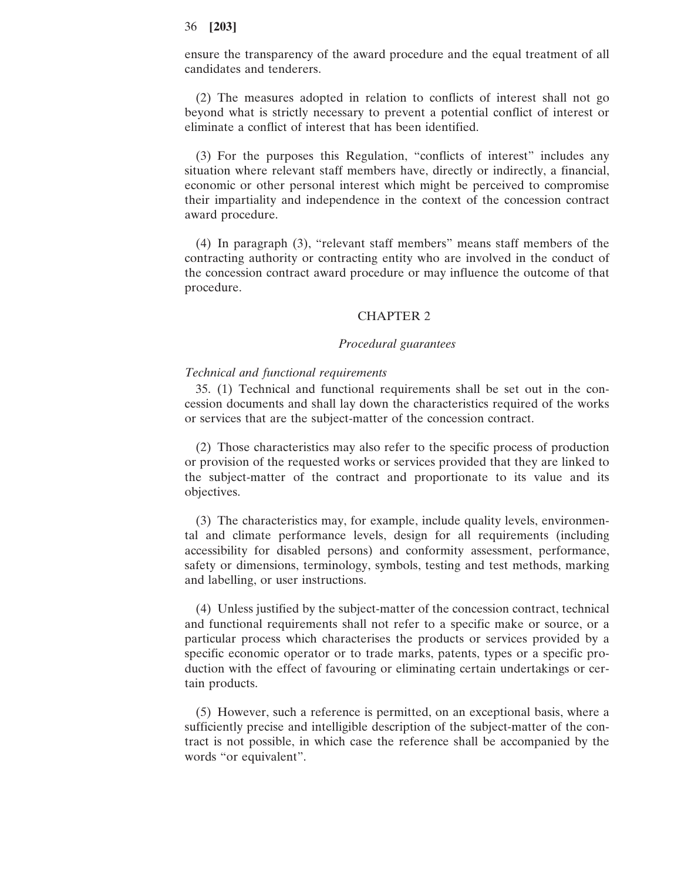ensure the transparency of the award procedure and the equal treatment of all candidates and tenderers.

(2) The measures adopted in relation to conflicts of interest shall not go beyond what is strictly necessary to prevent a potential conflict of interest or eliminate a conflict of interest that has been identified.

(3) For the purposes this Regulation, "conflicts of interest" includes any situation where relevant staff members have, directly or indirectly, a financial, economic or other personal interest which might be perceived to compromise their impartiality and independence in the context of the concession contract award procedure.

(4) In paragraph (3), "relevant staff members" means staff members of the contracting authority or contracting entity who are involved in the conduct of the concession contract award procedure or may influence the outcome of that procedure.

#### CHAPTER 2

### *Procedural guarantees*

### *Technical and functional requirements*

35. (1) Technical and functional requirements shall be set out in the concession documents and shall lay down the characteristics required of the works or services that are the subject-matter of the concession contract.

(2) Those characteristics may also refer to the specific process of production or provision of the requested works or services provided that they are linked to the subject-matter of the contract and proportionate to its value and its objectives.

(3) The characteristics may, for example, include quality levels, environmental and climate performance levels, design for all requirements (including accessibility for disabled persons) and conformity assessment, performance, safety or dimensions, terminology, symbols, testing and test methods, marking and labelling, or user instructions.

(4) Unless justified by the subject-matter of the concession contract, technical and functional requirements shall not refer to a specific make or source, or a particular process which characterises the products or services provided by a specific economic operator or to trade marks, patents, types or a specific production with the effect of favouring or eliminating certain undertakings or certain products.

(5) However, such a reference is permitted, on an exceptional basis, where a sufficiently precise and intelligible description of the subject-matter of the contract is not possible, in which case the reference shall be accompanied by the words "or equivalent".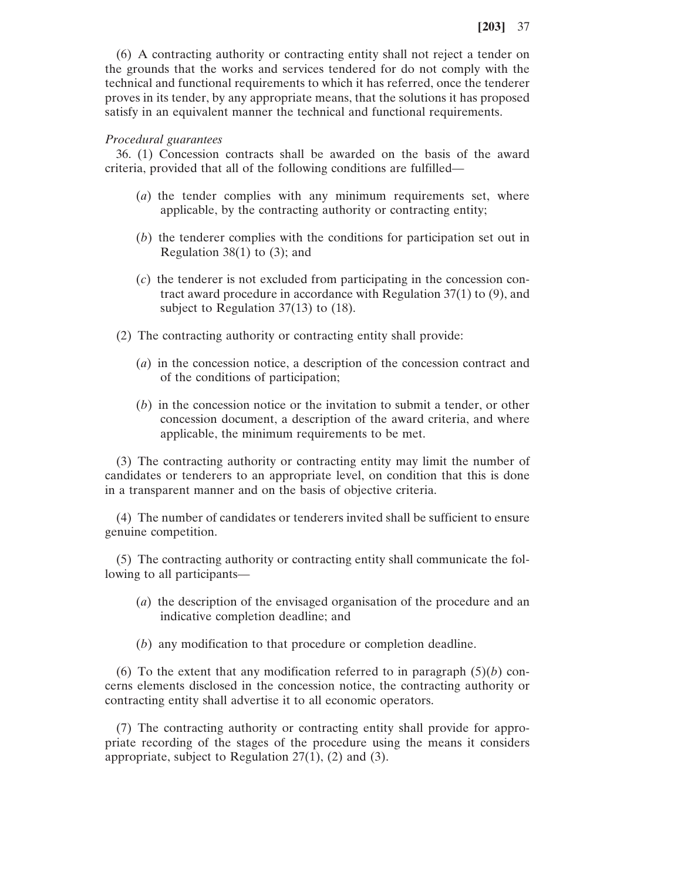(6) A contracting authority or contracting entity shall not reject a tender on the grounds that the works and services tendered for do not comply with the technical and functional requirements to which it has referred, once the tenderer proves in its tender, by any appropriate means, that the solutions it has proposed satisfy in an equivalent manner the technical and functional requirements.

### *Procedural guarantees*

36. (1) Concession contracts shall be awarded on the basis of the award criteria, provided that all of the following conditions are fulfilled—

- (*a*) the tender complies with any minimum requirements set, where applicable, by the contracting authority or contracting entity;
- (*b*) the tenderer complies with the conditions for participation set out in Regulation  $38(1)$  to  $(3)$ ; and
- (*c*) the tenderer is not excluded from participating in the concession contract award procedure in accordance with Regulation 37(1) to (9), and subject to Regulation 37(13) to (18).
- (2) The contracting authority or contracting entity shall provide:
	- (*a*) in the concession notice, a description of the concession contract and of the conditions of participation;
	- (*b*) in the concession notice or the invitation to submit a tender, or other concession document, a description of the award criteria, and where applicable, the minimum requirements to be met.

(3) The contracting authority or contracting entity may limit the number of candidates or tenderers to an appropriate level, on condition that this is done in a transparent manner and on the basis of objective criteria.

(4) The number of candidates or tenderers invited shall be sufficient to ensure genuine competition.

(5) The contracting authority or contracting entity shall communicate the following to all participants—

- (*a*) the description of the envisaged organisation of the procedure and an indicative completion deadline; and
- (*b*) any modification to that procedure or completion deadline.

(6) To the extent that any modification referred to in paragraph  $(5)(b)$  concerns elements disclosed in the concession notice, the contracting authority or contracting entity shall advertise it to all economic operators.

(7) The contracting authority or contracting entity shall provide for appropriate recording of the stages of the procedure using the means it considers appropriate, subject to Regulation  $27(1)$ ,  $(2)$  and  $(3)$ .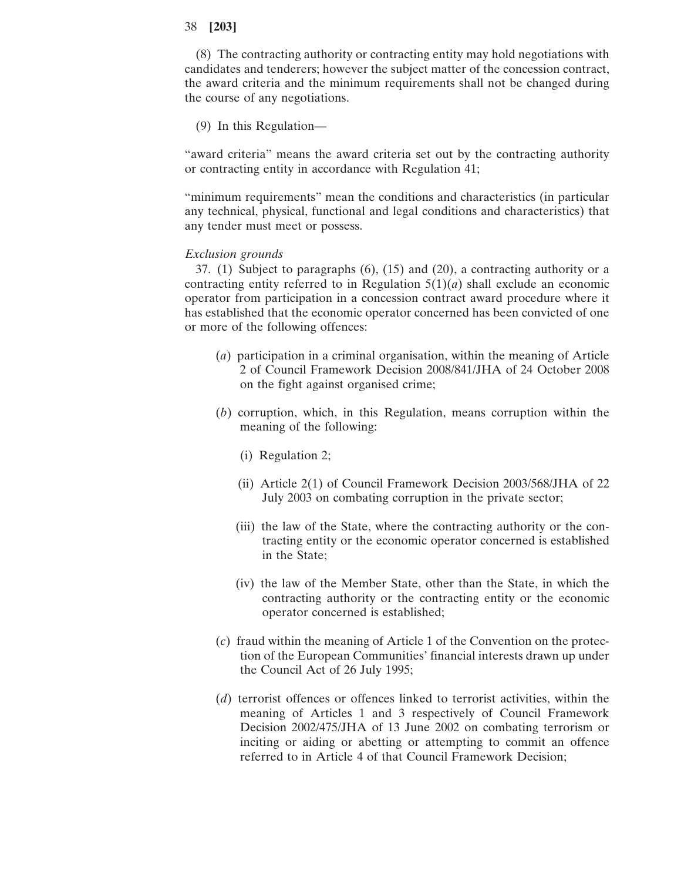(8) The contracting authority or contracting entity may hold negotiations with candidates and tenderers; however the subject matter of the concession contract, the award criteria and the minimum requirements shall not be changed during the course of any negotiations.

(9) In this Regulation—

"award criteria" means the award criteria set out by the contracting authority or contracting entity in accordance with Regulation 41;

"minimum requirements" mean the conditions and characteristics (in particular any technical, physical, functional and legal conditions and characteristics) that any tender must meet or possess.

# *Exclusion grounds*

37. (1) Subject to paragraphs (6), (15) and (20), a contracting authority or a contracting entity referred to in Regulation  $5(1)(a)$  shall exclude an economic operator from participation in a concession contract award procedure where it has established that the economic operator concerned has been convicted of one or more of the following offences:

- (*a*) participation in a criminal organisation, within the meaning of Article 2 of Council Framework Decision 2008/841/JHA of 24 October 2008 on the fight against organised crime;
- (*b*) corruption, which, in this Regulation, means corruption within the meaning of the following:
	- (i) Regulation 2;
	- (ii) Article 2(1) of Council Framework Decision 2003/568/JHA of 22 July 2003 on combating corruption in the private sector;
	- (iii) the law of the State, where the contracting authority or the contracting entity or the economic operator concerned is established in the State;
	- (iv) the law of the Member State, other than the State, in which the contracting authority or the contracting entity or the economic operator concerned is established;
- (*c*) fraud within the meaning of Article 1 of the Convention on the protection of the European Communities' financial interests drawn up under the Council Act of 26 July 1995;
- (*d*) terrorist offences or offences linked to terrorist activities, within the meaning of Articles 1 and 3 respectively of Council Framework Decision 2002/475/JHA of 13 June 2002 on combating terrorism or inciting or aiding or abetting or attempting to commit an offence referred to in Article 4 of that Council Framework Decision;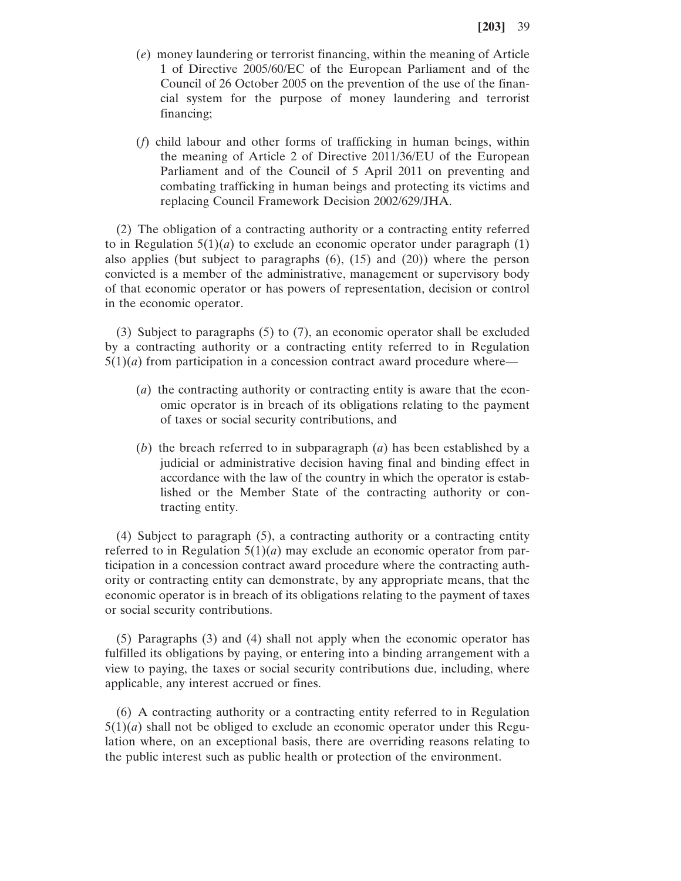- (*e*) money laundering or terrorist financing, within the meaning of Article 1 of Directive 2005/60/EC of the European Parliament and of the Council of 26 October 2005 on the prevention of the use of the financial system for the purpose of money laundering and terrorist financing;
- (*f*) child labour and other forms of trafficking in human beings, within the meaning of Article 2 of Directive 2011/36/EU of the European Parliament and of the Council of 5 April 2011 on preventing and combating trafficking in human beings and protecting its victims and replacing Council Framework Decision 2002/629/JHA.

(2) The obligation of a contracting authority or a contracting entity referred to in Regulation  $5(1)(a)$  to exclude an economic operator under paragraph  $(1)$ also applies (but subject to paragraphs (6), (15) and (20)) where the person convicted is a member of the administrative, management or supervisory body of that economic operator or has powers of representation, decision or control in the economic operator.

(3) Subject to paragraphs (5) to (7), an economic operator shall be excluded by a contracting authority or a contracting entity referred to in Regulation  $5(1)(a)$  from participation in a concession contract award procedure where—

- (*a*) the contracting authority or contracting entity is aware that the economic operator is in breach of its obligations relating to the payment of taxes or social security contributions, and
- (*b*) the breach referred to in subparagraph (*a*) has been established by a judicial or administrative decision having final and binding effect in accordance with the law of the country in which the operator is established or the Member State of the contracting authority or contracting entity.

(4) Subject to paragraph (5), a contracting authority or a contracting entity referred to in Regulation  $5(1)(a)$  may exclude an economic operator from participation in a concession contract award procedure where the contracting authority or contracting entity can demonstrate, by any appropriate means, that the economic operator is in breach of its obligations relating to the payment of taxes or social security contributions.

(5) Paragraphs (3) and (4) shall not apply when the economic operator has fulfilled its obligations by paying, or entering into a binding arrangement with a view to paying, the taxes or social security contributions due, including, where applicable, any interest accrued or fines.

(6) A contracting authority or a contracting entity referred to in Regulation  $5(1)(a)$  shall not be obliged to exclude an economic operator under this Regulation where, on an exceptional basis, there are overriding reasons relating to the public interest such as public health or protection of the environment.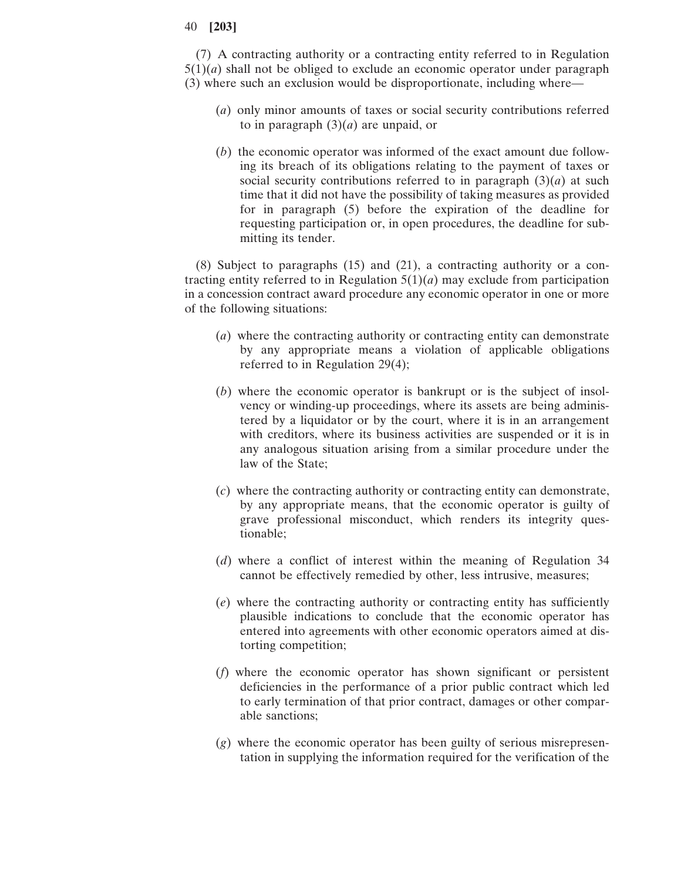(7) A contracting authority or a contracting entity referred to in Regulation  $5(1)(a)$  shall not be obliged to exclude an economic operator under paragraph (3) where such an exclusion would be disproportionate, including where—

- (*a*) only minor amounts of taxes or social security contributions referred to in paragraph (3)(*a*) are unpaid, or
- (*b*) the economic operator was informed of the exact amount due following its breach of its obligations relating to the payment of taxes or social security contributions referred to in paragraph  $(3)(a)$  at such time that it did not have the possibility of taking measures as provided for in paragraph (5) before the expiration of the deadline for requesting participation or, in open procedures, the deadline for submitting its tender.

(8) Subject to paragraphs (15) and (21), a contracting authority or a contracting entity referred to in Regulation  $5(1)(a)$  may exclude from participation in a concession contract award procedure any economic operator in one or more of the following situations:

- (*a*) where the contracting authority or contracting entity can demonstrate by any appropriate means a violation of applicable obligations referred to in Regulation 29(4);
- (*b*) where the economic operator is bankrupt or is the subject of insolvency or winding-up proceedings, where its assets are being administered by a liquidator or by the court, where it is in an arrangement with creditors, where its business activities are suspended or it is in any analogous situation arising from a similar procedure under the law of the State;
- (*c*) where the contracting authority or contracting entity can demonstrate, by any appropriate means, that the economic operator is guilty of grave professional misconduct, which renders its integrity questionable;
- (*d*) where a conflict of interest within the meaning of Regulation 34 cannot be effectively remedied by other, less intrusive, measures;
- (*e*) where the contracting authority or contracting entity has sufficiently plausible indications to conclude that the economic operator has entered into agreements with other economic operators aimed at distorting competition;
- (*f*) where the economic operator has shown significant or persistent deficiencies in the performance of a prior public contract which led to early termination of that prior contract, damages or other comparable sanctions;
- (*g*) where the economic operator has been guilty of serious misrepresentation in supplying the information required for the verification of the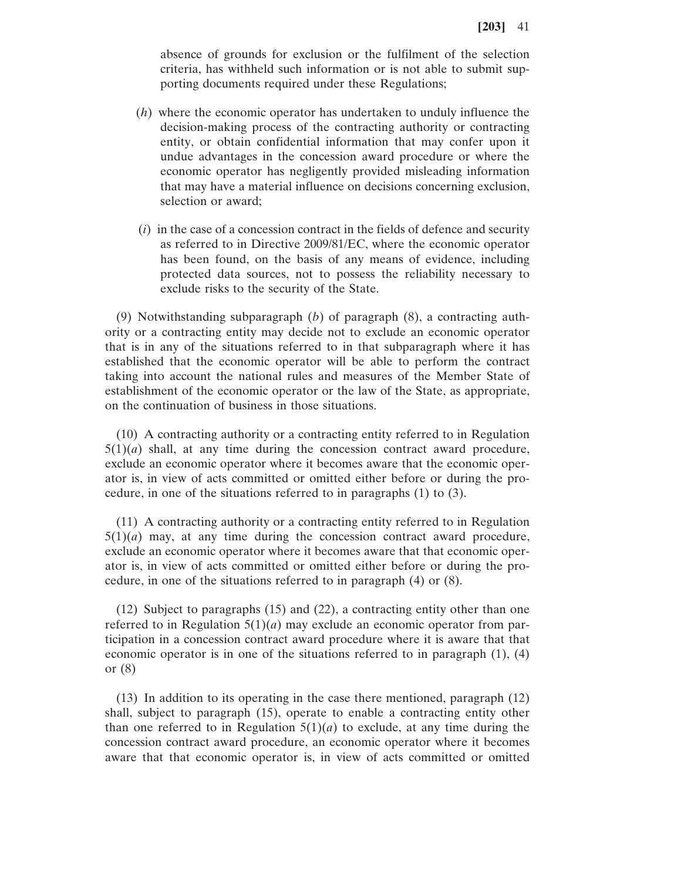absence of grounds for exclusion or the fulfilment of the selection criteria, has withheld such information or is not able to submit supporting documents required under these Regulations;

- (*h*) where the economic operator has undertaken to unduly influence the decision-making process of the contracting authority or contracting entity, or obtain confidential information that may confer upon it undue advantages in the concession award procedure or where the economic operator has negligently provided misleading information that may have a material influence on decisions concerning exclusion, selection or award;
- (*i*) in the case of a concession contract in the fields of defence and security as referred to in Directive 2009/81/EC, where the economic operator has been found, on the basis of any means of evidence, including protected data sources, not to possess the reliability necessary to exclude risks to the security of the State.

(9) Notwithstanding subparagraph (*b*) of paragraph (8), a contracting authority or a contracting entity may decide not to exclude an economic operator that is in any of the situations referred to in that subparagraph where it has established that the economic operator will be able to perform the contract taking into account the national rules and measures of the Member State of establishment of the economic operator or the law of the State, as appropriate, on the continuation of business in those situations.

(10) A contracting authority or a contracting entity referred to in Regulation  $5(1)(a)$  shall, at any time during the concession contract award procedure, exclude an economic operator where it becomes aware that the economic operator is, in view of acts committed or omitted either before or during the procedure, in one of the situations referred to in paragraphs (1) to (3).

(11) A contracting authority or a contracting entity referred to in Regulation  $5(1)(a)$  may, at any time during the concession contract award procedure, exclude an economic operator where it becomes aware that that economic operator is, in view of acts committed or omitted either before or during the procedure, in one of the situations referred to in paragraph (4) or (8).

(12) Subject to paragraphs (15) and (22), a contracting entity other than one referred to in Regulation  $5(1)(a)$  may exclude an economic operator from participation in a concession contract award procedure where it is aware that that economic operator is in one of the situations referred to in paragraph (1), (4) or (8)

(13) In addition to its operating in the case there mentioned, paragraph (12) shall, subject to paragraph (15), operate to enable a contracting entity other than one referred to in Regulation  $5(1)(a)$  to exclude, at any time during the concession contract award procedure, an economic operator where it becomes aware that that economic operator is, in view of acts committed or omitted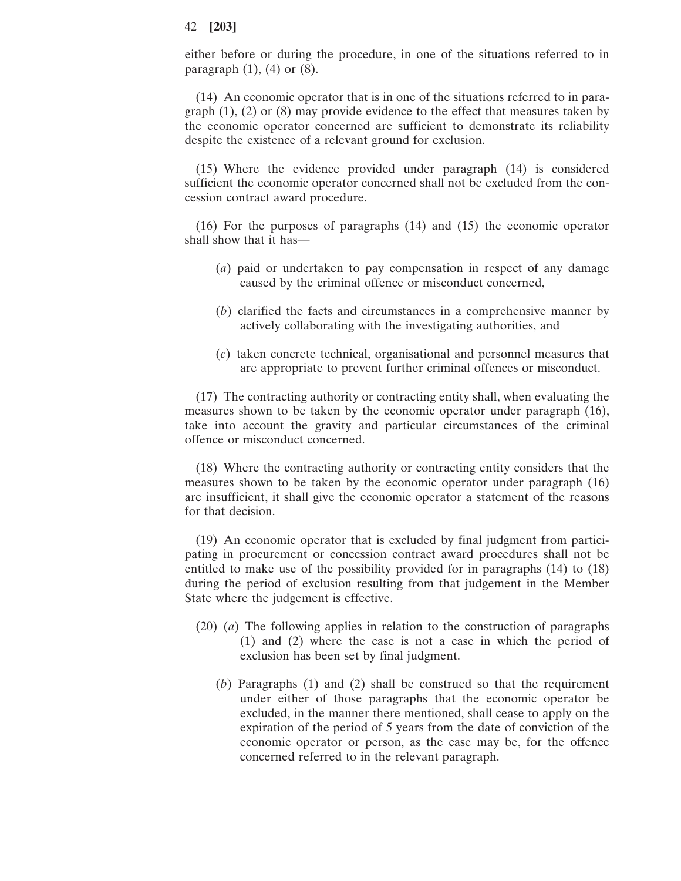either before or during the procedure, in one of the situations referred to in paragraph  $(1)$ ,  $(4)$  or  $(8)$ .

(14) An economic operator that is in one of the situations referred to in paragraph (1), (2) or (8) may provide evidence to the effect that measures taken by the economic operator concerned are sufficient to demonstrate its reliability despite the existence of a relevant ground for exclusion.

(15) Where the evidence provided under paragraph (14) is considered sufficient the economic operator concerned shall not be excluded from the concession contract award procedure.

(16) For the purposes of paragraphs (14) and (15) the economic operator shall show that it has—

- (*a*) paid or undertaken to pay compensation in respect of any damage caused by the criminal offence or misconduct concerned,
- (*b*) clarified the facts and circumstances in a comprehensive manner by actively collaborating with the investigating authorities, and
- (*c*) taken concrete technical, organisational and personnel measures that are appropriate to prevent further criminal offences or misconduct.

(17) The contracting authority or contracting entity shall, when evaluating the measures shown to be taken by the economic operator under paragraph (16), take into account the gravity and particular circumstances of the criminal offence or misconduct concerned.

(18) Where the contracting authority or contracting entity considers that the measures shown to be taken by the economic operator under paragraph (16) are insufficient, it shall give the economic operator a statement of the reasons for that decision.

(19) An economic operator that is excluded by final judgment from participating in procurement or concession contract award procedures shall not be entitled to make use of the possibility provided for in paragraphs (14) to (18) during the period of exclusion resulting from that judgement in the Member State where the judgement is effective.

- (20) (*a*) The following applies in relation to the construction of paragraphs (1) and (2) where the case is not a case in which the period of exclusion has been set by final judgment.
	- (*b*) Paragraphs (1) and (2) shall be construed so that the requirement under either of those paragraphs that the economic operator be excluded, in the manner there mentioned, shall cease to apply on the expiration of the period of 5 years from the date of conviction of the economic operator or person, as the case may be, for the offence concerned referred to in the relevant paragraph.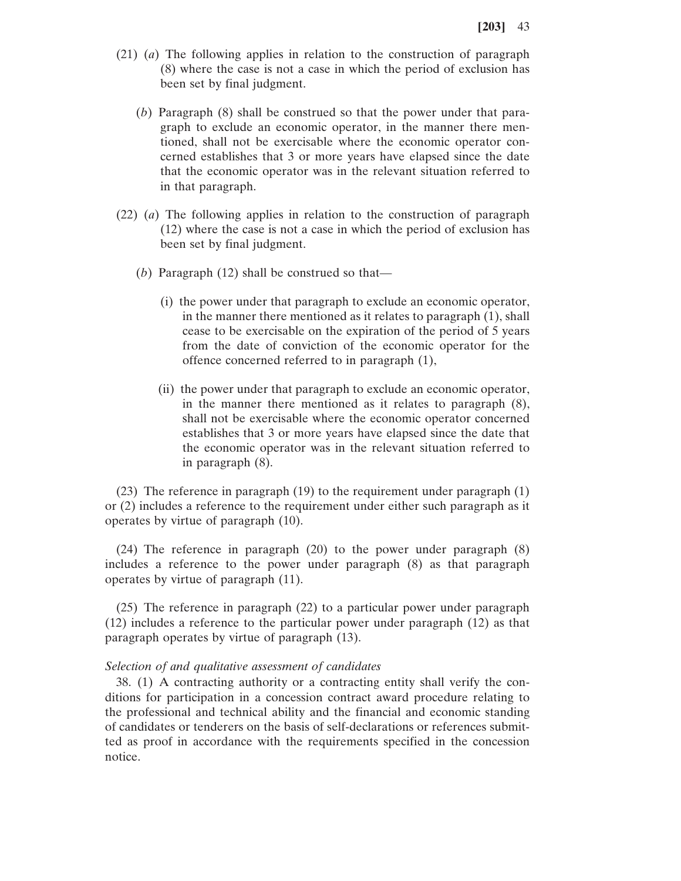- (21) (*a*) The following applies in relation to the construction of paragraph (8) where the case is not a case in which the period of exclusion has been set by final judgment.
	- (*b*) Paragraph (8) shall be construed so that the power under that paragraph to exclude an economic operator, in the manner there mentioned, shall not be exercisable where the economic operator concerned establishes that 3 or more years have elapsed since the date that the economic operator was in the relevant situation referred to in that paragraph.
- (22) (*a*) The following applies in relation to the construction of paragraph (12) where the case is not a case in which the period of exclusion has been set by final judgment.
	- (*b*) Paragraph (12) shall be construed so that—
		- (i) the power under that paragraph to exclude an economic operator, in the manner there mentioned as it relates to paragraph (1), shall cease to be exercisable on the expiration of the period of 5 years from the date of conviction of the economic operator for the offence concerned referred to in paragraph (1),
		- (ii) the power under that paragraph to exclude an economic operator, in the manner there mentioned as it relates to paragraph (8), shall not be exercisable where the economic operator concerned establishes that 3 or more years have elapsed since the date that the economic operator was in the relevant situation referred to in paragraph (8).

(23) The reference in paragraph (19) to the requirement under paragraph (1) or (2) includes a reference to the requirement under either such paragraph as it operates by virtue of paragraph (10).

(24) The reference in paragraph (20) to the power under paragraph (8) includes a reference to the power under paragraph (8) as that paragraph operates by virtue of paragraph (11).

(25) The reference in paragraph (22) to a particular power under paragraph (12) includes a reference to the particular power under paragraph (12) as that paragraph operates by virtue of paragraph (13).

### *Selection of and qualitative assessment of candidates*

38. (1) A contracting authority or a contracting entity shall verify the conditions for participation in a concession contract award procedure relating to the professional and technical ability and the financial and economic standing of candidates or tenderers on the basis of self-declarations or references submitted as proof in accordance with the requirements specified in the concession notice.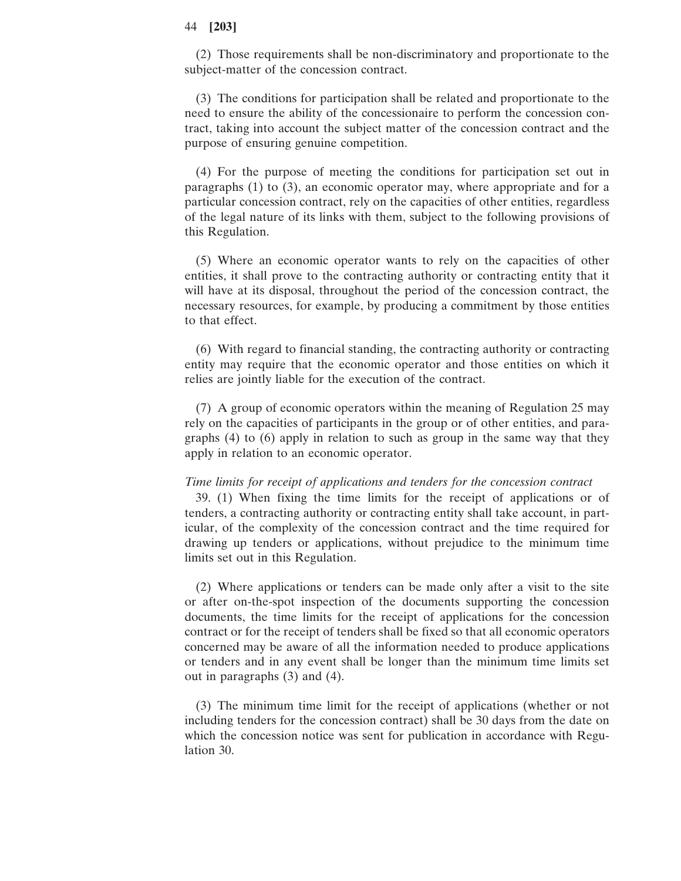(2) Those requirements shall be non-discriminatory and proportionate to the subject-matter of the concession contract.

(3) The conditions for participation shall be related and proportionate to the need to ensure the ability of the concessionaire to perform the concession contract, taking into account the subject matter of the concession contract and the purpose of ensuring genuine competition.

(4) For the purpose of meeting the conditions for participation set out in paragraphs (1) to (3), an economic operator may, where appropriate and for a particular concession contract, rely on the capacities of other entities, regardless of the legal nature of its links with them, subject to the following provisions of this Regulation.

(5) Where an economic operator wants to rely on the capacities of other entities, it shall prove to the contracting authority or contracting entity that it will have at its disposal, throughout the period of the concession contract, the necessary resources, for example, by producing a commitment by those entities to that effect.

(6) With regard to financial standing, the contracting authority or contracting entity may require that the economic operator and those entities on which it relies are jointly liable for the execution of the contract.

(7) A group of economic operators within the meaning of Regulation 25 may rely on the capacities of participants in the group or of other entities, and paragraphs (4) to (6) apply in relation to such as group in the same way that they apply in relation to an economic operator.

### *Time limits for receipt of applications and tenders for the concession contract*

39. (1) When fixing the time limits for the receipt of applications or of tenders, a contracting authority or contracting entity shall take account, in particular, of the complexity of the concession contract and the time required for drawing up tenders or applications, without prejudice to the minimum time limits set out in this Regulation.

(2) Where applications or tenders can be made only after a visit to the site or after on-the-spot inspection of the documents supporting the concession documents, the time limits for the receipt of applications for the concession contract or for the receipt of tenders shall be fixed so that all economic operators concerned may be aware of all the information needed to produce applications or tenders and in any event shall be longer than the minimum time limits set out in paragraphs (3) and (4).

(3) The minimum time limit for the receipt of applications (whether or not including tenders for the concession contract) shall be 30 days from the date on which the concession notice was sent for publication in accordance with Regulation 30.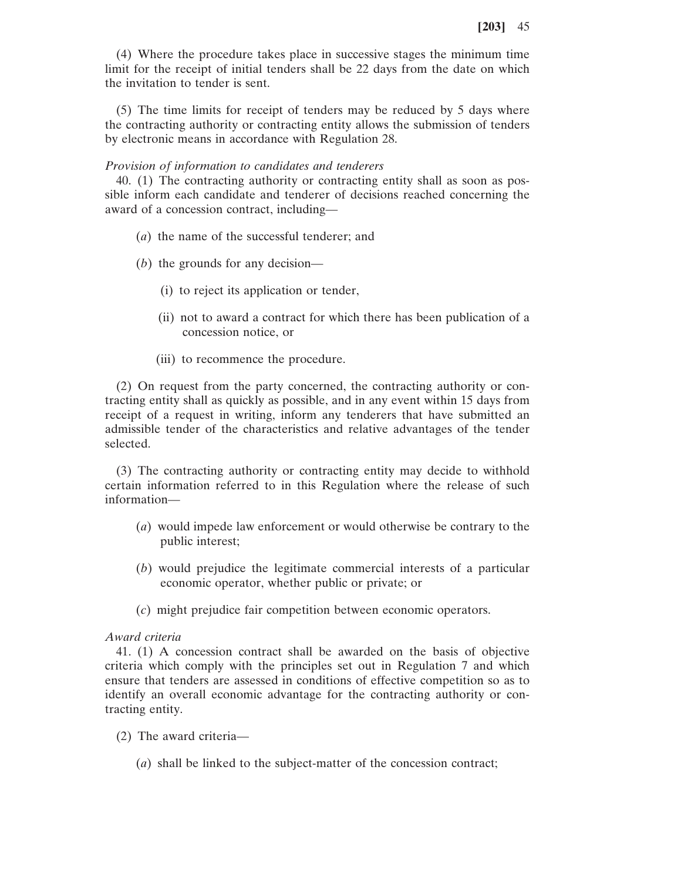(4) Where the procedure takes place in successive stages the minimum time limit for the receipt of initial tenders shall be 22 days from the date on which the invitation to tender is sent.

(5) The time limits for receipt of tenders may be reduced by 5 days where the contracting authority or contracting entity allows the submission of tenders by electronic means in accordance with Regulation 28.

### *Provision of information to candidates and tenderers*

40. (1) The contracting authority or contracting entity shall as soon as possible inform each candidate and tenderer of decisions reached concerning the award of a concession contract, including—

- (*a*) the name of the successful tenderer; and
- (*b*) the grounds for any decision—
	- (i) to reject its application or tender,
	- (ii) not to award a contract for which there has been publication of a concession notice, or
	- (iii) to recommence the procedure.

(2) On request from the party concerned, the contracting authority or contracting entity shall as quickly as possible, and in any event within 15 days from receipt of a request in writing, inform any tenderers that have submitted an admissible tender of the characteristics and relative advantages of the tender selected.

(3) The contracting authority or contracting entity may decide to withhold certain information referred to in this Regulation where the release of such information—

- (*a*) would impede law enforcement or would otherwise be contrary to the public interest;
- (*b*) would prejudice the legitimate commercial interests of a particular economic operator, whether public or private; or
- (*c*) might prejudice fair competition between economic operators.

### *Award criteria*

41. (1) A concession contract shall be awarded on the basis of objective criteria which comply with the principles set out in Regulation 7 and which ensure that tenders are assessed in conditions of effective competition so as to identify an overall economic advantage for the contracting authority or contracting entity.

- (2) The award criteria—
	- (*a*) shall be linked to the subject-matter of the concession contract;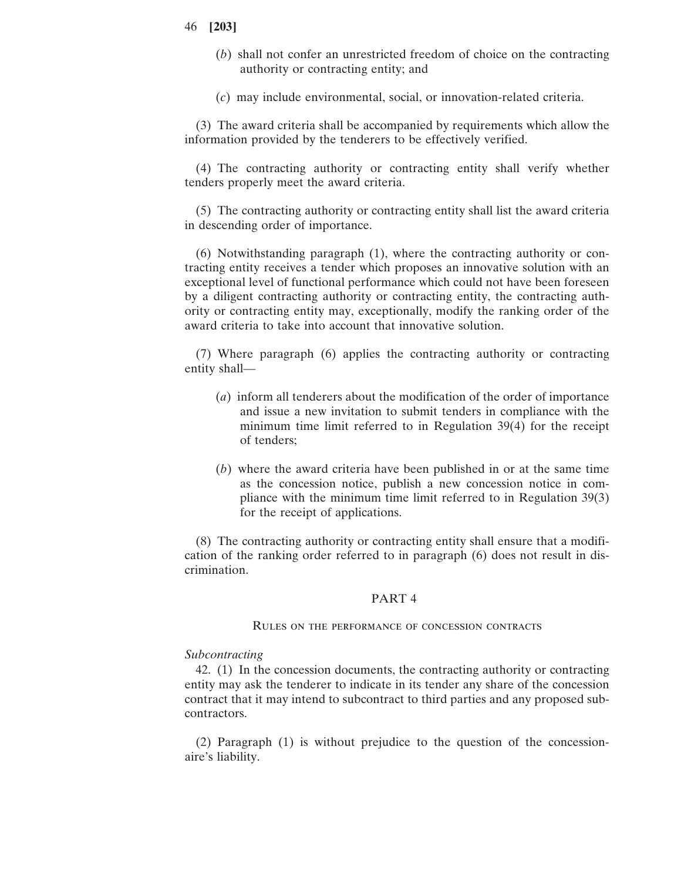- (*b*) shall not confer an unrestricted freedom of choice on the contracting authority or contracting entity; and
- (*c*) may include environmental, social, or innovation-related criteria.

(3) The award criteria shall be accompanied by requirements which allow the information provided by the tenderers to be effectively verified.

(4) The contracting authority or contracting entity shall verify whether tenders properly meet the award criteria.

(5) The contracting authority or contracting entity shall list the award criteria in descending order of importance.

(6) Notwithstanding paragraph (1), where the contracting authority or contracting entity receives a tender which proposes an innovative solution with an exceptional level of functional performance which could not have been foreseen by a diligent contracting authority or contracting entity, the contracting authority or contracting entity may, exceptionally, modify the ranking order of the award criteria to take into account that innovative solution.

(7) Where paragraph (6) applies the contracting authority or contracting entity shall—

- (*a*) inform all tenderers about the modification of the order of importance and issue a new invitation to submit tenders in compliance with the minimum time limit referred to in Regulation 39(4) for the receipt of tenders;
- (*b*) where the award criteria have been published in or at the same time as the concession notice, publish a new concession notice in compliance with the minimum time limit referred to in Regulation 39(3) for the receipt of applications.

(8) The contracting authority or contracting entity shall ensure that a modification of the ranking order referred to in paragraph (6) does not result in discrimination.

#### PART 4

#### Rules on the performance of concession contracts

### *Subcontracting*

42. (1) In the concession documents, the contracting authority or contracting entity may ask the tenderer to indicate in its tender any share of the concession contract that it may intend to subcontract to third parties and any proposed subcontractors.

(2) Paragraph (1) is without prejudice to the question of the concessionaire's liability.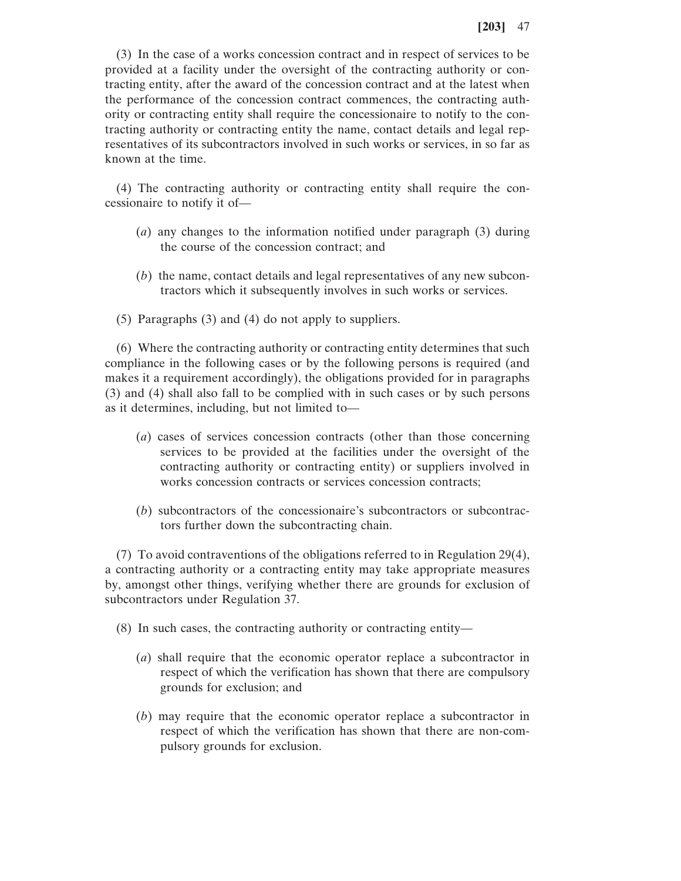(3) In the case of a works concession contract and in respect of services to be provided at a facility under the oversight of the contracting authority or contracting entity, after the award of the concession contract and at the latest when the performance of the concession contract commences, the contracting authority or contracting entity shall require the concessionaire to notify to the contracting authority or contracting entity the name, contact details and legal representatives of its subcontractors involved in such works or services, in so far as known at the time.

(4) The contracting authority or contracting entity shall require the concessionaire to notify it of—

- (*a*) any changes to the information notified under paragraph (3) during the course of the concession contract; and
- (*b*) the name, contact details and legal representatives of any new subcontractors which it subsequently involves in such works or services.
- (5) Paragraphs (3) and (4) do not apply to suppliers.

(6) Where the contracting authority or contracting entity determines that such compliance in the following cases or by the following persons is required (and makes it a requirement accordingly), the obligations provided for in paragraphs (3) and (4) shall also fall to be complied with in such cases or by such persons as it determines, including, but not limited to—

- (*a*) cases of services concession contracts (other than those concerning services to be provided at the facilities under the oversight of the contracting authority or contracting entity) or suppliers involved in works concession contracts or services concession contracts;
- (*b*) subcontractors of the concessionaire's subcontractors or subcontractors further down the subcontracting chain.

(7) To avoid contraventions of the obligations referred to in Regulation 29(4), a contracting authority or a contracting entity may take appropriate measures by, amongst other things, verifying whether there are grounds for exclusion of subcontractors under Regulation 37.

(8) In such cases, the contracting authority or contracting entity—

- (*a*) shall require that the economic operator replace a subcontractor in respect of which the verification has shown that there are compulsory grounds for exclusion; and
- (*b*) may require that the economic operator replace a subcontractor in respect of which the verification has shown that there are non-compulsory grounds for exclusion.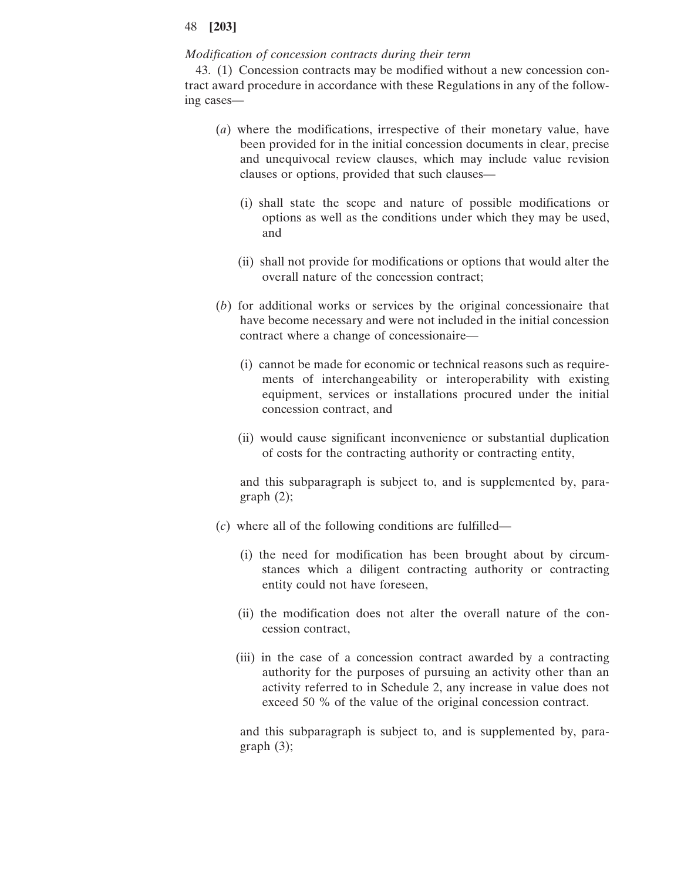### *Modification of concession contracts during their term*

43. (1) Concession contracts may be modified without a new concession contract award procedure in accordance with these Regulations in any of the following cases—

- (*a*) where the modifications, irrespective of their monetary value, have been provided for in the initial concession documents in clear, precise and unequivocal review clauses, which may include value revision clauses or options, provided that such clauses—
	- (i) shall state the scope and nature of possible modifications or options as well as the conditions under which they may be used, and
	- (ii) shall not provide for modifications or options that would alter the overall nature of the concession contract;
- (*b*) for additional works or services by the original concessionaire that have become necessary and were not included in the initial concession contract where a change of concessionaire—
	- (i) cannot be made for economic or technical reasons such as requirements of interchangeability or interoperability with existing equipment, services or installations procured under the initial concession contract, and
	- (ii) would cause significant inconvenience or substantial duplication of costs for the contracting authority or contracting entity,

and this subparagraph is subject to, and is supplemented by, paragraph (2);

- (*c*) where all of the following conditions are fulfilled—
	- (i) the need for modification has been brought about by circumstances which a diligent contracting authority or contracting entity could not have foreseen,
	- (ii) the modification does not alter the overall nature of the concession contract,
	- (iii) in the case of a concession contract awarded by a contracting authority for the purposes of pursuing an activity other than an activity referred to in Schedule 2, any increase in value does not exceed 50 % of the value of the original concession contract.

and this subparagraph is subject to, and is supplemented by, paragraph (3);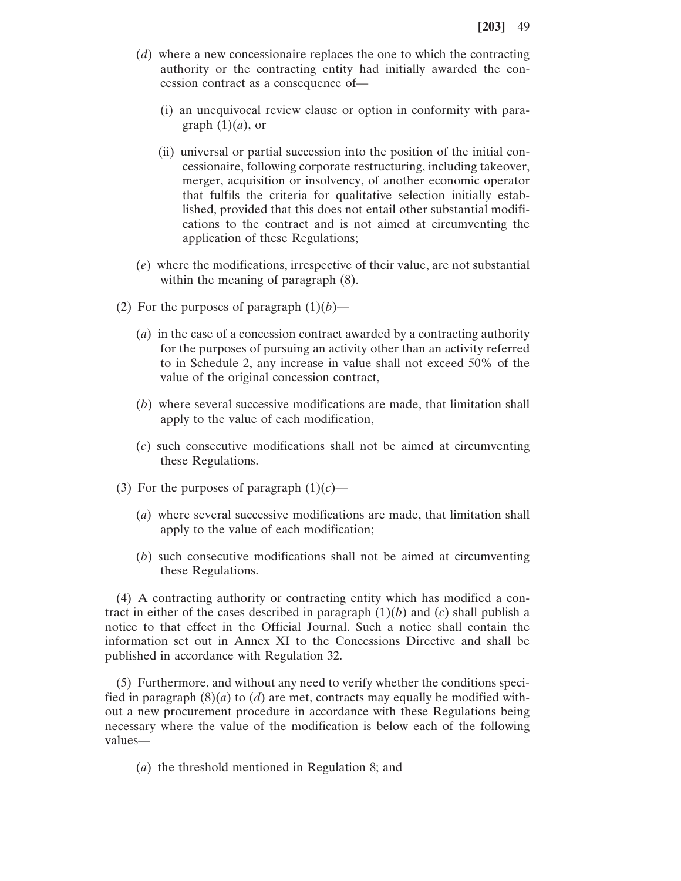- (*d*) where a new concessionaire replaces the one to which the contracting authority or the contracting entity had initially awarded the concession contract as a consequence of—
	- (i) an unequivocal review clause or option in conformity with paragraph  $(1)(a)$ , or
	- (ii) universal or partial succession into the position of the initial concessionaire, following corporate restructuring, including takeover, merger, acquisition or insolvency, of another economic operator that fulfils the criteria for qualitative selection initially established, provided that this does not entail other substantial modifications to the contract and is not aimed at circumventing the application of these Regulations;
- (*e*) where the modifications, irrespective of their value, are not substantial within the meaning of paragraph  $(8)$ .
- (2) For the purposes of paragraph  $(1)(b)$ 
	- (*a*) in the case of a concession contract awarded by a contracting authority for the purposes of pursuing an activity other than an activity referred to in Schedule 2, any increase in value shall not exceed 50% of the value of the original concession contract,
	- (*b*) where several successive modifications are made, that limitation shall apply to the value of each modification,
	- (*c*) such consecutive modifications shall not be aimed at circumventing these Regulations.
- (3) For the purposes of paragraph  $(1)(c)$ 
	- (*a*) where several successive modifications are made, that limitation shall apply to the value of each modification;
	- (*b*) such consecutive modifications shall not be aimed at circumventing these Regulations.

(4) A contracting authority or contracting entity which has modified a contract in either of the cases described in paragraph  $(1)(b)$  and  $(c)$  shall publish a notice to that effect in the Official Journal. Such a notice shall contain the information set out in Annex XI to the Concessions Directive and shall be published in accordance with Regulation 32.

(5) Furthermore, and without any need to verify whether the conditions specified in paragraph  $(8)(a)$  to  $(d)$  are met, contracts may equally be modified without a new procurement procedure in accordance with these Regulations being necessary where the value of the modification is below each of the following values—

(*a*) the threshold mentioned in Regulation 8; and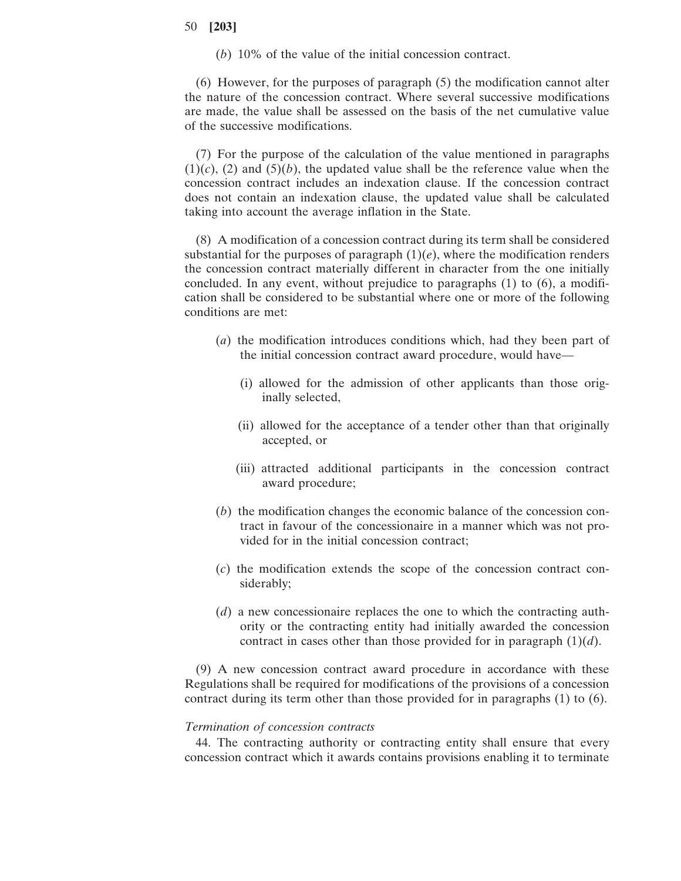(*b*) 10% of the value of the initial concession contract.

(6) However, for the purposes of paragraph (5) the modification cannot alter the nature of the concession contract. Where several successive modifications are made, the value shall be assessed on the basis of the net cumulative value of the successive modifications.

(7) For the purpose of the calculation of the value mentioned in paragraphs  $(1)(c)$ ,  $(2)$  and  $(5)(b)$ , the updated value shall be the reference value when the concession contract includes an indexation clause. If the concession contract does not contain an indexation clause, the updated value shall be calculated taking into account the average inflation in the State.

(8) A modification of a concession contract during its term shall be considered substantial for the purposes of paragraph  $(1)(e)$ , where the modification renders the concession contract materially different in character from the one initially concluded. In any event, without prejudice to paragraphs (1) to (6), a modification shall be considered to be substantial where one or more of the following conditions are met:

- (*a*) the modification introduces conditions which, had they been part of the initial concession contract award procedure, would have—
	- (i) allowed for the admission of other applicants than those originally selected,
	- (ii) allowed for the acceptance of a tender other than that originally accepted, or
	- (iii) attracted additional participants in the concession contract award procedure;
- (*b*) the modification changes the economic balance of the concession contract in favour of the concessionaire in a manner which was not provided for in the initial concession contract;
- (*c*) the modification extends the scope of the concession contract considerably;
- (*d*) a new concessionaire replaces the one to which the contracting authority or the contracting entity had initially awarded the concession contract in cases other than those provided for in paragraph  $(1)(d)$ .

(9) A new concession contract award procedure in accordance with these Regulations shall be required for modifications of the provisions of a concession contract during its term other than those provided for in paragraphs (1) to (6).

### *Termination of concession contracts*

44. The contracting authority or contracting entity shall ensure that every concession contract which it awards contains provisions enabling it to terminate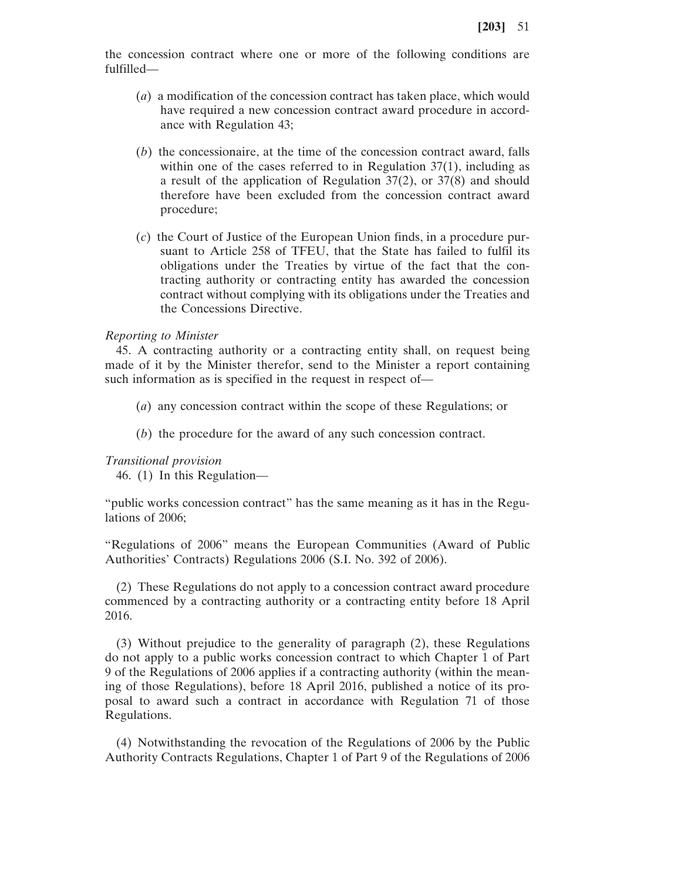the concession contract where one or more of the following conditions are fulfilled—

- (*a*) a modification of the concession contract has taken place, which would have required a new concession contract award procedure in accordance with Regulation 43;
- (*b*) the concessionaire, at the time of the concession contract award, falls within one of the cases referred to in Regulation 37(1), including as a result of the application of Regulation 37(2), or 37(8) and should therefore have been excluded from the concession contract award procedure;
- (*c*) the Court of Justice of the European Union finds, in a procedure pursuant to Article 258 of TFEU, that the State has failed to fulfil its obligations under the Treaties by virtue of the fact that the contracting authority or contracting entity has awarded the concession contract without complying with its obligations under the Treaties and the Concessions Directive.

#### *Reporting to Minister*

45. A contracting authority or a contracting entity shall, on request being made of it by the Minister therefor, send to the Minister a report containing such information as is specified in the request in respect of—

- (*a*) any concession contract within the scope of these Regulations; or
- (*b*) the procedure for the award of any such concession contract.

#### *Transitional provision*

46. (1) In this Regulation—

"public works concession contract" has the same meaning as it has in the Regulations of 2006;

"Regulations of 2006" means the European Communities (Award of Public Authorities' Contracts) Regulations 2006 (S.I. No. 392 of 2006).

(2) These Regulations do not apply to a concession contract award procedure commenced by a contracting authority or a contracting entity before 18 April 2016.

(3) Without prejudice to the generality of paragraph (2), these Regulations do not apply to a public works concession contract to which Chapter 1 of Part 9 of the Regulations of 2006 applies if a contracting authority (within the meaning of those Regulations), before 18 April 2016, published a notice of its proposal to award such a contract in accordance with Regulation 71 of those Regulations.

(4) Notwithstanding the revocation of the Regulations of 2006 by the Public Authority Contracts Regulations, Chapter 1 of Part 9 of the Regulations of 2006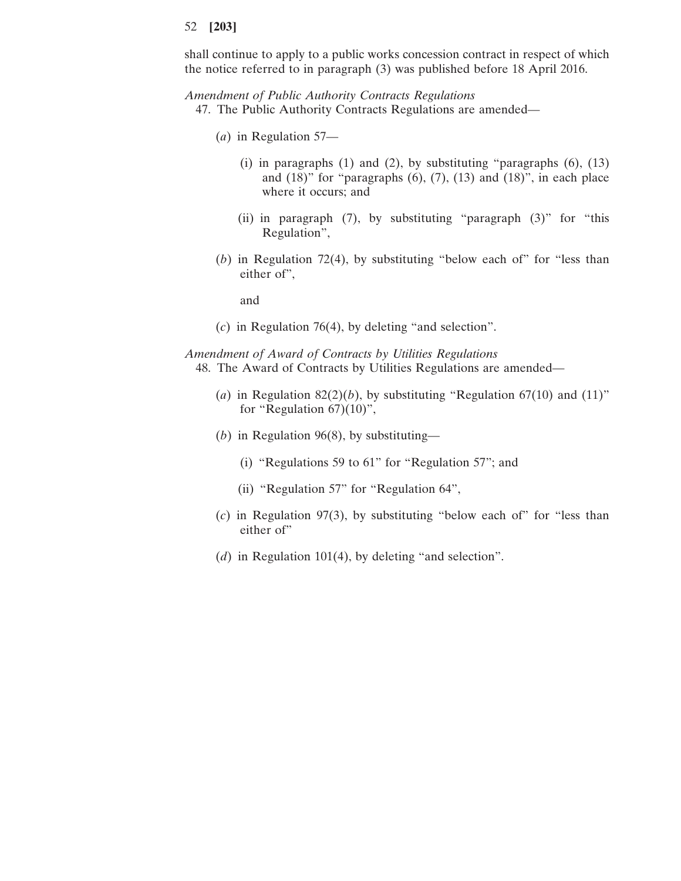shall continue to apply to a public works concession contract in respect of which the notice referred to in paragraph (3) was published before 18 April 2016.

*Amendment of Public Authority Contracts Regulations*

- 47. The Public Authority Contracts Regulations are amended—
	- (*a*) in Regulation 57—
		- (i) in paragraphs  $(1)$  and  $(2)$ , by substituting "paragraphs  $(6)$ ,  $(13)$ and  $(18)$ " for "paragraphs  $(6)$ ,  $(7)$ ,  $(13)$  and  $(18)$ ", in each place where it occurs; and
		- (ii) in paragraph (7), by substituting "paragraph (3)" for "this Regulation",
	- (*b*) in Regulation 72(4), by substituting "below each of" for "less than either of",

and

(*c*) in Regulation 76(4), by deleting "and selection".

*Amendment of Award of Contracts by Utilities Regulations* 48. The Award of Contracts by Utilities Regulations are amended—

- (*a*) in Regulation 82(2)(*b*), by substituting "Regulation 67(10) and (11)" for "Regulation  $67$ ) $(10)$ ",
- (*b*) in Regulation 96(8), by substituting—
	- (i) "Regulations 59 to 61" for "Regulation 57"; and
	- (ii) "Regulation 57" for "Regulation 64",
- (*c*) in Regulation 97(3), by substituting "below each of" for "less than either of"
- (*d*) in Regulation 101(4), by deleting "and selection".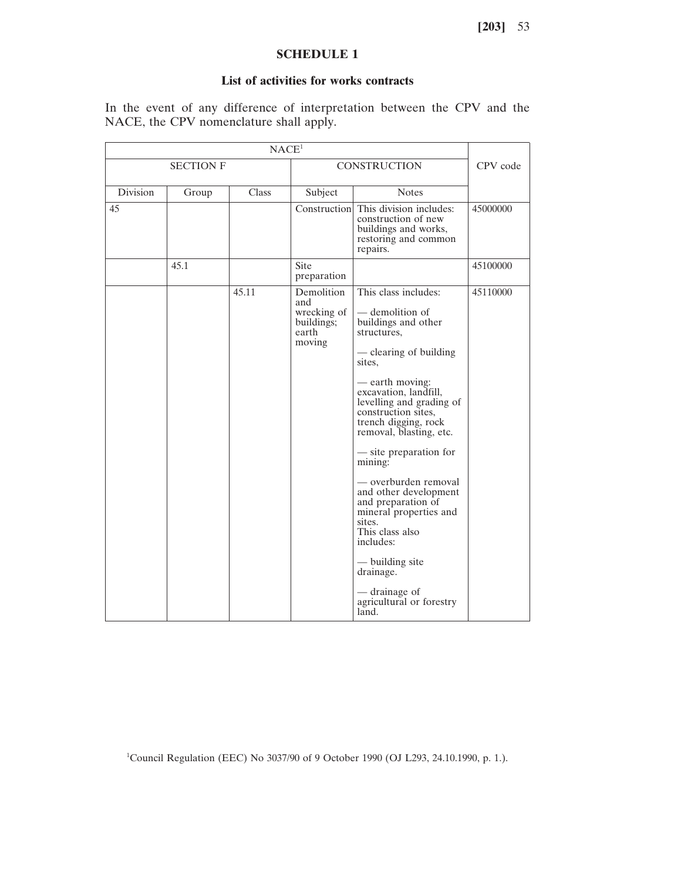# **SCHEDULE 1**

# **List of activities for works contracts**

In the event of any difference of interpretation between the CPV and the NACE, the CPV nomenclature shall apply.

| NACE <sup>1</sup> |       |       |                                                                   |                                                                                                                                                                                                                                                                                                                                                                                                                                                                                                                                           |          |
|-------------------|-------|-------|-------------------------------------------------------------------|-------------------------------------------------------------------------------------------------------------------------------------------------------------------------------------------------------------------------------------------------------------------------------------------------------------------------------------------------------------------------------------------------------------------------------------------------------------------------------------------------------------------------------------------|----------|
| <b>SECTION F</b>  |       |       | <b>CONSTRUCTION</b>                                               |                                                                                                                                                                                                                                                                                                                                                                                                                                                                                                                                           | CPV code |
| <b>Division</b>   | Group | Class | Subject                                                           | <b>Notes</b>                                                                                                                                                                                                                                                                                                                                                                                                                                                                                                                              |          |
| 45                |       |       |                                                                   | Construction This division includes:<br>construction of new<br>buildings and works,<br>restoring and common<br>repairs.                                                                                                                                                                                                                                                                                                                                                                                                                   | 45000000 |
|                   | 45.1  |       | Site<br>preparation                                               |                                                                                                                                                                                                                                                                                                                                                                                                                                                                                                                                           | 45100000 |
|                   |       | 45.11 | Demolition<br>and<br>wrecking of<br>buildings;<br>earth<br>moving | This class includes:<br>- demolition of<br>buildings and other<br>structures,<br>— clearing of building<br>sites.<br>— earth moving:<br>excavation, landfill,<br>levelling and grading of<br>construction sites,<br>trench digging, rock<br>removal, blasting, etc.<br>— site preparation for<br>mining:<br>— overburden removal<br>and other development<br>and preparation of<br>mineral properties and<br>sites.<br>This class also<br>includes:<br>— building site<br>drainage.<br>- drainage of<br>agricultural or forestry<br>land. | 45110000 |

<sup>1</sup>Council Regulation (EEC) No 3037/90 of 9 October 1990 (OJ L293, 24.10.1990, p. 1.).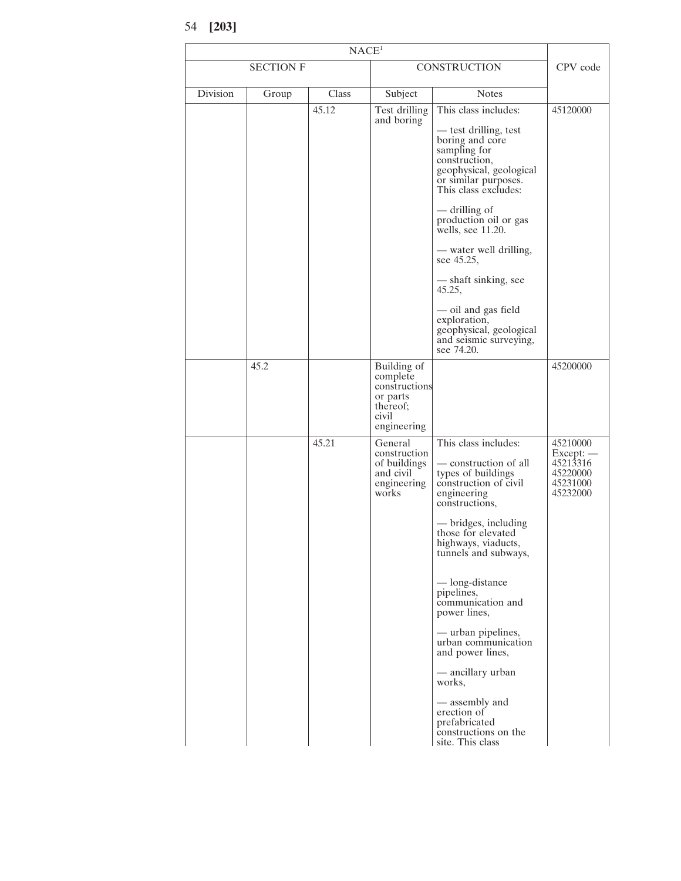<sup>54</sup> **[203]**

|          | NACE <sup>1</sup> |       |                                                                                          |                                                                                                                                                                                                                                                                                                                                                                                                                                                    |                                                                         |  |
|----------|-------------------|-------|------------------------------------------------------------------------------------------|----------------------------------------------------------------------------------------------------------------------------------------------------------------------------------------------------------------------------------------------------------------------------------------------------------------------------------------------------------------------------------------------------------------------------------------------------|-------------------------------------------------------------------------|--|
|          | <b>SECTION F</b>  |       |                                                                                          | CONSTRUCTION                                                                                                                                                                                                                                                                                                                                                                                                                                       |                                                                         |  |
| Division | Group             | Class | Subject                                                                                  | <b>Notes</b>                                                                                                                                                                                                                                                                                                                                                                                                                                       |                                                                         |  |
|          |                   | 45.12 | Test drilling<br>and boring                                                              | This class includes:<br>- test drilling, test<br>boring and core<br>sampling for<br>construction,<br>geophysical, geological<br>or similar purposes.<br>This class excludes:<br>— drilling of<br>production oil or gas<br>wells, see 11.20.<br>- water well drilling,<br>see 45.25,<br>— shaft sinking, see<br>45.25,<br>- oil and gas field<br>exploration,<br>geophysical, geological<br>and seismic surveying,                                  | 45120000                                                                |  |
|          | 45.2              |       | Building of<br>complete<br>constructions<br>or parts<br>thereof;<br>civil<br>engineering | see 74.20.                                                                                                                                                                                                                                                                                                                                                                                                                                         | 45200000                                                                |  |
|          |                   | 45.21 | General<br>construction<br>of buildings<br>and civil<br>engineering<br>works             | This class includes:<br>— construction of all<br>types of buildings<br>construction of civil<br>engineering<br>constructions,<br>— bridges, including<br>those for elevated<br>highways, viaducts,<br>tunnels and subways,<br>— long-distance<br>pipelines,<br>communication and<br>power lines,<br>— urban pipelines,<br>urban communication<br>and power lines,<br>- ancillary urban<br>works,<br>— assembly and<br>erection of<br>prefabricated | 45210000<br>$Except:$ —<br>45213316<br>45220000<br>45231000<br>45232000 |  |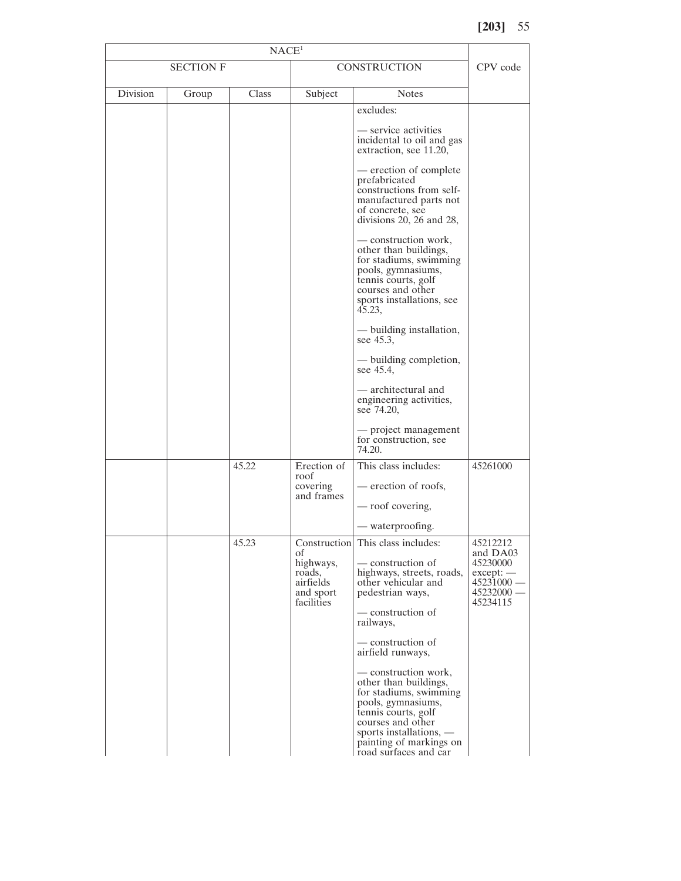| NACE <sup>1</sup> |       |       |                                                                   |                                                                                                                                                                                                                                                                      |                                                                         |
|-------------------|-------|-------|-------------------------------------------------------------------|----------------------------------------------------------------------------------------------------------------------------------------------------------------------------------------------------------------------------------------------------------------------|-------------------------------------------------------------------------|
| <b>SECTION F</b>  |       |       | <b>CONSTRUCTION</b>                                               | CPV code                                                                                                                                                                                                                                                             |                                                                         |
| Division          | Group | Class | Subject                                                           | <b>Notes</b>                                                                                                                                                                                                                                                         |                                                                         |
|                   |       |       |                                                                   | excludes:<br>— service activities<br>incidental to oil and gas<br>extraction, see 11.20,<br>— erection of complete<br>prefabricated<br>constructions from self-<br>manufactured parts not<br>of concrete, see<br>divisions $20$ , $26$ and $28$ ,                    |                                                                         |
|                   |       |       |                                                                   | — construction work,<br>other than buildings,<br>for stadiums, swimming<br>pools, gymnasiums,<br>tennis courts, golf<br>courses and other<br>sports installations, see<br>45.23,<br>— building installation,                                                         |                                                                         |
|                   |       |       |                                                                   | see 45.3,<br>— building completion,<br>see 45.4,                                                                                                                                                                                                                     |                                                                         |
|                   |       |       |                                                                   | — architectural and<br>engineering activities,<br>see 74.20,                                                                                                                                                                                                         |                                                                         |
|                   |       |       |                                                                   | — project management<br>for construction, see<br>74.20.                                                                                                                                                                                                              |                                                                         |
|                   |       | 45.22 | Erection of<br>roof<br>covering<br>and frames                     | This class includes:<br>— erection of roofs,<br>— roof covering,                                                                                                                                                                                                     | 45261000                                                                |
|                   |       |       |                                                                   |                                                                                                                                                                                                                                                                      |                                                                         |
|                   |       | 45.23 |                                                                   | — waterproofing.<br>Construction This class includes:                                                                                                                                                                                                                | 45212212                                                                |
|                   |       |       | οf<br>highways,<br>roads,<br>airfields<br>and sport<br>facilities | — construction of<br>highways, streets, roads,<br>other vehicular and<br>pedestrian ways,<br>— construction of<br>railways,                                                                                                                                          | and DA03<br>45230000<br>$except:$ —<br>45231000<br>45232000<br>45234115 |
|                   |       |       |                                                                   | — construction of<br>airfield runways,<br>— construction work,<br>other than buildings,<br>for stadiums, swimming<br>pools, gymnasiums,<br>tennis courts, golf<br>courses and other<br>sports installations, $-$<br>painting of markings on<br>road surfaces and car |                                                                         |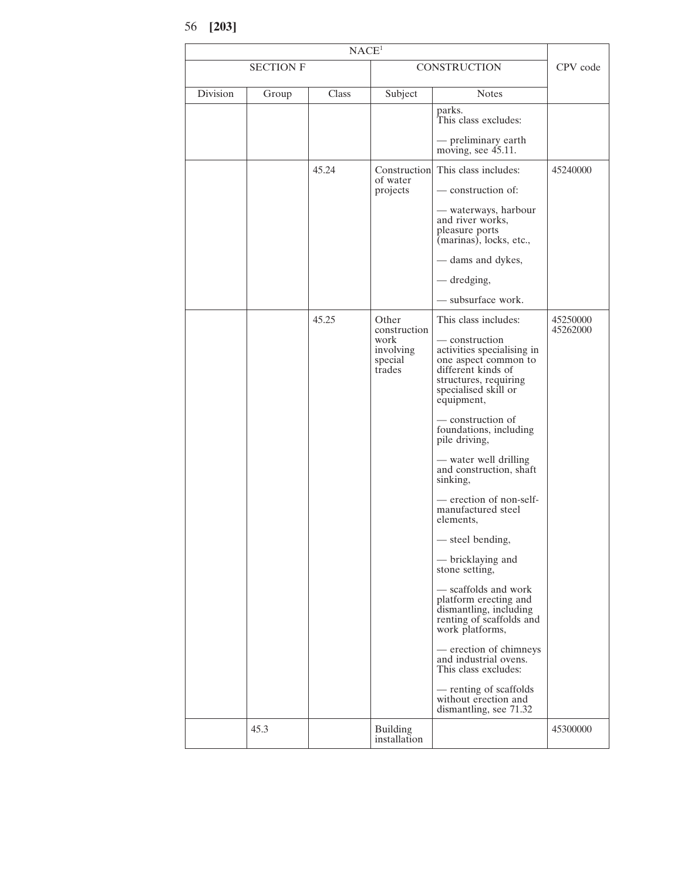<sup>56</sup> **[203]**

| NACE <sup>1</sup> |       |       |                                                                 |                                                                                                                                                                                                                                                                                                                                                                                                                                                                                                                                                                                                                                                                           |                      |
|-------------------|-------|-------|-----------------------------------------------------------------|---------------------------------------------------------------------------------------------------------------------------------------------------------------------------------------------------------------------------------------------------------------------------------------------------------------------------------------------------------------------------------------------------------------------------------------------------------------------------------------------------------------------------------------------------------------------------------------------------------------------------------------------------------------------------|----------------------|
| <b>SECTION F</b>  |       |       | <b>CONSTRUCTION</b>                                             | CPV code                                                                                                                                                                                                                                                                                                                                                                                                                                                                                                                                                                                                                                                                  |                      |
| Division          | Group | Class | Subject                                                         | <b>Notes</b>                                                                                                                                                                                                                                                                                                                                                                                                                                                                                                                                                                                                                                                              |                      |
|                   |       |       |                                                                 | parks.<br>This class excludes:                                                                                                                                                                                                                                                                                                                                                                                                                                                                                                                                                                                                                                            |                      |
|                   |       |       |                                                                 | — preliminary earth<br>moving, see 45.11.                                                                                                                                                                                                                                                                                                                                                                                                                                                                                                                                                                                                                                 |                      |
|                   |       | 45.24 | Construction<br>of water                                        | This class includes:                                                                                                                                                                                                                                                                                                                                                                                                                                                                                                                                                                                                                                                      | 45240000             |
|                   |       |       | projects                                                        | — construction of:                                                                                                                                                                                                                                                                                                                                                                                                                                                                                                                                                                                                                                                        |                      |
|                   |       |       |                                                                 | — waterways, harbour<br>and river works,<br>pleasure ports<br>(marinas), locks, etc.,                                                                                                                                                                                                                                                                                                                                                                                                                                                                                                                                                                                     |                      |
|                   |       |       |                                                                 | - dams and dykes,                                                                                                                                                                                                                                                                                                                                                                                                                                                                                                                                                                                                                                                         |                      |
|                   |       |       |                                                                 | - dredging,                                                                                                                                                                                                                                                                                                                                                                                                                                                                                                                                                                                                                                                               |                      |
|                   |       |       |                                                                 | - subsurface work.                                                                                                                                                                                                                                                                                                                                                                                                                                                                                                                                                                                                                                                        |                      |
|                   |       | 45.25 | Other<br>construction<br>work<br>involving<br>special<br>trades | This class includes:<br>— construction<br>activities specialising in<br>one aspect common to<br>different kinds of<br>structures, requiring<br>specialised skill or<br>equipment,<br>- construction of<br>foundations, including<br>pile driving,<br>— water well drilling<br>and construction, shaft<br>sinking,<br>- erection of non-self-<br>manufactured steel<br>elements,<br>- steel bending,<br>— bricklaying and<br>stone setting,<br>— scaffolds and work<br>platform erecting and<br>dismantling, including<br>renting of scaffolds and<br>work platforms,<br>- erection of chimneys<br>and industrial ovens.<br>This class excludes:<br>- renting of scaffolds | 45250000<br>45262000 |
|                   |       |       |                                                                 | without erection and<br>dismantling, see 71.32                                                                                                                                                                                                                                                                                                                                                                                                                                                                                                                                                                                                                            |                      |
|                   | 45.3  |       | <b>Building</b><br>installation                                 |                                                                                                                                                                                                                                                                                                                                                                                                                                                                                                                                                                                                                                                                           | 45300000             |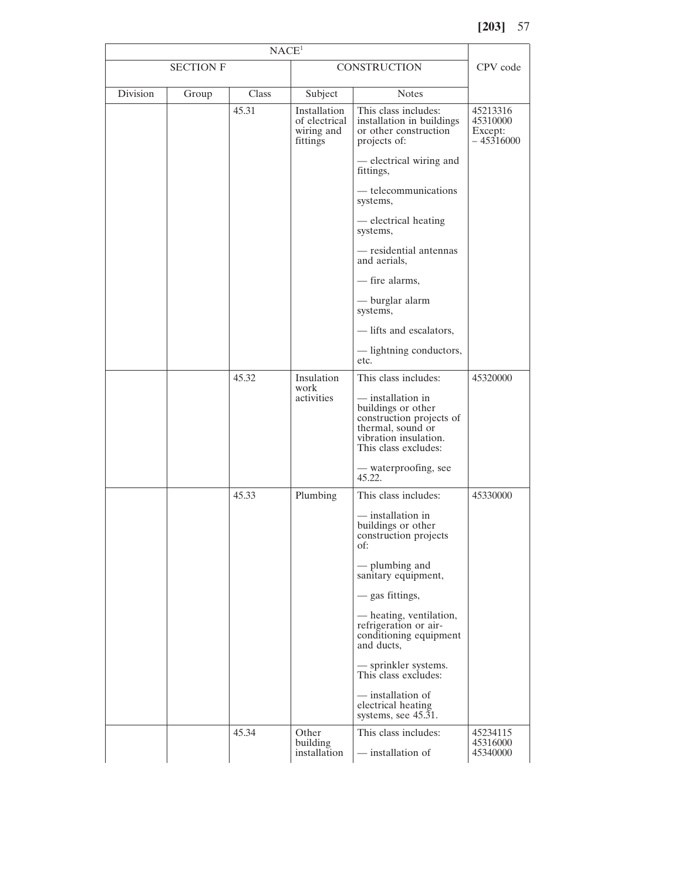| NACE <sup>1</sup> |                  |              |                                                         |                                                                                                                                           |                                               |  |
|-------------------|------------------|--------------|---------------------------------------------------------|-------------------------------------------------------------------------------------------------------------------------------------------|-----------------------------------------------|--|
|                   | <b>SECTION F</b> |              |                                                         | <b>CONSTRUCTION</b>                                                                                                                       |                                               |  |
| Division          | Group            | <b>Class</b> | Subject                                                 | <b>Notes</b>                                                                                                                              |                                               |  |
|                   |                  | 45.31        | Installation<br>of electrical<br>wiring and<br>fittings | This class includes:<br>installation in buildings<br>or other construction<br>projects of:<br>- electrical wiring and                     | 45213316<br>45310000<br>Except:<br>- 45316000 |  |
|                   |                  |              |                                                         | fittings,<br>— telecommunications                                                                                                         |                                               |  |
|                   |                  |              |                                                         | systems,<br>- electrical heating                                                                                                          |                                               |  |
|                   |                  |              |                                                         | systems,                                                                                                                                  |                                               |  |
|                   |                  |              |                                                         | - residential antennas<br>and aerials,                                                                                                    |                                               |  |
|                   |                  |              |                                                         | - fire alarms,                                                                                                                            |                                               |  |
|                   |                  |              |                                                         | — burglar alarm<br>systems,                                                                                                               |                                               |  |
|                   |                  |              |                                                         | - lifts and escalators,                                                                                                                   |                                               |  |
|                   |                  |              |                                                         | - lightning conductors,<br>etc.                                                                                                           |                                               |  |
|                   |                  | 45.32        | Insulation<br>work<br>activities                        | This class includes:<br>— installation in<br>buildings or other<br>construction projects of<br>thermal, sound or<br>vibration insulation. | 45320000                                      |  |
|                   |                  |              |                                                         | This class excludes:<br>— waterproofing, see<br>45.22.                                                                                    |                                               |  |
|                   |                  | 45.33        | Plumbing                                                | This class includes:                                                                                                                      | 45330000                                      |  |
|                   |                  |              |                                                         | — installation in<br>buildings or other<br>construction projects<br>of:                                                                   |                                               |  |
|                   |                  |              |                                                         | — plumbing and<br>sanitary equipment,                                                                                                     |                                               |  |
|                   |                  |              |                                                         | — gas fittings,                                                                                                                           |                                               |  |
|                   |                  |              |                                                         | - heating, ventilation,<br>refrigeration or air-<br>conditioning equipment<br>and ducts,                                                  |                                               |  |
|                   |                  |              |                                                         | - sprinkler systems.<br>This class excludes:                                                                                              |                                               |  |
|                   |                  |              |                                                         | — installation of<br>electrical heating<br>systems, see $45.\overline{3}1$ .                                                              |                                               |  |
|                   |                  | 45.34        | Other<br>building<br>installation                       | This class includes:<br>— installation of                                                                                                 | 45234115<br>45316000<br>45340000              |  |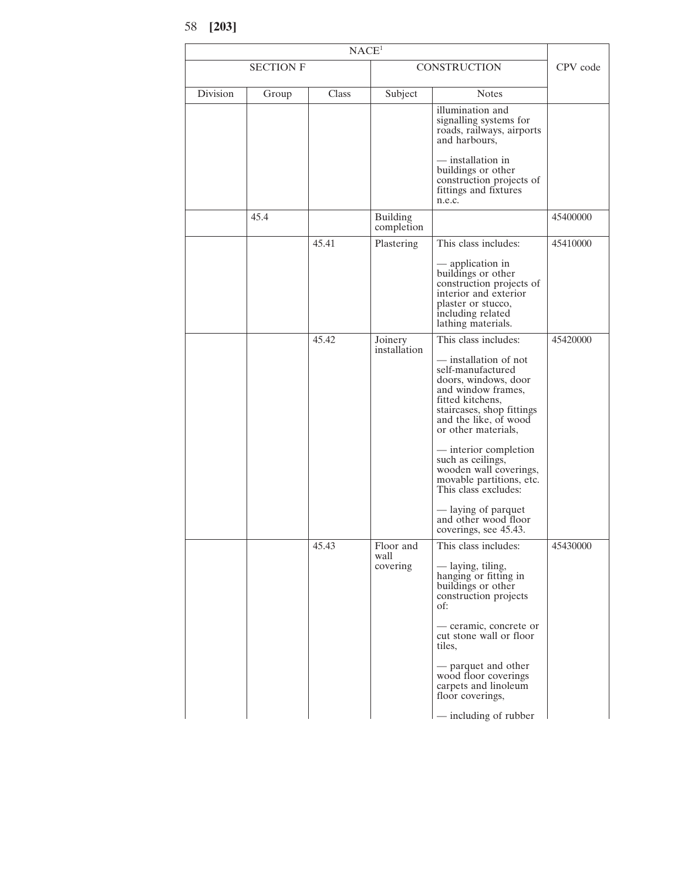<sup>58</sup> **[203]**

|          | NACE <sup>1</sup> |       |                               |                                                                                                                                                                                                                                                                                                                                                                                                                       |          |  |
|----------|-------------------|-------|-------------------------------|-----------------------------------------------------------------------------------------------------------------------------------------------------------------------------------------------------------------------------------------------------------------------------------------------------------------------------------------------------------------------------------------------------------------------|----------|--|
|          | <b>SECTION F</b>  |       |                               | <b>CONSTRUCTION</b>                                                                                                                                                                                                                                                                                                                                                                                                   |          |  |
| Division | Group             | Class | Subject                       | <b>Notes</b>                                                                                                                                                                                                                                                                                                                                                                                                          |          |  |
|          |                   |       |                               | illumination and<br>signalling systems for<br>roads, railways, airports<br>and harbours,<br>— installation in<br>buildings or other<br>construction projects of<br>fittings and fixtures<br>n.e.c.                                                                                                                                                                                                                    |          |  |
|          | 45.4              |       | <b>Building</b><br>completion |                                                                                                                                                                                                                                                                                                                                                                                                                       | 45400000 |  |
|          |                   | 45.41 | Plastering                    | This class includes:                                                                                                                                                                                                                                                                                                                                                                                                  | 45410000 |  |
|          |                   |       |                               | — application in<br>buildings or other<br>construction projects of<br>interior and exterior<br>plaster or stucco,<br>including related<br>lathing materials.                                                                                                                                                                                                                                                          |          |  |
|          |                   | 45.42 | Joinery<br>installation       | This class includes:<br>— installation of not<br>self-manufactured<br>doors, windows, door<br>and window frames,<br>fitted kitchens,<br>staircases, shop fittings<br>and the like, of wood<br>or other materials,<br>— interior completion<br>such as ceilings,<br>wooden wall coverings,<br>movable partitions, etc.<br>This class excludes:<br>- laying of parquet<br>and other wood floor<br>coverings, see 45.43. | 45420000 |  |
|          |                   | 45.43 | Floor and<br>wall<br>covering | This class includes:<br>— laying, tiling,<br>hanging or fitting in<br>buildings or other<br>construction projects<br>of:<br>— ceramic, concrete or<br>cut stone wall or floor<br>tiles,<br>- parquet and other<br>wood floor coverings<br>carpets and linoleum<br>floor coverings,<br>- including of rubber                                                                                                           | 45430000 |  |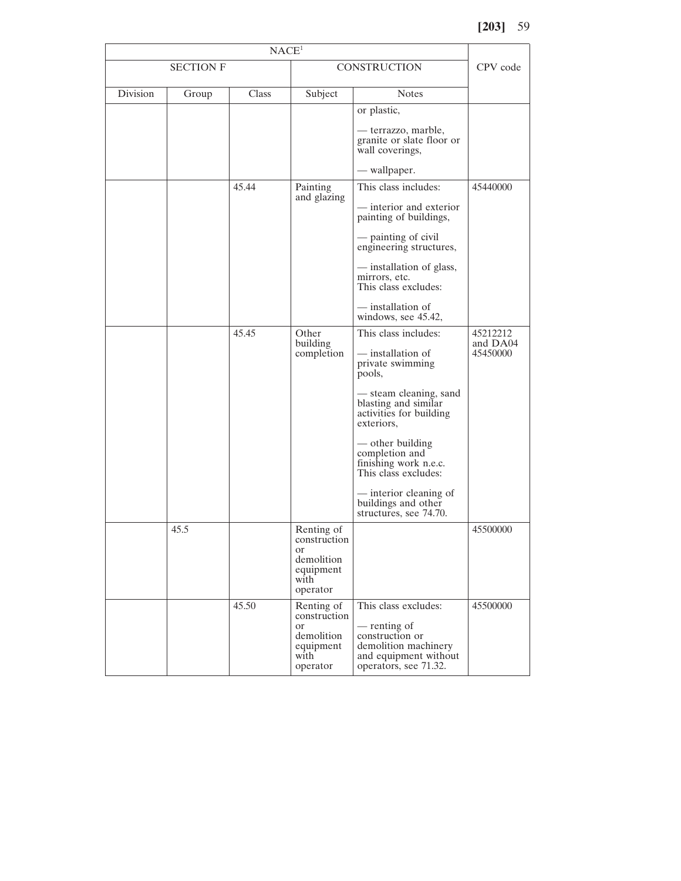| NACE <sup>1</sup> |       |       |                                                                                            |                                                                                                                                   |                                  |
|-------------------|-------|-------|--------------------------------------------------------------------------------------------|-----------------------------------------------------------------------------------------------------------------------------------|----------------------------------|
| <b>SECTION F</b>  |       |       | <b>CONSTRUCTION</b>                                                                        | CPV code                                                                                                                          |                                  |
| Division          | Group | Class | Subject                                                                                    | <b>Notes</b>                                                                                                                      |                                  |
|                   |       |       |                                                                                            | or plastic,                                                                                                                       |                                  |
|                   |       |       |                                                                                            | — terrazzo, marble,<br>granite or slate floor or<br>wall coverings,                                                               |                                  |
|                   |       |       |                                                                                            | - wallpaper.                                                                                                                      |                                  |
|                   |       | 45.44 | Painting                                                                                   | This class includes:                                                                                                              | 45440000                         |
|                   |       |       | and glazing                                                                                | — interior and exterior<br>painting of buildings,                                                                                 |                                  |
|                   |       |       |                                                                                            | — painting of civil<br>engineering structures,                                                                                    |                                  |
|                   |       |       |                                                                                            | — installation of glass,<br>mirrors, etc.<br>This class excludes:                                                                 |                                  |
|                   |       |       |                                                                                            | - installation of<br>windows, see 45.42,                                                                                          |                                  |
|                   |       | 45.45 | Other<br>building<br>completion                                                            | This class includes:<br>- installation of<br>private swimming<br>pools,                                                           | 45212212<br>and DA04<br>45450000 |
|                   |       |       |                                                                                            | - steam cleaning, sand<br>blasting and similar<br>activities for building<br>exteriors,                                           |                                  |
|                   |       |       |                                                                                            | — other building<br>completion and<br>finishing work n.e.c.<br>This class excludes:                                               |                                  |
|                   |       |       |                                                                                            | - interior cleaning of<br>buildings and other<br>structures, see 74.70.                                                           |                                  |
|                   | 45.5  |       | Renting of<br>construction<br><b>or</b><br>demolition<br>equipment<br>with<br>operator     |                                                                                                                                   | 45500000                         |
|                   |       | 45.50 | Renting of<br>construction<br><sub>or</sub><br>demolition<br>equipment<br>with<br>operator | This class excludes:<br>- renting of<br>construction or<br>demolition machinery<br>and equipment without<br>operators, see 71.32. | 45500000                         |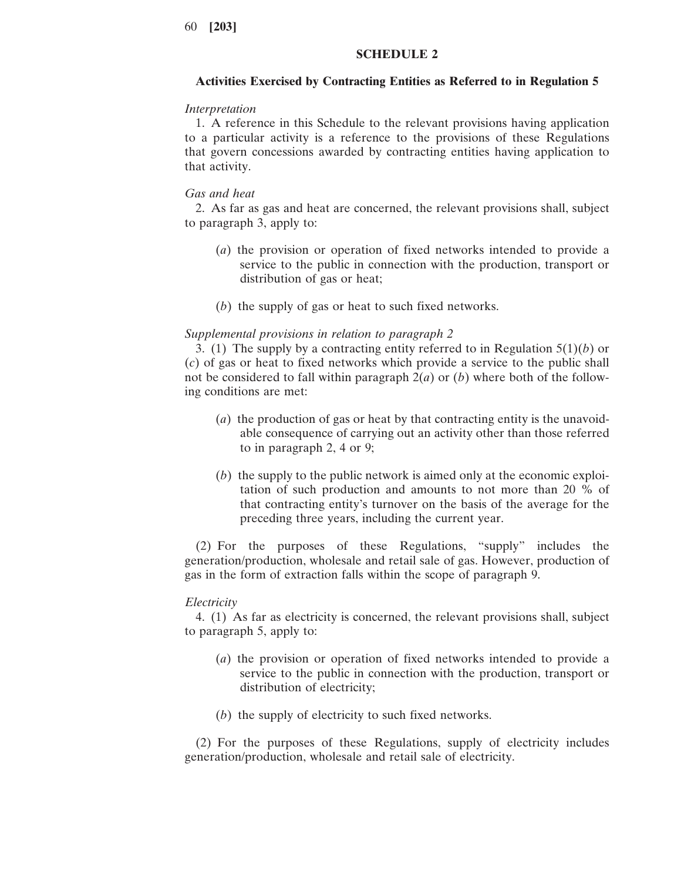### **SCHEDULE 2**

### **Activities Exercised by Contracting Entities as Referred to in Regulation 5**

### *Interpretation*

1. A reference in this Schedule to the relevant provisions having application to a particular activity is a reference to the provisions of these Regulations that govern concessions awarded by contracting entities having application to that activity.

### *Gas and heat*

2. As far as gas and heat are concerned, the relevant provisions shall, subject to paragraph 3, apply to:

- (*a*) the provision or operation of fixed networks intended to provide a service to the public in connection with the production, transport or distribution of gas or heat;
- (*b*) the supply of gas or heat to such fixed networks.

#### *Supplemental provisions in relation to paragraph 2*

3. (1) The supply by a contracting entity referred to in Regulation 5(1)(*b*) or (*c*) of gas or heat to fixed networks which provide a service to the public shall not be considered to fall within paragraph 2(*a*) or (*b*) where both of the following conditions are met:

- (*a*) the production of gas or heat by that contracting entity is the unavoidable consequence of carrying out an activity other than those referred to in paragraph 2, 4 or 9;
- (*b*) the supply to the public network is aimed only at the economic exploitation of such production and amounts to not more than 20 % of that contracting entity's turnover on the basis of the average for the preceding three years, including the current year.

(2) For the purposes of these Regulations, "supply" includes the generation/production, wholesale and retail sale of gas. However, production of gas in the form of extraction falls within the scope of paragraph 9.

#### *Electricity*

4. (1) As far as electricity is concerned, the relevant provisions shall, subject to paragraph 5, apply to:

- (*a*) the provision or operation of fixed networks intended to provide a service to the public in connection with the production, transport or distribution of electricity;
- (*b*) the supply of electricity to such fixed networks.

(2) For the purposes of these Regulations, supply of electricity includes generation/production, wholesale and retail sale of electricity.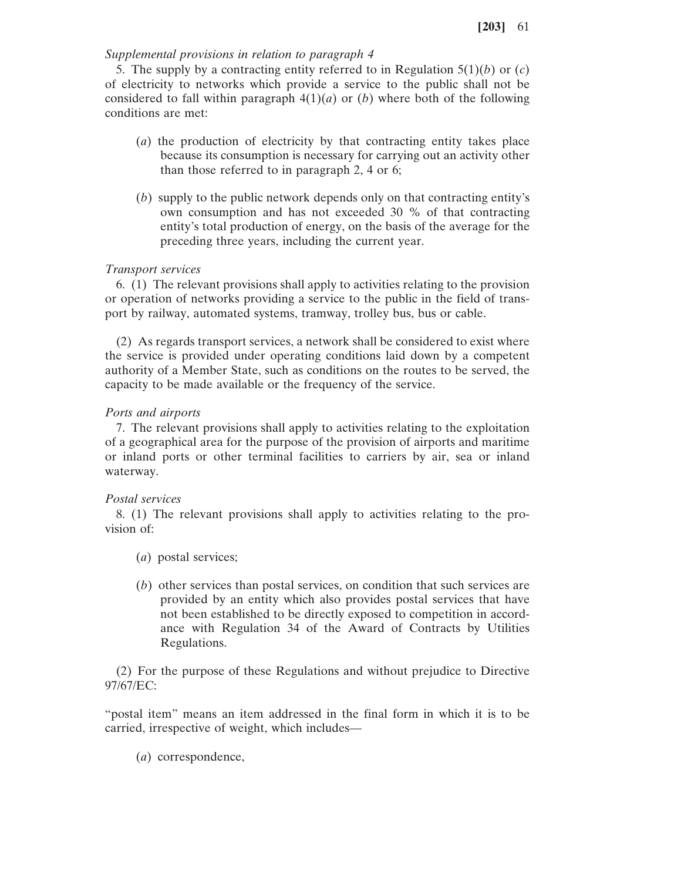# *Supplemental provisions in relation to paragraph 4*

5. The supply by a contracting entity referred to in Regulation 5(1)(*b*) or (*c*) of electricity to networks which provide a service to the public shall not be considered to fall within paragraph  $4(1)(a)$  or (*b*) where both of the following conditions are met:

- (*a*) the production of electricity by that contracting entity takes place because its consumption is necessary for carrying out an activity other than those referred to in paragraph 2, 4 or 6;
- (*b*) supply to the public network depends only on that contracting entity's own consumption and has not exceeded 30 % of that contracting entity's total production of energy, on the basis of the average for the preceding three years, including the current year.

# *Transport services*

6. (1) The relevant provisions shall apply to activities relating to the provision or operation of networks providing a service to the public in the field of transport by railway, automated systems, tramway, trolley bus, bus or cable.

(2) As regards transport services, a network shall be considered to exist where the service is provided under operating conditions laid down by a competent authority of a Member State, such as conditions on the routes to be served, the capacity to be made available or the frequency of the service.

# *Ports and airports*

7. The relevant provisions shall apply to activities relating to the exploitation of a geographical area for the purpose of the provision of airports and maritime or inland ports or other terminal facilities to carriers by air, sea or inland waterway.

# *Postal services*

8. (1) The relevant provisions shall apply to activities relating to the provision of:

- (*a*) postal services;
- (*b*) other services than postal services, on condition that such services are provided by an entity which also provides postal services that have not been established to be directly exposed to competition in accordance with Regulation 34 of the Award of Contracts by Utilities Regulations.

(2) For the purpose of these Regulations and without prejudice to Directive 97/67/EC:

"postal item" means an item addressed in the final form in which it is to be carried, irrespective of weight, which includes—

(*a*) correspondence,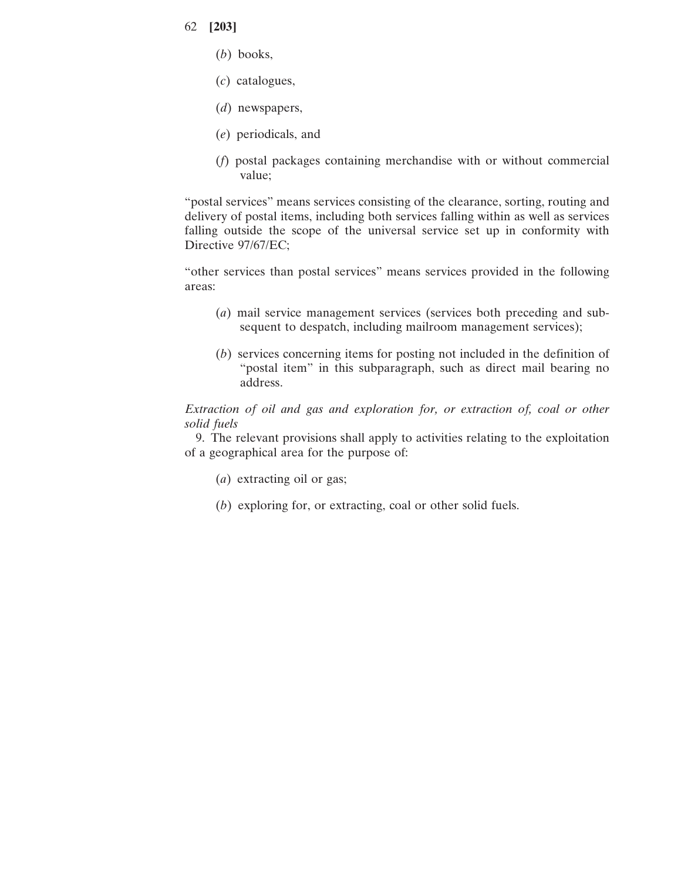- (*b*) books,
- (*c*) catalogues,
- (*d*) newspapers,
- (*e*) periodicals, and
- (*f*) postal packages containing merchandise with or without commercial value;

"postal services" means services consisting of the clearance, sorting, routing and delivery of postal items, including both services falling within as well as services falling outside the scope of the universal service set up in conformity with Directive 97/67/EC;

"other services than postal services" means services provided in the following areas:

- (*a*) mail service management services (services both preceding and subsequent to despatch, including mailroom management services);
- (*b*) services concerning items for posting not included in the definition of "postal item" in this subparagraph, such as direct mail bearing no address.

*Extraction of oil and gas and exploration for, or extraction of, coal or other solid fuels*

9. The relevant provisions shall apply to activities relating to the exploitation of a geographical area for the purpose of:

- (*a*) extracting oil or gas;
- (*b*) exploring for, or extracting, coal or other solid fuels.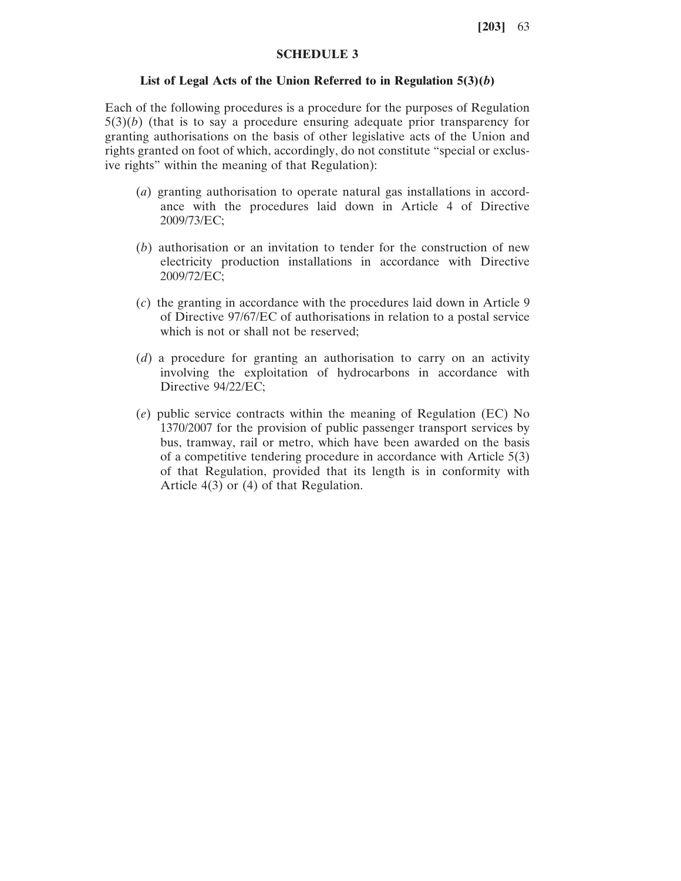# **SCHEDULE 3**

### **List of Legal Acts of the Union Referred to in Regulation 5(3)(***b***)**

Each of the following procedures is a procedure for the purposes of Regulation  $5(3)(b)$  (that is to say a procedure ensuring adequate prior transparency for granting authorisations on the basis of other legislative acts of the Union and rights granted on foot of which, accordingly, do not constitute "special or exclusive rights" within the meaning of that Regulation):

- (*a*) granting authorisation to operate natural gas installations in accordance with the procedures laid down in Article 4 of Directive 2009/73/EC;
- (*b*) authorisation or an invitation to tender for the construction of new electricity production installations in accordance with Directive 2009/72/EC;
- (*c*) the granting in accordance with the procedures laid down in Article 9 of Directive 97/67/EC of authorisations in relation to a postal service which is not or shall not be reserved:
- (*d*) a procedure for granting an authorisation to carry on an activity involving the exploitation of hydrocarbons in accordance with Directive 94/22/EC;
- (*e*) public service contracts within the meaning of Regulation (EC) No 1370/2007 for the provision of public passenger transport services by bus, tramway, rail or metro, which have been awarded on the basis of a competitive tendering procedure in accordance with Article 5(3) of that Regulation, provided that its length is in conformity with Article 4(3) or (4) of that Regulation.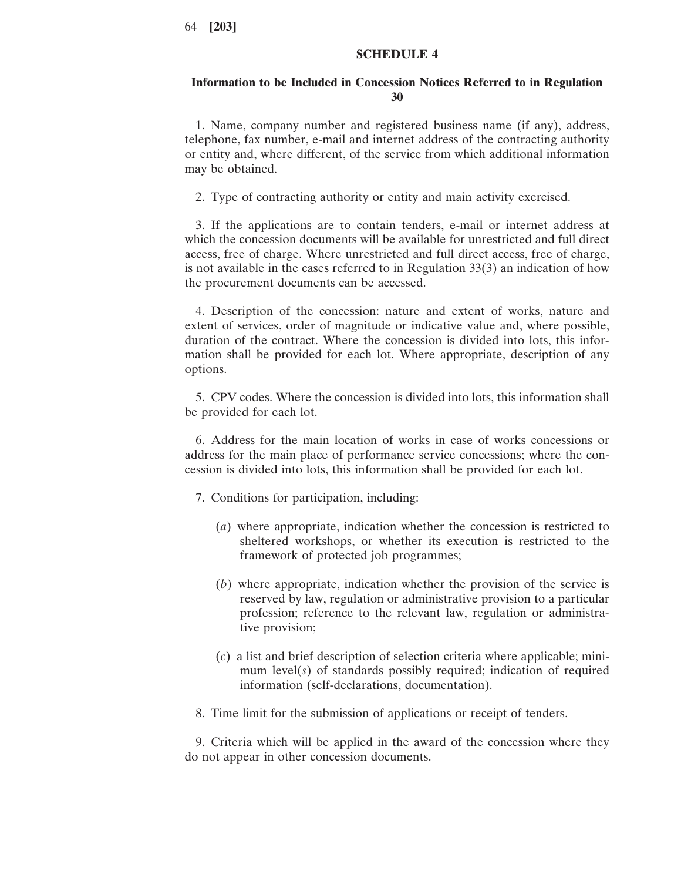### **SCHEDULE 4**

### **Information to be Included in Concession Notices Referred to in Regulation 30**

1. Name, company number and registered business name (if any), address, telephone, fax number, e-mail and internet address of the contracting authority or entity and, where different, of the service from which additional information may be obtained.

2. Type of contracting authority or entity and main activity exercised.

3. If the applications are to contain tenders, e-mail or internet address at which the concession documents will be available for unrestricted and full direct access, free of charge. Where unrestricted and full direct access, free of charge, is not available in the cases referred to in Regulation 33(3) an indication of how the procurement documents can be accessed.

4. Description of the concession: nature and extent of works, nature and extent of services, order of magnitude or indicative value and, where possible, duration of the contract. Where the concession is divided into lots, this information shall be provided for each lot. Where appropriate, description of any options.

5. CPV codes. Where the concession is divided into lots, this information shall be provided for each lot.

6. Address for the main location of works in case of works concessions or address for the main place of performance service concessions; where the concession is divided into lots, this information shall be provided for each lot.

7. Conditions for participation, including:

- (*a*) where appropriate, indication whether the concession is restricted to sheltered workshops, or whether its execution is restricted to the framework of protected job programmes;
- (*b*) where appropriate, indication whether the provision of the service is reserved by law, regulation or administrative provision to a particular profession; reference to the relevant law, regulation or administrative provision;
- (*c*) a list and brief description of selection criteria where applicable; minimum level(*s*) of standards possibly required; indication of required information (self-declarations, documentation).
- 8. Time limit for the submission of applications or receipt of tenders.

9. Criteria which will be applied in the award of the concession where they do not appear in other concession documents.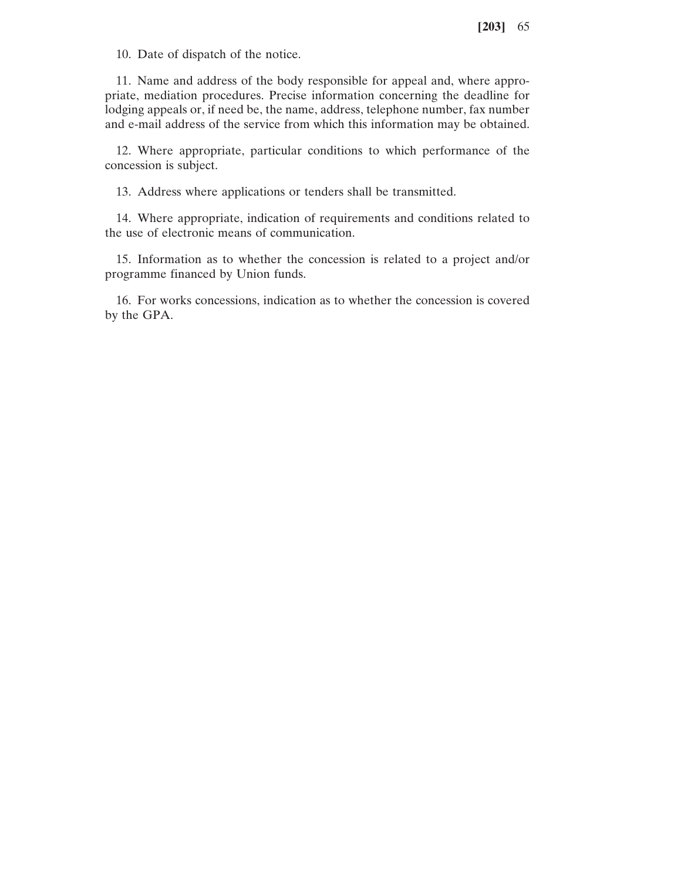10. Date of dispatch of the notice.

11. Name and address of the body responsible for appeal and, where appropriate, mediation procedures. Precise information concerning the deadline for lodging appeals or, if need be, the name, address, telephone number, fax number and e-mail address of the service from which this information may be obtained.

12. Where appropriate, particular conditions to which performance of the concession is subject.

13. Address where applications or tenders shall be transmitted.

14. Where appropriate, indication of requirements and conditions related to the use of electronic means of communication.

15. Information as to whether the concession is related to a project and/or programme financed by Union funds.

16. For works concessions, indication as to whether the concession is covered by the GPA.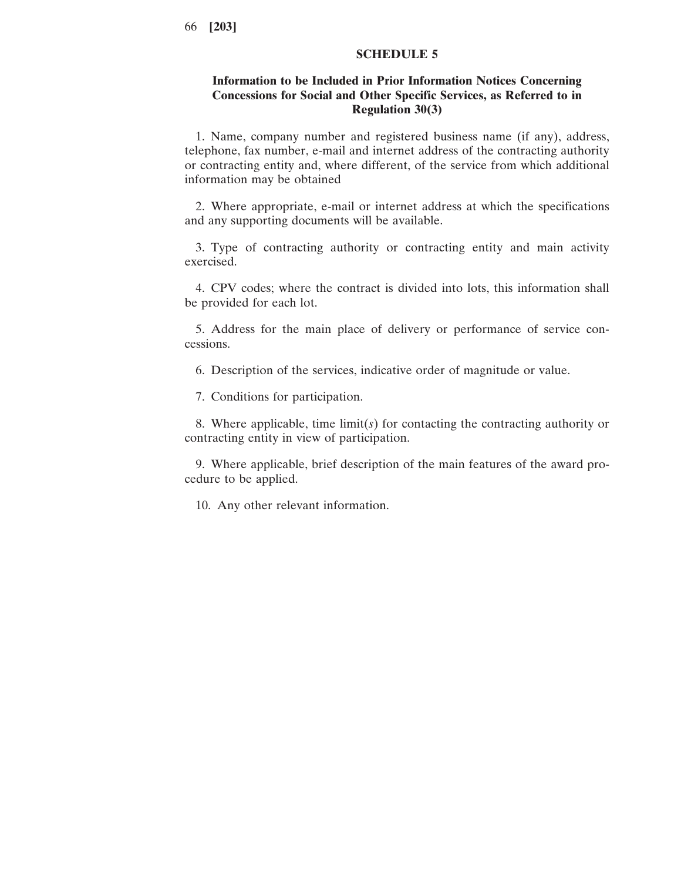# **SCHEDULE 5**

# **Information to be Included in Prior Information Notices Concerning Concessions for Social and Other Specific Services, as Referred to in Regulation 30(3)**

1. Name, company number and registered business name (if any), address, telephone, fax number, e-mail and internet address of the contracting authority or contracting entity and, where different, of the service from which additional information may be obtained

2. Where appropriate, e-mail or internet address at which the specifications and any supporting documents will be available.

3. Type of contracting authority or contracting entity and main activity exercised.

4. CPV codes; where the contract is divided into lots, this information shall be provided for each lot.

5. Address for the main place of delivery or performance of service concessions.

6. Description of the services, indicative order of magnitude or value.

7. Conditions for participation.

8. Where applicable, time limit(*s*) for contacting the contracting authority or contracting entity in view of participation.

9. Where applicable, brief description of the main features of the award procedure to be applied.

10. Any other relevant information.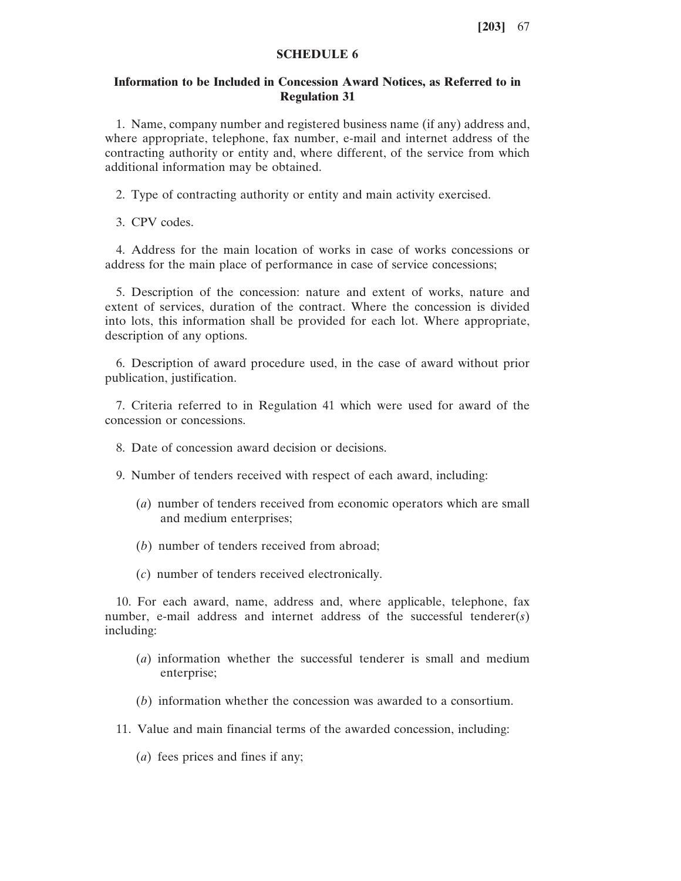# **SCHEDULE 6**

# **Information to be Included in Concession Award Notices, as Referred to in Regulation 31**

1. Name, company number and registered business name (if any) address and, where appropriate, telephone, fax number, e-mail and internet address of the contracting authority or entity and, where different, of the service from which additional information may be obtained.

2. Type of contracting authority or entity and main activity exercised.

3. CPV codes.

4. Address for the main location of works in case of works concessions or address for the main place of performance in case of service concessions;

5. Description of the concession: nature and extent of works, nature and extent of services, duration of the contract. Where the concession is divided into lots, this information shall be provided for each lot. Where appropriate, description of any options.

6. Description of award procedure used, in the case of award without prior publication, justification.

7. Criteria referred to in Regulation 41 which were used for award of the concession or concessions.

- 8. Date of concession award decision or decisions.
- 9. Number of tenders received with respect of each award, including:
	- (*a*) number of tenders received from economic operators which are small and medium enterprises;
	- (*b*) number of tenders received from abroad;
	- (*c*) number of tenders received electronically.

10. For each award, name, address and, where applicable, telephone, fax number, e-mail address and internet address of the successful tenderer(*s*) including:

- (*a*) information whether the successful tenderer is small and medium enterprise;
- (*b*) information whether the concession was awarded to a consortium.
- 11. Value and main financial terms of the awarded concession, including:
	- (*a*) fees prices and fines if any;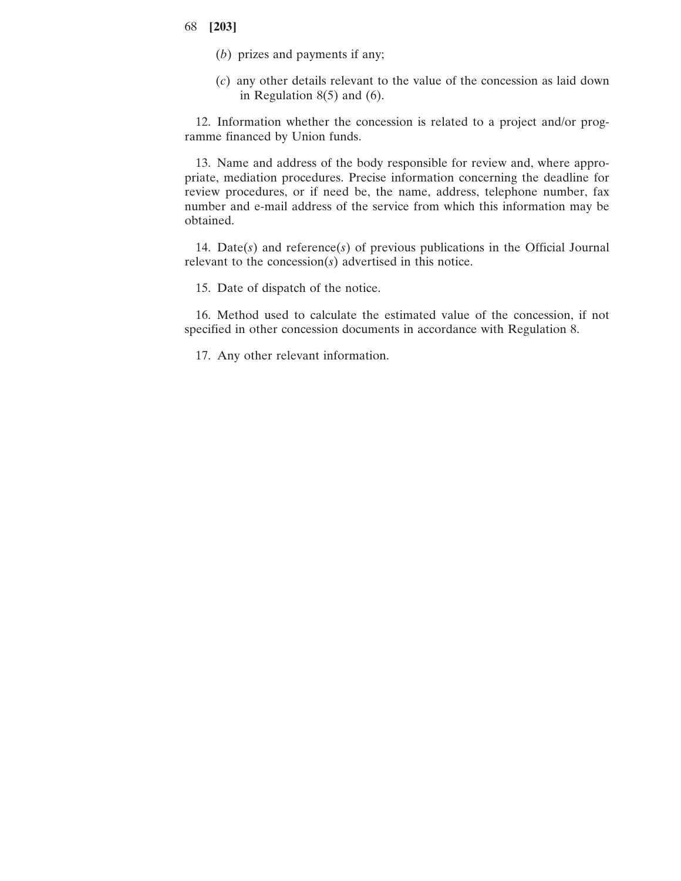- (*b*) prizes and payments if any;
- (*c*) any other details relevant to the value of the concession as laid down in Regulation  $8(5)$  and  $(6)$ .

12. Information whether the concession is related to a project and/or programme financed by Union funds.

13. Name and address of the body responsible for review and, where appropriate, mediation procedures. Precise information concerning the deadline for review procedures, or if need be, the name, address, telephone number, fax number and e-mail address of the service from which this information may be obtained.

14. Date(*s*) and reference(*s*) of previous publications in the Official Journal relevant to the concession(*s*) advertised in this notice.

15. Date of dispatch of the notice.

16. Method used to calculate the estimated value of the concession, if not specified in other concession documents in accordance with Regulation 8.

17. Any other relevant information.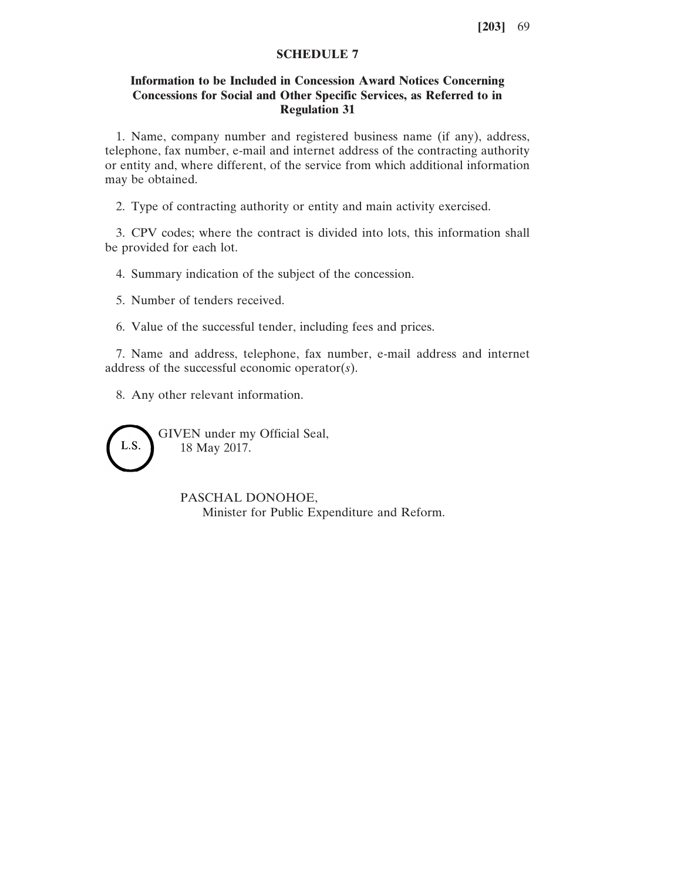# **SCHEDULE 7**

# **Information to be Included in Concession Award Notices Concerning Concessions for Social and Other Specific Services, as Referred to in Regulation 31**

1. Name, company number and registered business name (if any), address, telephone, fax number, e-mail and internet address of the contracting authority or entity and, where different, of the service from which additional information may be obtained.

2. Type of contracting authority or entity and main activity exercised.

3. CPV codes; where the contract is divided into lots, this information shall be provided for each lot.

4. Summary indication of the subject of the concession.

5. Number of tenders received.

6. Value of the successful tender, including fees and prices.

7. Name and address, telephone, fax number, e-mail address and internet address of the successful economic operator(*s*).

8. Any other relevant information.

GIVEN under my Official Seal, L.S. 18 May 2017.

> PASCHAL DONOHOE, Minister for Public Expenditure and Reform.